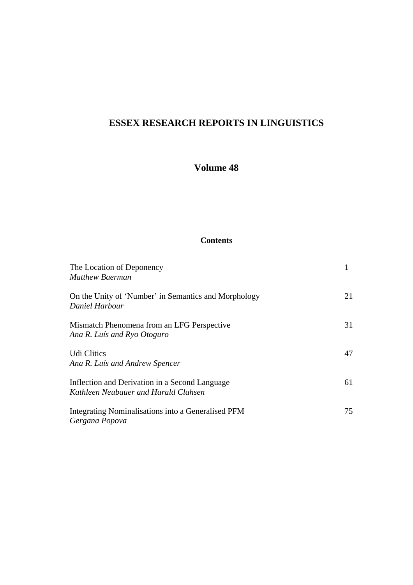# **ESSEX RESEARCH REPORTS IN LINGUISTICS**

## **Volume 48**

### **Contents**

| The Location of Deponency<br><b>Matthew Baerman</b>                                    |    |
|----------------------------------------------------------------------------------------|----|
| On the Unity of 'Number' in Semantics and Morphology<br>Daniel Harbour                 | 21 |
| Mismatch Phenomena from an LFG Perspective<br>Ana R. Luís and Ryo Otoguro              | 31 |
| <b>Udi Clitics</b><br>Ana R. Luís and Andrew Spencer                                   | 47 |
| Inflection and Derivation in a Second Language<br>Kathleen Neubauer and Harald Clahsen | 61 |
| Integrating Nominalisations into a Generalised PFM<br>Gergana Popova                   | 75 |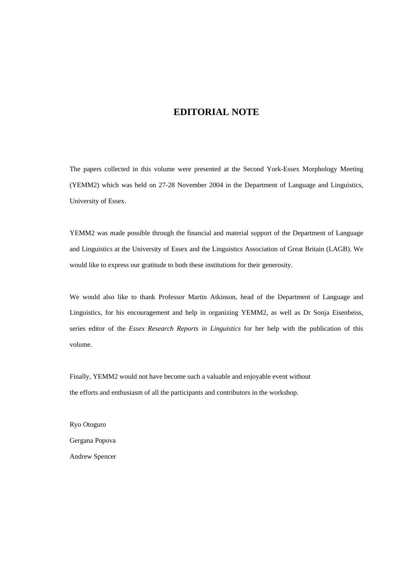### **EDITORIAL NOTE**

The papers collected in this volume were presented at the Second York-Essex Morphology Meeting (YEMM2) which was held on 27-28 November 2004 in the Department of Language and Linguistics, University of Essex.

YEMM2 was made possible through the financial and material support of the Department of Language and Linguistics at the University of Essex and the Linguistics Association of Great Britain (LAGB). We would like to express our gratitude to both these institutions for their generosity.

We would also like to thank Professor Martin Atkinson, head of the Department of Language and Linguistics, for his encouragement and help in organizing YEMM2, as well as Dr Sonja Eisenbeiss, series editor of the *Essex Research Reports in Linguistics* for her help with the publication of this volume.

Finally, YEMM2 would not have become such a valuable and enjoyable event without the efforts and enthusiasm of all the participants and contributors in the workshop.

Ryo Otoguro Gergana Popova Andrew Spencer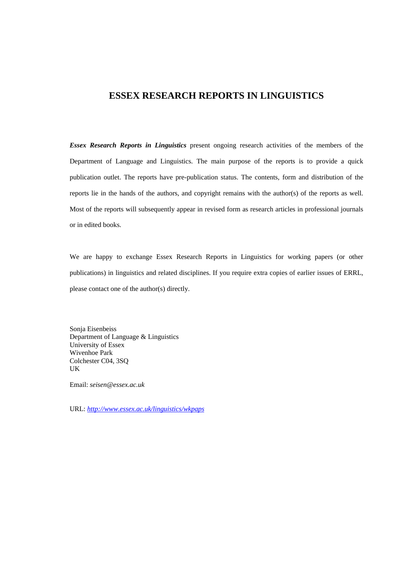## **ESSEX RESEARCH REPORTS IN LINGUISTICS**

*Essex Research Reports in Linguistics* present ongoing research activities of the members of the Department of Language and Linguistics. The main purpose of the reports is to provide a quick publication outlet. The reports have pre-publication status. The contents, form and distribution of the reports lie in the hands of the authors, and copyright remains with the author(s) of the reports as well. Most of the reports will subsequently appear in revised form as research articles in professional journals or in edited books.

We are happy to exchange Essex Research Reports in Linguistics for working papers (or other publications) in linguistics and related disciplines. If you require extra copies of earlier issues of ERRL, please contact one of the author(s) directly.

Sonja Eisenbeiss Department of Language & Linguistics University of Essex Wivenhoe Park Colchester C04, 3SQ UK

Email: *seisen@essex.ac.uk*

URL: *http://www.essex.ac.uk/linguistics/wkpaps*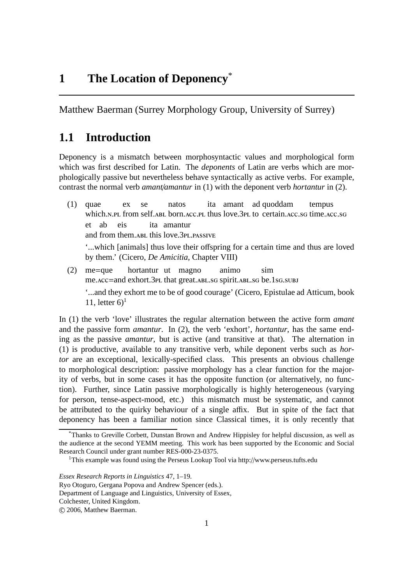Matthew Baerman (Surrey Morphology Group, University of Surrey)

# **1.1 Introduction**

Deponency is a mismatch between morphosyntactic values and morphological form which was first described for Latin. The *deponents* of Latin are verbs which are morphologically passive but nevertheless behave syntactically as active verbs. For example, contrast the normal verb *amant*/*amantur* in (1) with the deponent verb *hortantur* in (2).

- (1) quae which.N.PL from self.ABL born.ACC.PL thus love.3PL to certain.ACC.SG time.ACC.SG ex se natos ita amant ad quoddam tempus et ab eis and from them.ABL this love.3PL.PASSIVE ita amantur '...which [animals] thus love their offspring for a certain time and thus are loved by them.' (Cicero, *De Amicitia*, Chapter VIII)
- (2) me=que me. Acc=and exhort. 3PL that great. ABL. SG spirit. ABL. SG be. 1 SG. SUBJ hortantur ut magno animo sim '...and they exhort me to be of good courage' (Cicero, Epistulae ad Atticum, book 11, letter  $6$ <sup>1</sup>

In (1) the verb 'love' illustrates the regular alternation between the active form *amant* and the passive form *amantur*. In (2), the verb 'exhort', *hortantur*, has the same ending as the passive *amantur*, but is active (and transitive at that). The alternation in (1) is productive, available to any transitive verb, while deponent verbs such as *hortor* are an exceptional, lexically-specified class. This presents an obvious challenge to morphological description: passive morphology has a clear function for the majority of verbs, but in some cases it has the opposite function (or alternatively, no function). Further, since Latin passive morphologically is highly heterogeneous (varying for person, tense-aspect-mood, etc.) this mismatch must be systematic, and cannot be attributed to the quirky behaviour of a single affix. But in spite of the fact that deponency has been a familiar notion since Classical times, it is only recently that

<sup>\*</sup>Thanks to Greville Corbett, Dunstan Brown and Andrew Hippisley for helpful discussion, as well as the audience at the second YEMM meeting. This work has been supported by the Economic and Social Research Council under grant number RES-000-23-0375.

<sup>&</sup>lt;sup>1</sup>This example was found using the Perseus Lookup Tool via http://www.perseus.tufts.edu

*Essex Research Reports in Linguistics* 47, 1–19.

Ryo Otoguro, Gergana Popova and Andrew Spencer (eds.).

Department of Language and Linguistics, University of Essex,

Colchester, United Kingdom.

c 2006, Matthew Baerman.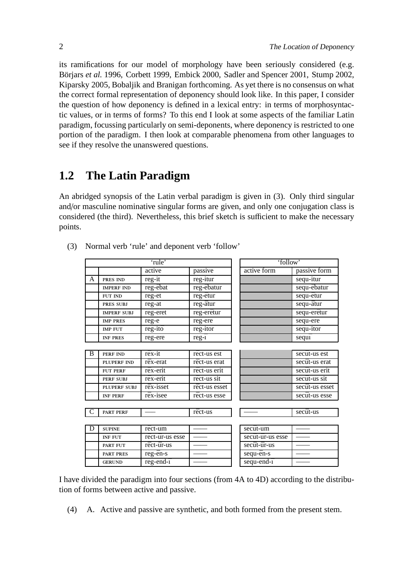its ramifications for our model of morphology have been seriously considered (e.g. Börjars *et al.* 1996, Corbett 1999, Embick 2000, Sadler and Spencer 2001, Stump 2002, Kiparsky 2005, Bobaljik and Branigan forthcoming. As yet there is no consensus on what the correct formal representation of deponency should look like. In this paper, I consider the question of how deponency is defined in a lexical entry: in terms of morphosyntactic values, or in terms of forms? To this end I look at some aspects of the familiar Latin paradigm, focussing particularly on semi-deponents, where deponency is restricted to one portion of the paradigm. I then look at comparable phenomena from other languages to see if they resolve the unanswered questions.

# **1.2 The Latin Paradigm**

An abridged synopsis of the Latin verbal paradigm is given in (3). Only third singular and/or masculine nominative singular forms are given, and only one conjugation class is considered (the third). Nevertheless, this brief sketch is sufficient to make the necessary points.

| 'rule' |                    |                 |                               | 'follow'         |                |
|--------|--------------------|-----------------|-------------------------------|------------------|----------------|
|        |                    | active          | passive                       | active form      | passive form   |
| A      | PRES IND           | reg-it          | $\overline{\text{reg}}$ -itur |                  | sequ-itur      |
|        | <b>IMPERF IND</b>  | reg-ēbat        | reg-ēbatur                    |                  | sequ-ēbatur    |
|        | FUT IND            | reg-et          | reg-ētur                      |                  | sequ-ētur      |
|        | PRES SUBJ          | reg-at          | reg-ātur                      |                  | sequ-ātur      |
|        | <b>IMPERF SUBJ</b> | reg-eret        | reg-erētur                    |                  | sequ-erētur    |
|        | <b>IMP PRES</b>    | reg-e           | reg-ere                       |                  | sequ-ere       |
|        | <b>IMP FUT</b>     | reg-itō         | reg-itor                      |                  | sequ-itor      |
|        | <b>INF PRES</b>    | reg-ere         | $reg-1$                       |                  | sequī          |
|        |                    |                 |                               |                  |                |
| B      | PERF IND           | rēx-it          | rēct-us est                   |                  | secūt-us est   |
|        | PLUPERF IND        | rēx-erat        | rēct-us erat                  |                  | secūt-us erat  |
|        | <b>FUT PERF</b>    | rēx-erit        | rēct-us erit                  |                  | secūt-us erit  |
|        | <b>PERF SUBJ</b>   | rēx-erit        | rēct-us sit                   |                  | secūt-us sit   |
|        | PLUPERF SUBJ       | rēx-isset       | rēct-us esset                 |                  | secūt-us esset |
|        | <b>INF PERF</b>    | rēx-isee        | rēct-us esse                  |                  | secūt-us esse  |
|        |                    |                 |                               |                  |                |
|        | <b>PART PERF</b>   |                 | rēct-us                       |                  | secūt-us       |
|        |                    |                 |                               |                  |                |
| D      | <b>SUPINE</b>      | rēct-um         |                               | secūt-um         |                |
|        | <b>INF FUT</b>     | rēct-ūr-us esse |                               | secūt-ūr-us esse |                |
|        | <b>PART FUT</b>    | rēct-ūr-us      |                               | secūt-ūr-us      |                |
|        | <b>PART PRES</b>   | reg-ēn-s        |                               | sequ-en-s        |                |
|        | <b>GERUND</b>      | $reg-end-1$     |                               | sequ-end-ī       |                |
|        |                    |                 |                               |                  |                |

(3) Normal verb 'rule' and deponent verb 'follow'

I have divided the paradigm into four sections (from 4A to 4D) according to the distribution of forms between active and passive.

(4) A. Active and passive are synthetic, and both formed from the present stem.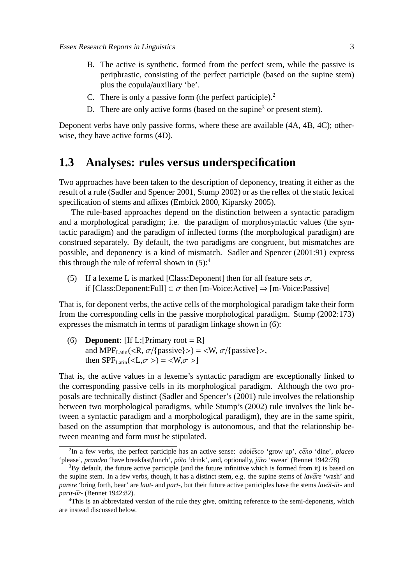- B. The active is synthetic, formed from the perfect stem, while the passive is periphrastic, consisting of the perfect participle (based on the supine stem) plus the copula/auxiliary 'be'.
- C. There is only a passive form (the perfect participle).<sup>2</sup>
- D. There are only active forms (based on the supine<sup>3</sup> or present stem).

Deponent verbs have only passive forms, where these are available (4A, 4B, 4C); otherwise, they have active forms (4D).

## **1.3 Analyses: rules versus underspecification**

Two approaches have been taken to the description of deponency, treating it either as the result of a rule (Sadler and Spencer 2001, Stump 2002) or as the reflex of the static lexical specification of stems and affixes (Embick 2000, Kiparsky 2005).

The rule-based approaches depend on the distinction between a syntactic paradigm and a morphological paradigm; i.e. the paradigm of morphosyntactic values (the syntactic paradigm) and the paradigm of inflected forms (the morphological paradigm) are construed separately. By default, the two paradigms are congruent, but mismatches are possible, and deponency is a kind of mismatch. Sadler and Spencer (2001:91) express this through the rule of referral shown in  $(5)$ :<sup>4</sup>

(5) If a lexeme L is marked [Class: Deponent] then for all feature sets  $\sigma$ , if  $[Class:Deponent:Full] \subset \sigma$  then  $[m-Voice: Active] \Rightarrow [m-Voice:Passive]$ 

That is, for deponent verbs, the active cells of the morphological paradigm take their form from the corresponding cells in the passive morphological paradigm. Stump (2002:173) expresses the mismatch in terms of paradigm linkage shown in (6):

(6) **Deponent**:  $[If L:[Primary root = R]$ and MPF<sub>Latin</sub> $\langle R, \sigma \rangle$ {passive}> $) = \langle W, \sigma \rangle$ {passive}>, then  $SPF_{Latin}() =$ 

That is, the active values in a lexeme's syntactic paradigm are exceptionally linked to the corresponding passive cells in its morphological paradigm. Although the two proposals are technically distinct (Sadler and Spencer's (2001) rule involves the relationship between two morphological paradigms, while Stump's (2002) rule involves the link between a syntactic paradigm and a morphological paradigm), they are in the same spirit, based on the assumption that morphology is autonomous, and that the relationship between meaning and form must be stipulated.

<sup>&</sup>lt;sup>2</sup>In a few verbs, the perfect participle has an active sense: *adolēsco* 'grow up', *cēno* 'dine', *placeo* 'please', *prandeo* 'have breakfast/lunch', *pōto* 'drink', and, optionally, *jūro* 'swear' (Bennet 1942:78)

 $38y$  default, the future active participle (and the future infinitive which is formed from it) is based on the supine stem. In a few verbs, though, it has a distinct stem, e.g. the supine stems of *lavāre* 'wash' and *parere* 'bring forth, bear' are *laut*- and *part*-, but their future active participles have the stems *lavāt-ūr*- and *parit-ūr-* (Bennet 1942:82).

<sup>4</sup>This is an abbreviated version of the rule they give, omitting reference to the semi-deponents, which are instead discussed below.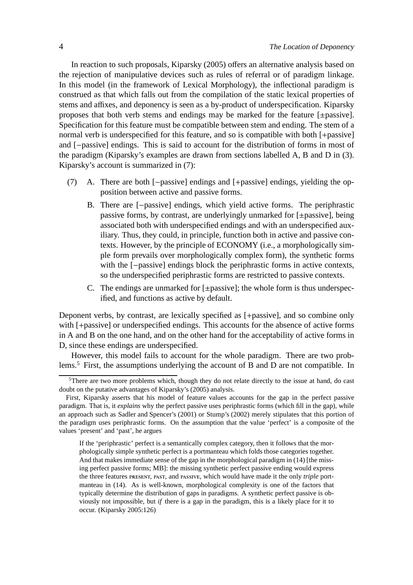In reaction to such proposals, Kiparsky (2005) offers an alternative analysis based on the rejection of manipulative devices such as rules of referral or of paradigm linkage. In this model (in the framework of Lexical Morphology), the inflectional paradigm is construed as that which falls out from the compilation of the static lexical properties of stems and affixes, and deponency is seen as a by-product of underspecification. Kiparsky proposes that both verb stems and endings may be marked for the feature [±passive]. Specification for this feature must be compatible between stem and ending. The stem of a normal verb is underspecified for this feature, and so is compatible with both [+passive] and [−passive] endings. This is said to account for the distribution of forms in most of the paradigm (Kiparsky's examples are drawn from sections labelled A, B and D in (3). Kiparsky's account is summarized in (7):

- (7) A. There are both [−passive] endings and [+passive] endings, yielding the opposition between active and passive forms.
	- B. There are [−passive] endings, which yield active forms. The periphrastic passive forms, by contrast, are underlyingly unmarked for [±passive], being associated both with underspecified endings and with an underspecified auxiliary. Thus, they could, in principle, function both in active and passive contexts. However, by the principle of ECONOMY (i.e., a morphologically simple form prevails over morphologically complex form), the synthetic forms with the [−passive] endings block the periphrastic forms in active contexts, so the underspecified periphrastic forms are restricted to passive contexts.
	- C. The endings are unmarked for  $[\pm$  passive]; the whole form is thus underspecified, and functions as active by default.

Deponent verbs, by contrast, are lexically specified as [+passive], and so combine only with [+passive] or underspecified endings. This accounts for the absence of active forms in A and B on the one hand, and on the other hand for the acceptability of active forms in D, since these endings are underspecified.

However, this model fails to account for the whole paradigm. There are two problems.<sup>5</sup> First, the assumptions underlying the account of B and D are not compatible. In

<sup>&</sup>lt;sup>5</sup>There are two more problems which, though they do not relate directly to the issue at hand, do cast doubt on the putative advantages of Kiparsky's (2005) analysis.

First, Kiparsky asserts that his model of feature values accounts for the gap in the perfect passive paradigm. That is, it *explains* why the perfect passive uses periphrastic forms (which fill in the gap), while an approach such as Sadler and Spencer's (2001) or Stump's (2002) merely stipulates that this portion of the paradigm uses periphrastic forms. On the assumption that the value 'perfect' is a composite of the values 'present' and 'past', he argues

If the 'periphrastic' perfect is a semantically complex category, then it follows that the morphologically simple synthetic perfect is a portmanteau which folds those categories together. And that makes immediate sense of the gap in the morphological paradigm in (14) [the missing perfect passive forms; MB]: the missing synthetic perfect passive ending would express the three features PRESENT, PAST, and PASSIVE, which would have made it the only *triple* portmanteau in (14). As is well-known, morphological complexity is one of the factors that typically determine the distribution of gaps in paradigms. A synthetic perfect passive is obviously not impossible, but *if* there is a gap in the paradigm, this is a likely place for it to occur. (Kiparsky 2005:126)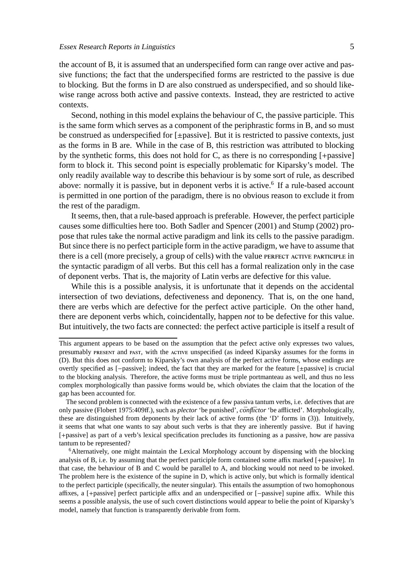the account of B, it is assumed that an underspecified form can range over active and passive functions; the fact that the underspecified forms are restricted to the passive is due to blocking. But the forms in D are also construed as underspecified, and so should likewise range across both active and passive contexts. Instead, they are restricted to active contexts.

Second, nothing in this model explains the behaviour of C, the passive participle. This is the same form which serves as a component of the periphrastic forms in B, and so must be construed as underspecified for [±passive]. But it is restricted to passive contexts, just as the forms in B are. While in the case of B, this restriction was attributed to blocking by the synthetic forms, this does not hold for C, as there is no corresponding [+passive] form to block it. This second point is especially problematic for Kiparsky's model. The only readily available way to describe this behaviour is by some sort of rule, as described above: normally it is passive, but in deponent verbs it is active.<sup>6</sup> If a rule-based account is permitted in one portion of the paradigm, there is no obvious reason to exclude it from the rest of the paradigm.

It seems, then, that a rule-based approach is preferable. However, the perfect participle causes some difficulties here too. Both Sadler and Spencer (2001) and Stump (2002) propose that rules take the normal active paradigm and link its cells to the passive paradigm. But since there is no perfect participle form in the active paradigm, we have to assume that there is a cell (more precisely, a group of cells) with the value PERFECT ACTIVE PARTICIPLE in the syntactic paradigm of all verbs. But this cell has a formal realization only in the case of deponent verbs. That is, the majority of Latin verbs are defective for this value.

While this is a possible analysis, it is unfortunate that it depends on the accidental intersection of two deviations, defectiveness and deponency. That is, on the one hand, there are verbs which are defective for the perfect active participle. On the other hand, there are deponent verbs which, coincidentally, happen *not* to be defective for this value. But intuitively, the two facts are connected: the perfect active participle is itself a result of

This argument appears to be based on the assumption that the pefect active only expresses two values, presumably PRESENT and PAST, with the ACTIVE unspecified (as indeed Kiparsky assumes for the forms in (D). But this does not conform to Kiparsky's own analysis of the perfect active forms, whose endings are overtly specified as [−passive]; indeed, the fact that they are marked for the feature [±passive] is crucial to the blocking analysis. Therefore, the active forms must be triple portmanteau as well, and thus no less complex morphologically than passive forms would be, which obviates the claim that the location of the gap has been accounted for.

The second problem is connected with the existence of a few passiva tantum verbs, i.e. defectives that are only passive (Flobert 1975:409ff.), such as *plector* 'be punished', *conflictor* 'be afflicted'. Morphologically, these are distinguished from deponents by their lack of active forms (the 'D' forms in (3)). Intuitively, it seems that what one wants to say about such verbs is that they are inherently passive. But if having [+passive] as part of a verb's lexical specification precludes its functioning as a passive, how are passiva tantum to be represented?

<sup>6</sup>Alternatively, one might maintain the Lexical Morphology account by dispensing with the blocking analysis of B, i.e. by assuming that the perfect participle form contained some affix marked [+passive]. In that case, the behaviour of B and C would be parallel to A, and blocking would not need to be invoked. The problem here is the existence of the supine in D, which is active only, but which is formally identical to the perfect participle (specifically, the neuter singular). This entails the assumption of two homophonous affixes, a [+passive] perfect participle affix and an underspecified or [−passive] supine affix. While this seems a possible analysis, the use of such covert distinctions would appear to belie the point of Kiparsky's model, namely that function is transparently derivable from form.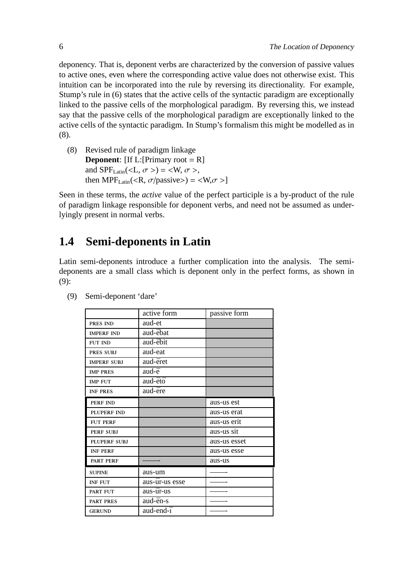deponency. That is, deponent verbs are characterized by the conversion of passive values to active ones, even where the corresponding active value does not otherwise exist. This intuition can be incorporated into the rule by reversing its directionality. For example, Stump's rule in (6) states that the active cells of the syntactic paradigm are exceptionally linked to the passive cells of the morphological paradigm. By reversing this, we instead say that the passive cells of the morphological paradigm are exceptionally linked to the active cells of the syntactic paradigm. In Stump's formalism this might be modelled as in (8).

(8) Revised rule of paradigm linkage **Deponent**:  $[If L:[Primary root = R]$ and SPF<sub>Latin</sub>(<L,  $\sigma$  >) = <W,  $\sigma$  >, then MPF<sub>Latin</sub>(<R,  $\sigma$ /passive>) = <W, $\sigma$  >]

Seen in these terms, the *active* value of the perfect participle is a by-product of the rule of paradigm linkage responsible for deponent verbs, and need not be assumed as underlyingly present in normal verbs.

# **1.4 Semi-deponents in Latin**

Latin semi-deponents introduce a further complication into the analysis. The semideponents are a small class which is deponent only in the perfect forms, as shown in (9):

|                     | active form    | passive form |
|---------------------|----------------|--------------|
| PRES IND            | aud-et         |              |
| <b>IMPERF IND</b>   | aud-ēbat       |              |
| <b>FUT IND</b>      | aud-ēbit       |              |
| PRES SUBJ           | aud-eat        |              |
| <b>IMPERF SUBJ</b>  | aud-ēret       |              |
| <b>IMP PRES</b>     | aud-ē          |              |
| <b>IMP FUT</b>      | aud-ētō        |              |
| <b>INF PRES</b>     | aud-ēre        |              |
| <b>PERF IND</b>     |                | aus-us est   |
| <b>PLUPERF IND</b>  |                | aus-us erat  |
| <b>FUT PERF</b>     |                | aus-us erit  |
| PERF SUBJ           |                | aus-us sit   |
| <b>PLUPERF SUBJ</b> |                | aus-us esset |
| <b>INF PERF</b>     |                | aus-us esse  |
| <b>PART PERF</b>    |                | aus-us       |
| <b>SUPINE</b>       | aus-um         |              |
| <b>INF FUT</b>      | aus-ūr-us esse |              |
| <b>PART FUT</b>     | aus-ūr-us      |              |
| <b>PART PRES</b>    | aud-ēn-s       |              |
| <b>GERUND</b>       | aud-end-ī      |              |

(9) Semi-deponent 'dare'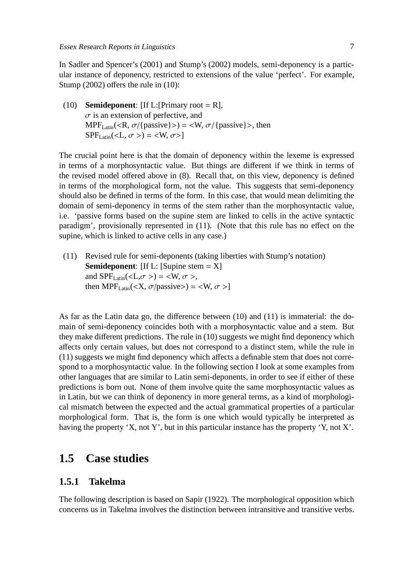In Sadler and Spencer's (2001) and Stump's (2002) models, semi-deponency is a particular instance of deponency, restricted to extensions of the value 'perfect'. For example, Stump (2002) offers the rule in (10):

(10) **Semideponent**: [If L:[Primary root = R],  $\sigma$  is an extension of perfective, and  $MPF_{\text{Latin}}(\langle R, \sigma/\{\text{passive}\}\rangle) = \langle W, \sigma/\{\text{passive}\}\rangle$ , then  $SPF_{\text{Latin}}(\langle L, \sigma \rangle) = \langle W, \sigma \rangle$ 

The crucial point here is that the domain of deponency within the lexeme is expressed in terms of a morphosyntactic value. But things are different if we think in terms of the revised model offered above in (8). Recall that, on this view, deponency is defined in terms of the morphological form, not the value. This suggests that semi-deponency should also be defined in terms of the form. In this case, that would mean delimiting the domain of semi-deponency in terms of the stem rather than the morphosyntactic value, i.e. 'passive forms based on the supine stem are linked to cells in the active syntactic paradigm', provisionally represented in (11). (Note that this rule has no effect on the supine, which is linked to active cells in any case.)

(11) Revised rule for semi-deponents (taking liberties with Stump's notation) **Semideponent**: [If L: [Supine stem = X] and  $SPF_{Latin}(\langle L, \sigma \rangle) = \langle W, \sigma \rangle$ , then MPF<sub>Latin</sub>(<X,  $\sigma$ /passive>) = <W,  $\sigma$  >]

As far as the Latin data go, the difference between (10) and (11) is immaterial: the domain of semi-deponency coincides both with a morphosyntactic value and a stem. But they make different predictions. The rule in (10) suggests we might find deponency which affects only certain values, but does not correspond to a distinct stem, while the rule in (11) suggests we might find deponency which affects a definable stem that does not correspond to a morphosyntactic value. In the following section I look at some examples from other languages that are similar to Latin semi-deponents, in order to see if either of these predictions is born out. None of them involve quite the same morphosyntactic values as in Latin, but we can think of deponency in more general terms, as a kind of morphological mismatch between the expected and the actual grammatical properties of a particular morphological form. That is, the form is one which would typically be interpreted as having the property 'X, not Y', but in this particular instance has the property 'Y, not X'.

## **1.5 Case studies**

### **1.5.1 Takelma**

The following description is based on Sapir (1922). The morphological opposition which concerns us in Takelma involves the distinction between intransitive and transitive verbs.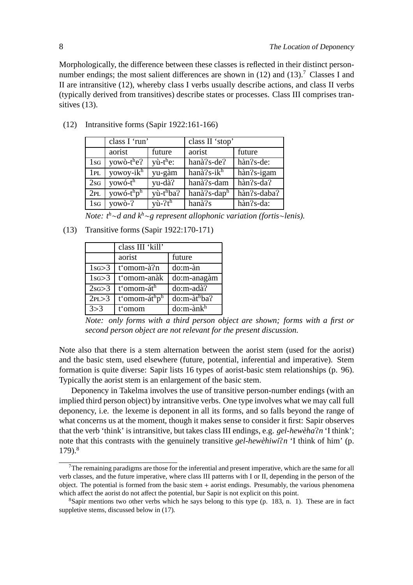Morphologically, the difference between these classes is reflected in their distinct personnumber endings; the most salient differences are shown in  $(12)$  and  $(13)$ .<sup>7</sup> Classes I and II are intransitive (12), whereby class I verbs usually describe actions, and class II verbs (typically derived from transitives) describe states or processes. Class III comprises transitives  $(13)$ .

|                 | class I 'run'                      |                                | class II 'stop'             |                                       |  |
|-----------------|------------------------------------|--------------------------------|-----------------------------|---------------------------------------|--|
|                 | aorist                             | future                         | aorist                      | future                                |  |
| $1_{SG}$        | yowò-t <sup>h</sup> e?             | $y\hat{u}$ -t <sup>h</sup> e:  | $han\grave{a}$ ?s-de?       | $h\$ {an} 2s-de:                      |  |
| 1PL             | yowoy-ik <sup>h</sup>              | yu-gàm                         | hanà?s-i $k^{\overline{h}}$ | hàn?s-igam                            |  |
| 2sG             | yowó-t <sup>h</sup>                | yu-dà?                         | hanà?s-dam                  | $\overline{\text{h}}\text{an}$ ?s-da? |  |
| 2PL             | yowó-t <sup>h</sup> p <sup>h</sup> | $y\hat{u}$ -t <sup>h</sup> ba? | hanà?s-daph                 | hàn?s-daba?                           |  |
| 1 <sub>SG</sub> | $yow\^o-?$                         | $y\hat{u}$ - $7t^h$            | hanà?s                      | hàn?s-da:                             |  |

(12) Intransitive forms (Sapir 1922:161-166)

*Note: t<sup>h</sup>*∼*d and k<sup>h</sup>*∼*g represent allophonic variation (fortis*∼*lenis).*

(13) Transitive forms (Sapir 1922:170-171)

|             | class III 'kill'                      |                            |
|-------------|---------------------------------------|----------------------------|
|             | aorist                                | future                     |
| $1$ sg $>3$ | t'omom-à?n                            | do:m-àn                    |
| $1$ sg $>3$ | t'omom-anàk                           | do:m-anagàm                |
| 2sG > 3     | t'omom-áth                            | do:m-adà?                  |
| 2PL > 3     | t'omom-át <sup>h</sup> p <sup>h</sup> | $do: m-\hat{a}t^hba$ ?     |
| 3 > 3       | t'omom                                | $do: m\text{-}\hat{a}nk^h$ |

*Note: only forms with a third person object are shown; forms with a first or second person object are not relevant for the present discussion.*

Note also that there is a stem alternation between the aorist stem (used for the aorist) and the basic stem, used elsewhere (future, potential, inferential and imperative). Stem formation is quite diverse: Sapir lists 16 types of aorist-basic stem relationships (p. 96). Typically the aorist stem is an enlargement of the basic stem.

Deponency in Takelma involves the use of transitive person-number endings (with an implied third person object) by intransitive verbs. One type involves what we may call full deponency, i.e. the lexeme is deponent in all its forms, and so falls beyond the range of what concerns us at the moment, though it makes sense to consider it first: Sapir observes that the verb 'think' is intransitive, but takes class III endings, e.g. *gel-hewèha?n* 'I think'; note that this contrasts with the genuinely transitive *gel-hewèhiwi?n* 'I think of him' (p. 179).<sup>8</sup>

The remaining paradigms are those for the inferential and present imperative, which are the same for all verb classes, and the future imperative, where class III patterns with I or II, depending in the person of the object. The potential is formed from the basic stem + aorist endings. Presumably, the various phenomena which affect the aorist do not affect the potential, bur Sapir is not explicit on this point.

 ${}^8$ Sapir mentions two other verbs which he says belong to this type (p. 183, n. 1). These are in fact suppletive stems, discussed below in (17).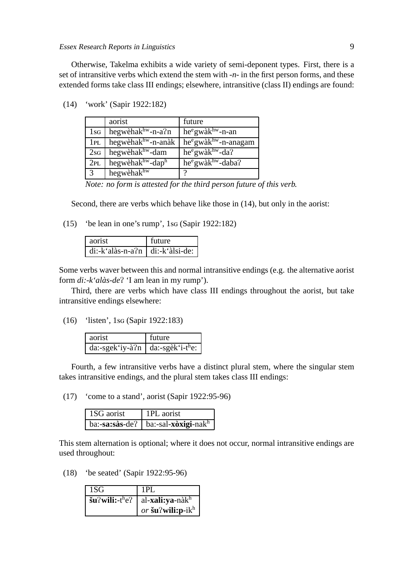Essex Research Reports in Linguistics 9

Otherwise, Takelma exhibits a wide variety of semi-deponent types. First, there is a set of intransitive verbs which extend the stem with *-n-* in the first person forms, and these extended forms take class III endings; elsewhere, intransitive (class II) endings are found:

|                 | aorist                         | future                                    |
|-----------------|--------------------------------|-------------------------------------------|
| $1$ SG          | hegwèhak <sup>hw</sup> -n-a?n  | $he^e$ gwà $k^{hw}$ -n-an                 |
| 1PL             | hegwèhak <sup>hw</sup> -n-anàk | $he^e$ gwà $k^{hw}$ -n-anagam             |
| 2s <sub>G</sub> | hegwèhak <sup>hw</sup> -dam    | $he^e$ gwà $k^{hw}$ -da?                  |
| 2PL             | hegwèhakhw-daph                | he <sup>e</sup> gwàk <sup>hw</sup> -daba? |
| $\sqrt{3}$      | hegwèhakhw                     | റ                                         |

(14) 'work' (Sapir 1922:182)

*Note: no form is attested for the third person future of this verb.*

Second, there are verbs which behave like those in  $(14)$ , but only in the aorist:

(15) 'be lean in one's rump', 1sq  $(Sapir 1922:182)$ 

| aorist                              | future |
|-------------------------------------|--------|
| $di:-k'alàs-n-a?n   di:-k'àlsi-de:$ |        |

Some verbs waver between this and normal intransitive endings (e.g. the alternative aorist form *di:-k'alàs-de*<sup>P</sup> 'I am lean in my rump').

Third, there are verbs which have class III endings throughout the aorist, but take intransitive endings elsewhere:

 $(16)$  'listen', 1sq (Sapir 1922:183)

| aorist                            | future |
|-----------------------------------|--------|
| da:-sgek'iy-à?n   da:-sgek'i-the: |        |

Fourth, a few intransitive verbs have a distinct plural stem, where the singular stem takes intransitive endings, and the plural stem takes class III endings:

(17) 'come to a stand', aorist (Sapir 1922:95-96)

| 1SG aorist | 1PL aorist                             |
|------------|----------------------------------------|
|            | $ba:-sa:sàs-de?   ba:-sal-xòxigi-nakh$ |

This stem alternation is optional; where it does not occur, normal intransitive endings are used throughout:

(18) 'be seated' (Sapir 1922:95-96)

| 1SG | 1PL                                                                                   |
|-----|---------------------------------------------------------------------------------------|
|     | $\mathbf{\check{s}}$ u?wili:-t <sup>h</sup> e?   al- <b>xali:ya</b> -nàk <sup>h</sup> |
|     | or šu?wili: $p$ -ik $^h$                                                              |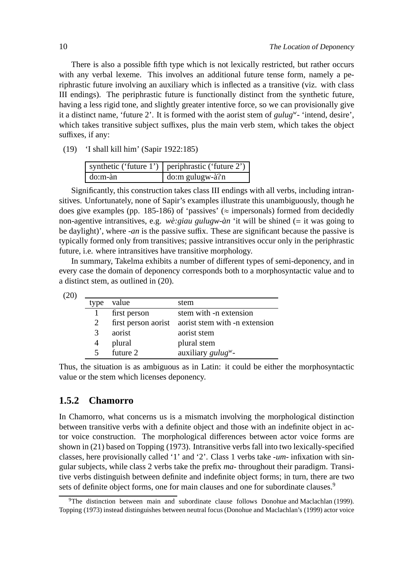There is also a possible fifth type which is not lexically restricted, but rather occurs with any verbal lexeme. This involves an additional future tense form, namely a periphrastic future involving an auxiliary which is inflected as a transitive (viz. with class III endings). The periphrastic future is functionally distinct from the synthetic future, having a less rigid tone, and slightly greater intentive force, so we can provisionally give it a distinct name, 'future 2'. It is formed with the aorist stem of *gulug<sup>w</sup> -* 'intend, desire', which takes transitive subject suffixes, plus the main verb stem, which takes the object suffixes, if any:

(19) 'I shall kill him' (Sapir 1922:185)

|              | synthetic ('future 1')   periphrastic ('future 2') |
|--------------|----------------------------------------------------|
| $\log m$ -àn | $\log$ do:m gulugw-à?n                             |

Significantly, this construction takes class III endings with all verbs, including intransitives. Unfortunately, none of Sapir's examples illustrate this unambiguously, though he does give examples (pp. 185-186) of 'passives' ( $\approx$  impersonals) formed from decidedly non-agentive intransitives, e.g. *wè:giau gulugw-àn* 'it will be shined (= it was going to be daylight)', where *-an* is the passive suffix. These are significant because the passive is typically formed only from transitives; passive intransitives occur only in the periphrastic future, i.e. where intransitives have transitive morphology.

In summary, Takelma exhibits a number of different types of semi-deponency, and in every case the domain of deponency corresponds both to a morphosyntactic value and to a distinct stem, as outlined in (20).

| type | value        | stem                                              |
|------|--------------|---------------------------------------------------|
|      | first person | stem with -n extension                            |
| 2    |              | first person aorist aorist stem with -n extension |
| 3    | aorist       | aorist stem                                       |
|      | plural       | plural stem                                       |
|      | future 2     | auxiliary $guluw$ -                               |

Thus, the situation is as ambiguous as in Latin: it could be either the morphosyntactic value or the stem which licenses deponency.

### **1.5.2 Chamorro**

In Chamorro, what concerns us is a mismatch involving the morphological distinction between transitive verbs with a definite object and those with an indefinite object in actor voice construction. The morphological differences between actor voice forms are shown in (21) based on Topping (1973). Intransitive verbs fall into two lexically-specified classes, here provisionally called '1' and '2'. Class 1 verbs take *-um-* infixation with singular subjects, while class 2 verbs take the prefix *ma-* throughout their paradigm. Transitive verbs distinguish between definite and indefinite object forms; in turn, there are two sets of definite object forms, one for main clauses and one for subordinate clauses.<sup>9</sup>

<sup>9</sup>The distinction between main and subordinate clause follows Donohue and Maclachlan (1999). Topping (1973) instead distinguishes between neutral focus (Donohue and Maclachlan's (1999) actor voice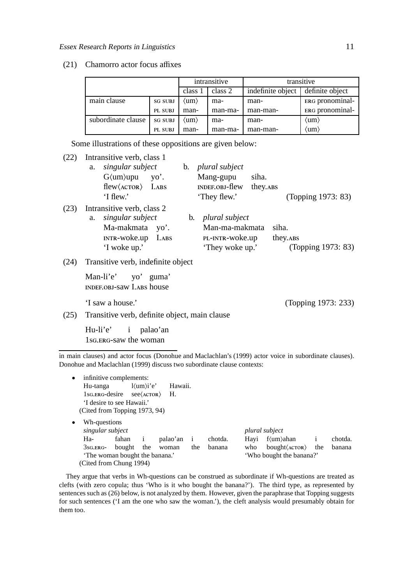#### (21) Chamorro actor focus affixes

|                    |                | intransitive                |         | transitive        |                 |
|--------------------|----------------|-----------------------------|---------|-------------------|-----------------|
|                    |                | class 1                     | class 2 | indefinite object | definite object |
| main clause        | <b>SG SUBJ</b> | $\langle \text{um} \rangle$ | ma-     | man-              | ERG pronominal- |
|                    | PL SUBJ        | man-                        | man-ma- | man-man-          | ERG pronominal- |
| subordinate clause | <b>SG SUBJ</b> | (um)                        | ma-     | man-              | (um)            |
|                    | PL SUBJ        | man-                        | man-ma- | man-man-          | (um)            |

Some illustrations of these oppositions are given below:

| (22) | Intransitive verb, class 1<br>singular subject<br>a.<br>$G \langle \text{um} \rangle$ upu yo'.<br>$\text{flew} \langle \text{ACTOR} \rangle$ I.ABS<br>$\lq$ flew.' | b. <i>plural subject</i><br>Mang-gupu<br>siha.<br>INDEF.OBJ-flew<br>they. ABS<br>'They flew.' | (Topping 1973: 83)                       |
|------|--------------------------------------------------------------------------------------------------------------------------------------------------------------------|-----------------------------------------------------------------------------------------------|------------------------------------------|
| (23) | Intransitive verb, class 2<br>singular subject<br>a.<br>Ma-makmata yo'.<br>$INTR-Woke.up$ $I.ABS$<br>'I woke up.'                                                  | b. <i>plural subject</i><br>Man-ma-makmata<br>PL-INTR-WOKe.up<br>'They woke up.'              | siha.<br>they. ABS<br>(Topping 1973: 83) |
| (24) | Transitive verb, indefinite object                                                                                                                                 |                                                                                               |                                          |
|      | Man-li'e' yo' guma'<br><b>INDEF.OBJ-SAW I.ABS house</b>                                                                                                            |                                                                                               |                                          |
|      | 'I saw a house.'                                                                                                                                                   |                                                                                               | (Topping 1973: 233)                      |
| (25) | Transitive verb, definite object, main clause                                                                                                                      |                                                                                               |                                          |
|      | Hu-li'e' i palao'an<br>1s <sub>G</sub> , ERG-saw the woman                                                                                                         |                                                                                               |                                          |

in main clauses) and actor focus (Donohue and Maclachlan's (1999) actor voice in subordinate clauses). Donohue and Maclachlan (1999) discuss two subordinate clause contexts:

| infinitive complements:<br>$\bullet$ |        |                                     |          |              |         |      |                                |              |         |
|--------------------------------------|--------|-------------------------------------|----------|--------------|---------|------|--------------------------------|--------------|---------|
| Hu-tanga                             |        | $l \langle \text{um} \rangle i' e'$ | Hawaii.  |              |         |      |                                |              |         |
| 1sg. ERG-desire see (ACTOR) H.       |        |                                     |          |              |         |      |                                |              |         |
| 'I desire to see Hawaii.'            |        |                                     |          |              |         |      |                                |              |         |
| (Cited from Topping 1973, 94)        |        |                                     |          |              |         |      |                                |              |         |
| Wh-questions<br>$\bullet$            |        |                                     |          |              |         |      |                                |              |         |
| singular subject                     |        |                                     |          |              |         |      | plural subject                 |              |         |
| Ha-                                  | fahan  | $\mathbf{1}$                        | palao'an | $\mathbf{i}$ | chotda. | Hayi | f(um)ahan                      | $\mathbf{1}$ | chotda. |
| $3sG.ERG-$                           | bought | the                                 | woman    | the          | banana  | who  | $bought \langle ACTOR \rangle$ | the          | banana  |
| 'The woman bought the banana.'       |        |                                     |          |              |         |      | 'Who bought the banana?'       |              |         |
| (Cited from Chung 1994)              |        |                                     |          |              |         |      |                                |              |         |

They argue that verbs in Wh-questions can be construed as subordinate if Wh-questions are treated as clefts (with zero copula; thus 'Who is it who bought the banana?'). The third type, as represented by sentences such as (26) below, is not analyzed by them. However, given the paraphrase that Topping suggests for such sentences ('I am the one who saw the woman.'), the cleft analysis would presumably obtain for them too.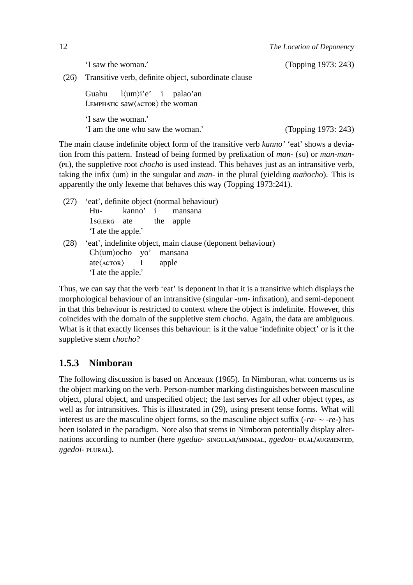'I saw the woman.' (Topping 1973: 243)

(26) Transitive verb, definite object, subordinate clause

Guahu I. EMPHATIC SAW (ACTOR) the woman  $l \langle \text{um} \rangle i' e'$ i palao'an 'I saw the woman.'

'I am the one who saw the woman.' (Topping 1973: 243)

The main clause indefinite object form of the transitive verb *kanno'* 'eat' shows a deviation from this pattern. Instead of being formed by prefixation of *man*- (sq) or *man-man-*(), the suppletive root *chocho* is used instead. This behaves just as an intransitive verb, taking the infix  $\langle \text{um} \rangle$  in the sungular and *man*- in the plural (yielding *mañocho*). This is apparently the only lexeme that behaves this way (Topping 1973:241).

- (27) 'eat', definite object (normal behaviour) Hu- kanno' i mansana 1s<sub>G</sub>. exc. ate the apple 'I ate the apple.' (28) 'eat', indefinite object, main clause (deponent behaviour)
- $Ch\langle um \rangle$ ocho yo' mansana  $ate$  Actor I apple 'I ate the apple.'

Thus, we can say that the verb 'eat' is deponent in that it is a transitive which displays the morphological behaviour of an intransitive (singular *-um-* infixation), and semi-deponent in that this behaviour is restricted to context where the object is indefinite. However, this coincides with the domain of the suppletive stem *chocho*. Again, the data are ambiguous. What is it that exactly licenses this behaviour: is it the value 'indefinite object' or is it the suppletive stem *chocho*?

## **1.5.3 Nimboran**

The following discussion is based on Anceaux (1965). In Nimboran, what concerns us is the object marking on the verb. Person-number marking distinguishes between masculine object, plural object, and unspecified object; the last serves for all other object types, as well as for intransitives. This is illustrated in (29), using present tense forms. What will interest us are the masculine object forms, so the masculine object suffix (*-ra-*  $\sim$  *-re-*) has been isolated in the paradigm. Note also that stems in Nimboran potentially display alternations according to number (here *ŋgeduo-* sINGULAR/MINIMAL, *ŋgedou-* DUAL/AUGMENTED,  $n$ *gedoi*- PLURAL).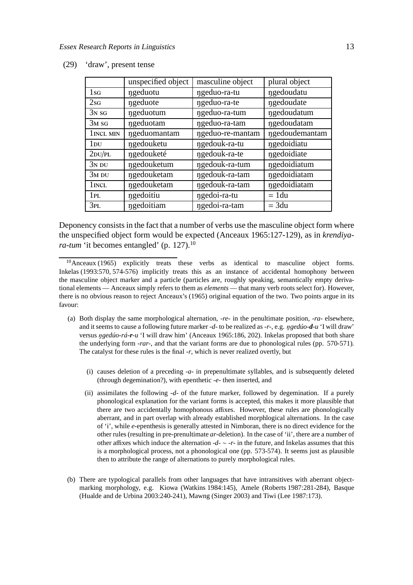|                 | unspecified object | masculine object | plural object  |
|-----------------|--------------------|------------------|----------------|
| $1_{SG}$        | ngeduotu           | ngeduo-ra-tu     | ngedoudatu     |
| 2s <sub>G</sub> | ngeduote           | ngeduo-ra-te     | ngedoudate     |
| $3N$ SG         | ngeduotum          | ngeduo-ra-tum    | ngedoudatum    |
| $3M$ SG         | ngeduotam          | ngeduo-ra-tam    | ngedoudatam    |
| 1 INCL MIN      | ngeduomantam       | ngeduo-re-mantam | ngedoudemantam |
| $1_{\rm DU}$    | ngedouketu         | ngedouk-ra-tu    | ngedoidiatu    |
| $2$ DU/PL       | ngedouketé         | ngedouk-ra-te    | ngedoidiate    |
| $3N$ DU         | ngedouketum        | ngedouk-ra-tum   | ngedoidiatum   |
| $3M$ DU         | ngedouketam        | ngedouk-ra-tam   | ngedoidiatam   |
| 1 INCL          | ngedouketam        | ngedouk-ra-tam   | ngedoidiatam   |
| 1PL             | ngedoitiu          | ngedoi-ra-tu     | $= 1 du$       |
| 3PL             | ngedoitiam         | ngedoi-ra-tam    | $= 3du$        |

(29) 'draw', present tense

Deponency consists in the fact that a number of verbs use the masculine object form where the unspecified object form would be expected (Anceaux 1965:127-129), as in *krendiyara-tum* 'it becomes entangled' (p. 127).<sup>10</sup>

- (a) Both display the same morphological alternation, *-re-* in the penultimate position, *-ra-* elsewhere, and it seems to cause a following future marker *-d-* to be realized as *-r-*, e.g. ŋ*gedúo-d-u* 'I will draw' versus ŋ*gedúo-rá-r-u* 'I will draw him' (Anceaux 1965:186, 202). Inkelas proposed that both share the underlying form *-rar-*, and that the variant forms are due to phonological rules (pp. 570-571). The catalyst for these rules is the final *-r*, which is never realized overtly, but
	- (i) causes deletion of a preceding *-a-* in prepenultimate syllables, and is subsequently deleted (through degemination?), with epenthetic *-e-* then inserted, and
	- (ii) assimilates the following *-d-* of the future marker, followed by degemination. If a purely phonological explanation for the variant forms is accepted, this makes it more plausible that there are two accidentally homophonous affixes. However, these rules are phonologically aberrant, and in part overlap with already established morphlogical alternations. In the case of 'i', while *e*-epenthesis is generally attested in Nimboran, there is no direct evidence for the other rules (resulting in pre-prenultimate *ar*-deletion). In the case of 'ii', there are a number of other affixes which induce the alternation *-d-* ∼ *-r-* in the future, and Inkelas assumes that this is a morphological process, not a phonological one (pp. 573-574). It seems just as plausible then to attribute the range of alternations to purely morphological rules.
- (b) There are typological parallels from other languages that have intransitives with aberrant objectmarking morphology, e.g. Kiowa (Watkins 1984:145), Amele (Roberts 1987:281-284), Basque (Hualde and de Urbina 2003:240-241), Mawng (Singer 2003) and Tiwi (Lee 1987:173).

<sup>10</sup>Anceaux (1965) explicitly treats these verbs as identical to masculine object forms. Inkelas (1993:570, 574-576) implicitly treats this as an instance of accidental homophony between the masculine object marker and a particle (particles are, roughly speaking, semantically empty derivational elements — Anceaux simply refers to them as *elements* — that many verb roots select for). However, there is no obvious reason to reject Anceaux's (1965) original equation of the two. Two points argue in its favour: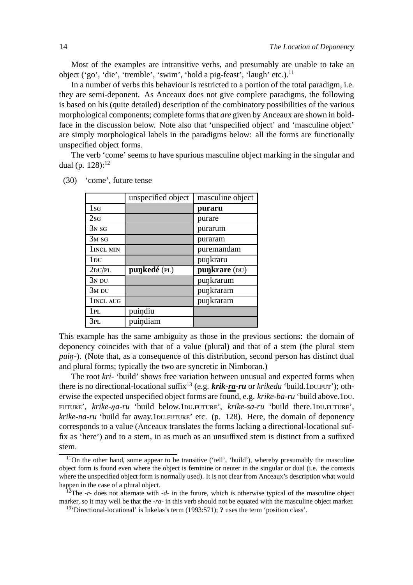Most of the examples are intransitive verbs, and presumably are unable to take an object ('go', 'die', 'tremble', 'swim', 'hold a pig-feast', 'laugh' etc.).<sup>11</sup>

In a number of verbs this behaviour is restricted to a portion of the total paradigm, i.e. they are semi-deponent. As Anceaux does not give complete paradigms, the following is based on his (quite detailed) description of the combinatory possibilities of the various morphological components; complete forms that *are* given by Anceaux are shown in boldface in the discussion below. Note also that 'unspecified object' and 'masculine object' are simply morphological labels in the paradigms below: all the forms are functionally unspecified object forms.

The verb 'come' seems to have spurious masculine object marking in the singular and dual (p.  $128$ ):<sup>12</sup>

|                 | unspecified object | masculine object |
|-----------------|--------------------|------------------|
| 1 <sub>SG</sub> |                    | puraru           |
| 2s <sub>G</sub> |                    | purare           |
| $3N$ SG         |                    | purarum          |
| $3M$ sg         |                    | puraram          |
| 1 INCL MIN      |                    | puremandam       |
| $1_{\rm DU}$    |                    | punkraru         |
| $2$ DU/PL       | punkedé (PL)       | punkrare (DU)    |
| $3N$ DU         |                    | punkrarum        |
| $3M$ DU         |                    | punkraram        |
| 1 INCL AUG      |                    | punkraram        |
| 1 pl.           | puindiu            |                  |
| 3PL             | puindiam           |                  |

(30) 'come', future tense

This example has the same ambiguity as those in the previous sections: the domain of deponency coincides with that of a value (plural) and that of a stem (the plural stem *puin*-). (Note that, as a consequence of this distribution, second person has distinct dual and plural forms; typically the two are syncretic in Nimboran.)

The root *kri-* 'build' shows free variation between unusual and expected forms when there is no directional-locational suffix<sup>13</sup> (e.g. *krik-ra-ru* or *krikedu* 'build.1DU.FUT'); otherwise the expected unspecified object forms are found, e.g. *krike-ba-ru* 'build above.1bu. FUTURE', *krike-na-ru* 'build below.1DU.FUTURE', *krike-sa-ru* 'build there.1DU.FUTURE', *krike-na-ru* 'build far away.1DU.FUTURE' etc. (p. 128). Here, the domain of deponency corresponds to a value (Anceaux translates the forms lacking a directional-locational suffix as 'here') and to a stem, in as much as an unsuffixed stem is distinct from a suffixed stem.

 $11$ On the other hand, some appear to be transitive ('tell', 'build'), whereby presumably the masculine object form is found even where the object is feminine or neuter in the singular or dual (i.e. the contexts where the unspecified object form is normally used). It is not clear from Anceaux's description what would happen in the case of a plural object.

<sup>12</sup>The *-r-* does not alternate with *-d-* in the future, which is otherwise typical of the masculine object marker, so it may well be that the *-ra-* in this verb should not be equated with the masculine object marker.

<sup>13</sup>'Directional-locational' is Inkelas's term (1993:571); **?** uses the term 'position class'.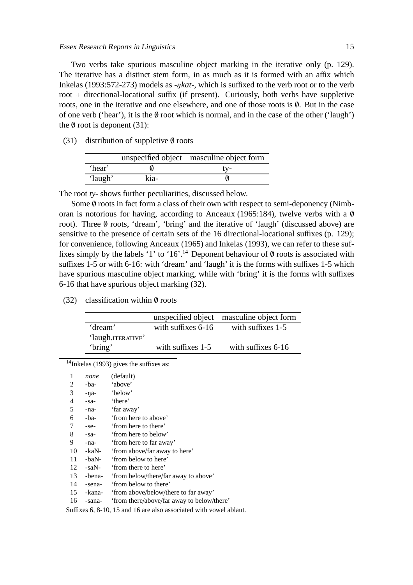Two verbs take spurious masculine object marking in the iterative only (p. 129). The iterative has a distinct stem form, in as much as it is formed with an affix which Inkelas (1993:572-273) models as *-*ŋ*kat-*, which is suffixed to the verb root or to the verb root + directional-locational suffix (if present). Curiously, both verbs have suppletive roots, one in the iterative and one elsewhere, and one of those roots is ∅. But in the case of one verb ('hear'), it is the  $\emptyset$  root which is normal, and in the case of the other ('laugh') the  $\emptyset$  root is deponent (31):

(31) distribution of suppletive  $\emptyset$  roots

|         |      | unspecified object masculine object form |
|---------|------|------------------------------------------|
| 'hear'  |      | tv-                                      |
| 'laugh' | kia- |                                          |

The root *ty-* shows further peculiarities, discussed below.

Some  $\emptyset$  roots in fact form a class of their own with respect to semi-deponency (Nimboran is notorious for having, according to Anceaux (1965:184), twelve verbs with a Ø root). Three ∅ roots, 'dream', 'bring' and the iterative of 'laugh' (discussed above) are sensitive to the presence of certain sets of the 16 directional-locational suffixes (p. 129); for convenience, following Anceaux (1965) and Inkelas (1993), we can refer to these suffixes simply by the labels '1' to '16'.<sup>14</sup> Deponent behaviour of  $\emptyset$  roots is associated with suffixes 1-5 or with 6-16: with 'dream' and 'laugh' it is the forms with suffixes 1-5 which have spurious masculine object marking, while with 'bring' it is the forms with suffixes 6-16 that have spurious object marking (32).

#### (32) classification within  $\emptyset$  roots

|                   |                     | unspecified object masculine object form |
|-------------------|---------------------|------------------------------------------|
| 'dream'           | with suffixes 6-16  | with suffixes 1-5                        |
| 'laugh.ITERATIVE' |                     |                                          |
| 'bring'           | with suffixes $1-5$ | with suffixes 6-16                       |

<sup>14</sup>Inkelas (1993) gives the suffixes as:

| 1  | none       | (default)                                  |
|----|------------|--------------------------------------------|
| 2  | -ba-       | 'above'                                    |
| 3  | $-na-$     | 'below'                                    |
| 4  | $-sa-$     | 'there'                                    |
| 5  | -na-       | 'far away'                                 |
| 6  | -ba-       | 'from here to above'                       |
| 7  | $-$ se $-$ | 'from here to there'                       |
| 8  | $-sa-$     | 'from here to below'                       |
| 9  | -na-       | 'from here to far away'                    |
| 10 | -kaN-      | 'from above/far away to here'              |
| 11 | -baN-      | 'from below to here'                       |
| 12 | -saN-      | 'from there to here'                       |
| 13 | -bena-     | 'from below/there/far away to above'       |
| 14 | -sena-     | 'from below to there'                      |
| 15 | -kana-     | 'from above/below/there to far away'       |
| 16 | -sana-     | 'from there/above/far away to below/there' |
|    |            |                                            |

Suffixes 6, 8-10, 15 and 16 are also associated with vowel ablaut.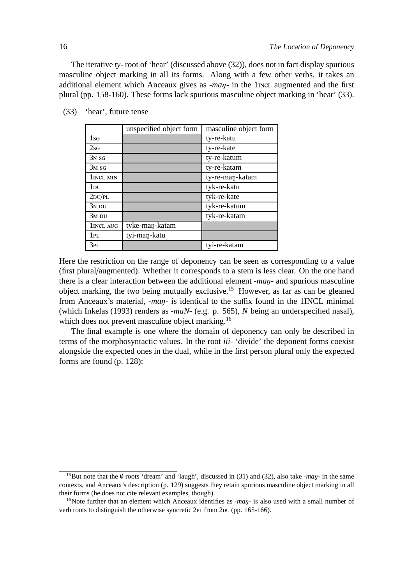The iterative *ty-* root of 'hear' (discussed above (32)), does not in fact display spurious masculine object marking in all its forms. Along with a few other verbs, it takes an additional element which Anceaux gives as *-man*- in the 1 mcL augmented and the first plural (pp. 158-160). These forms lack spurious masculine object marking in 'hear' (33).

|              | unspecified object form | masculine object form |
|--------------|-------------------------|-----------------------|
| $1_{SG}$     |                         | ty-re-katu            |
| $2$ sg       |                         | ty-re-kate            |
| $3N$ SG      |                         | ty-re-katum           |
| $3M$ SG      |                         | ty-re-katam           |
| 1 INCL MIN   |                         | ty-re-man-katam       |
| $1_{\rm DU}$ |                         | tyk-re-katu           |
| $2$ DU/PL    |                         | tyk-re-kate           |
| $3N$ DU      |                         | tyk-re-katum          |
| $3M$ DU      |                         | tyk-re-katam          |
| 1 INCL AUG   | tyke-maŋ-katam          |                       |
| 1PL          | tyi-man-katu            |                       |
| 3PL          |                         | tyi-re-katam          |

(33) 'hear', future tense

Here the restriction on the range of deponency can be seen as corresponding to a value (first plural/augmented). Whether it corresponds to a stem is less clear. On the one hand there is a clear interaction between the additional element *-ma*ŋ*-* and spurious masculine object marking, the two being mutually exclusive.<sup>15</sup> However, as far as can be gleaned from Anceaux's material, *-ma*ŋ*-* is identical to the suffix found in the 1INCL minimal (which Inkelas (1993) renders as *-maN-* (e.g. p. 565), *N* being an underspecified nasal), which does not prevent masculine object marking.<sup>16</sup>

The final example is one where the domain of deponency can only be described in terms of the morphosyntactic values. In the root *iii-* 'divide' the deponent forms coexist alongside the expected ones in the dual, while in the first person plural only the expected forms are found (p. 128):

<sup>15</sup>But note that the ∅ roots 'dream' and 'laugh', discussed in (31) and (32), also take *-ma*ŋ*-* in the same contexts, and Anceaux's description (p. 129) suggests they retain spurious masculine object marking in all their forms (he does not cite relevant examples, though).

<sup>&</sup>lt;sup>16</sup>Note further that an element which Anceaux identifies as *-man*- is also used with a small number of verb roots to distinguish the otherwise syncretic  $2PL$  from  $2DU$  (pp. 165-166).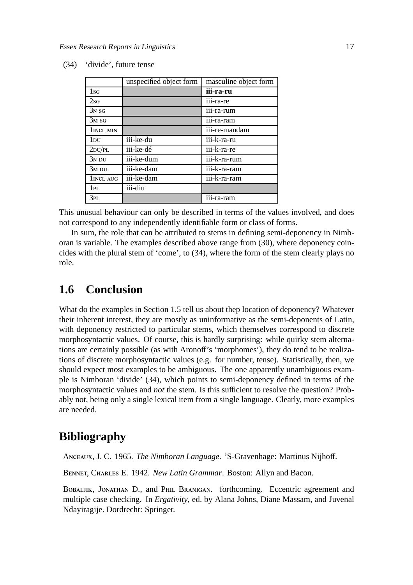|                   | unspecified object form | masculine object form |
|-------------------|-------------------------|-----------------------|
| 1s <sub>G</sub>   |                         | iii-ra-ru             |
| 2sf               |                         | iii-ra-re             |
| $3N$ SG           |                         | iii-ra-rum            |
| 3 <sub>M</sub> sg |                         | iii-ra-ram            |
| 1 INCL MIN        |                         | iii-re-mandam         |
| $1_{\rm DU}$      | iii-ke-du               | iii-k-ra-ru           |
| $2$ DU/PL         | iii-ke-dé               | iii-k-ra-re           |
| $3N$ DU           | iii-ke-dum              | iii-k-ra-rum          |
| $3M$ DU           | iii-ke-dam              | iii-k-ra-ram          |
| 1 INCL AUG        | iii-ke-dam              | iii-k-ra-ram          |
| 1PL               | iii-diu                 |                       |
| 3pl.              |                         | .<br>iii-ra-ram       |

(34) 'divide', future tense

This unusual behaviour can only be described in terms of the values involved, and does not correspond to any independently identifiable form or class of forms.

In sum, the role that can be attributed to stems in defining semi-deponency in Nimboran is variable. The examples described above range from (30), where deponency coincides with the plural stem of 'come', to (34), where the form of the stem clearly plays no role.

## **1.6 Conclusion**

What do the examples in Section 1.5 tell us about thep location of deponency? Whatever their inherent interest, they are mostly as uninformative as the semi-deponents of Latin, with deponency restricted to particular stems, which themselves correspond to discrete morphosyntactic values. Of course, this is hardly surprising: while quirky stem alternations are certainly possible (as with Aronoff's 'morphomes'), they do tend to be realizations of discrete morphosyntactic values (e.g. for number, tense). Statistically, then, we should expect most examples to be ambiguous. The one apparently unambiguous example is Nimboran 'divide' (34), which points to semi-deponency defined in terms of the morphosyntactic values and *not* the stem. Is this sufficient to resolve the question? Probably not, being only a single lexical item from a single language. Clearly, more examples are needed.

## **Bibliography**

ANCEAUX, J. C. 1965. *The Nimboran Language*. 'S-Gravenhage: Martinus Nijhoff.

BENNET, CHARLES E. 1942. *New Latin Grammar*. Boston: Allyn and Bacon.

BOBALJIK, JONATHAN D., and PHIL BRANIGAN. forthcoming. Eccentric agreement and multiple case checking. In *Ergativity*, ed. by Alana Johns, Diane Massam, and Juvenal Ndayiragije. Dordrecht: Springer.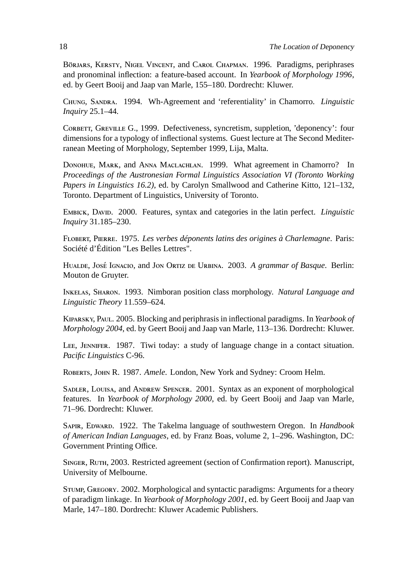BÖRJARS, KERSTY, NIGEL VINCENT, and CAROL CHAPMAN. 1996. Paradigms, periphrases and pronominal inflection: a feature-based account. In *Yearbook of Morphology 1996*, ed. by Geert Booij and Jaap van Marle, 155–180. Dordrecht: Kluwer.

CHUNG, SANDRA. 1994. Wh-Agreement and 'referentiality' in Chamorro. *Linguistic Inquiry* 25.1–44.

CORBETT, GREVILLE G., 1999. Defectiveness, syncretism, suppletion, 'deponency': four dimensions for a typology of inflectional systems. Guest lecture at The Second Mediterranean Meeting of Morphology, September 1999, Lija, Malta.

DONOHUE, MARK, and ANNA MACLACHLAN. 1999. What agreement in Chamorro? In *Proceedings of the Austronesian Formal Linguistics Association VI (Toronto Working Papers in Linguistics 16.2)*, ed. by Carolyn Smallwood and Catherine Kitto, 121–132, Toronto. Department of Linguistics, University of Toronto.

EMBICK, DAVID. 2000. Features, syntax and categories in the latin perfect. *Linguistic Inquiry* 31.185–230.

FLOBERT, PIERRE. 1975. *Les verbes déponents latins des origines à Charlemagne*. Paris: Société d'Édition "Les Belles Lettres".

HUALDE, JOSÉ IGNACIO, and JON ORTIZ DE URBINA. 2003. A grammar of Basque. Berlin: Mouton de Gruyter.

INKELAS, SHARON. 1993. Nimboran position class morphology. Natural Language and *Linguistic Theory* 11.559–624.

KIPARSKY, PAUL. 2005. Blocking and periphrasis in inflectional paradigms. In *Yearbook of Morphology 2004*, ed. by Geert Booij and Jaap van Marle, 113–136. Dordrecht: Kluwer.

LEE, JENNIFER. 1987. Tiwi today: a study of language change in a contact situation. *Pacific Linguistics* C-96.

ROBERTS, JOHN R. 1987. *Amele*. London, New York and Sydney: Croom Helm.

SADLER, LOUISA, and ANDREW SPENCER. 2001. Syntax as an exponent of morphological features. In *Yearbook of Morphology 2000*, ed. by Geert Booij and Jaap van Marle, 71–96. Dordrecht: Kluwer.

SAPIR, EDWARD. 1922. The Takelma language of southwestern Oregon. In *Handbook of American Indian Languages*, ed. by Franz Boas, volume 2, 1–296. Washington, DC: Government Printing Office.

SINGER, RUTH, 2003. Restricted agreement (section of Confirmation report). Manuscript, University of Melbourne.

STUMP, GREGORY. 2002. Morphological and syntactic paradigms: Arguments for a theory of paradigm linkage. In *Yearbook of Morphology 2001*, ed. by Geert Booij and Jaap van Marle, 147–180. Dordrecht: Kluwer Academic Publishers.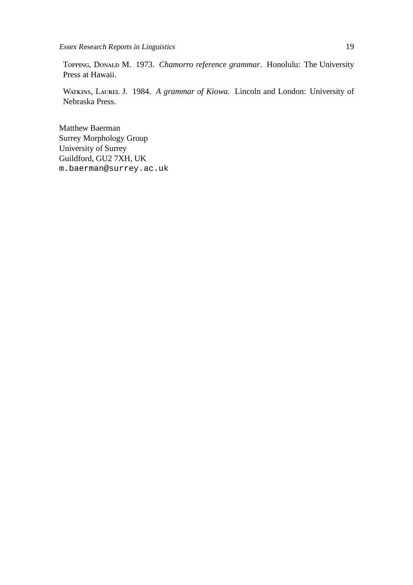TOPPING, DONALD M. 1973. *Chamorro reference grammar*. Honolulu: The University Press at Hawaii.

WATKINS, LAUREL J. 1984. A grammar of Kiowa. Lincoln and London: University of Nebraska Press.

Matthew Baerman Surrey Morphology Group University of Surrey Guildford, GU2 7XH, UK m.baerman@surrey.ac.uk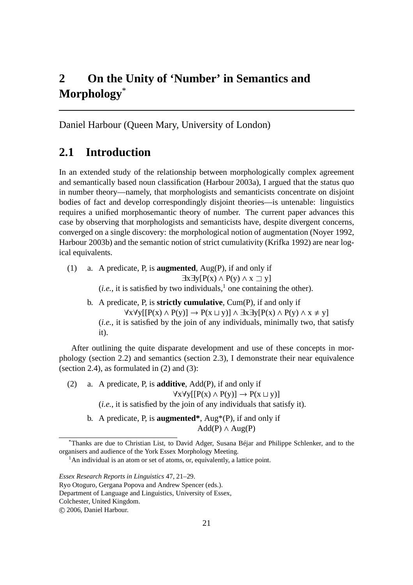# **2 On the Unity of 'Number' in Semantics and Morphology**\*

Daniel Harbour (Queen Mary, University of London)

## **2.1 Introduction**

In an extended study of the relationship between morphologically complex agreement and semantically based noun classification (Harbour 2003a), I argued that the status quo in number theory—namely, that morphologists and semanticists concentrate on disjoint bodies of fact and develop correspondingly disjoint theories—is untenable: linguistics requires a unified morphosemantic theory of number. The current paper advances this case by observing that morphologists and semanticists have, despite divergent concerns, converged on a single discovery: the morphological notion of augmentation (Noyer 1992, Harbour 2003b) and the semantic notion of strict cumulativity (Krifka 1992) are near logical equivalents.

(1) a. A predicate, P, is **augmented**, Aug(P), if and only if  $\exists x \exists y [P(x) \land P(y) \land x \sqsupset y]$ (*i.e.*, it is satisfied by two individuals,<sup>1</sup> one containing the other).

b. A predicate, P, is **strictly cumulative**, Cum(P), if and only if  $\forall x \forall y [[P(x) \land P(y)] \rightarrow P(x \sqcup y)] \land \exists x \exists y [P(x) \land P(y) \land x \neq y]$ (*i.e.*, it is satisfied by the join of any individuals, minimally two, that satisfy it).

After outlining the quite disparate development and use of these concepts in morphology (section 2.2) and semantics (section 2.3), I demonstrate their near equivalence (section 2.4), as formulated in (2) and (3):

- (2) a. A predicate, P, is **additive**, Add(P), if and only if  $\forall x \forall y [[P(x) \land P(y)] \rightarrow P(x \sqcup y)]$ (*i.e.*, it is satisfied by the join of any individuals that satisfy it).
	- b. A predicate, P, is **augmented\***, Aug\*(P), if and only if  $Add(P) \wedge Aug(P)$

 $1$ An individual is an atom or set of atoms, or, equivalently, a lattice point.

<sup>\*</sup>Thanks are due to Christian List, to David Adger, Susana Béjar and Philippe Schlenker, and to the organisers and audience of the York Essex Morphology Meeting.

*Essex Research Reports in Linguistics* 47, 21–29.

Ryo Otoguro, Gergana Popova and Andrew Spencer (eds.).

Department of Language and Linguistics, University of Essex,

Colchester, United Kingdom.

c 2006, Daniel Harbour.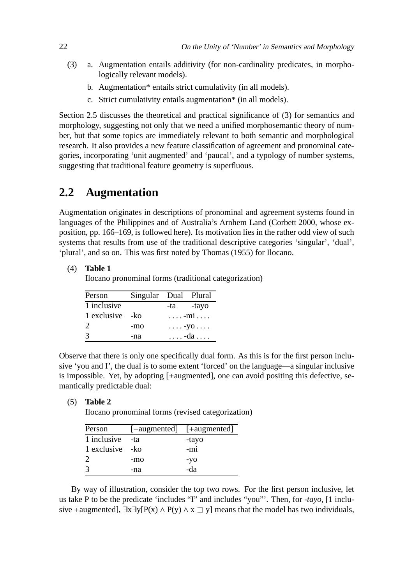- (3) a. Augmentation entails additivity (for non-cardinality predicates, in morphologically relevant models).
	- b. Augmentation\* entails strict cumulativity (in all models).
	- c. Strict cumulativity entails augmentation\* (in all models).

Section 2.5 discusses the theoretical and practical significance of (3) for semantics and morphology, suggesting not only that we need a unified morphosemantic theory of number, but that some topics are immediately relevant to both semantic and morphological research. It also provides a new feature classification of agreement and pronominal categories, incorporating 'unit augmented' and 'paucal', and a typology of number systems, suggesting that traditional feature geometry is superfluous.

## **2.2 Augmentation**

Augmentation originates in descriptions of pronominal and agreement systems found in languages of the Philippines and of Australia's Arnhem Land (Corbett 2000, whose exposition, pp. 166–169, is followed here). Its motivation lies in the rather odd view of such systems that results from use of the traditional descriptive categories 'singular', 'dual', 'plural', and so on. This was first noted by Thomas (1955) for Ilocano.

(4) **Table 1**

Ilocano pronominal forms (traditional categorization)

| Person           | Singular Dual Plural |                          |
|------------------|----------------------|--------------------------|
| 1 inclusive      |                      | -ta -tayo                |
| 1 exclusive - ko |                      | $\ldots$ - $mi$ $\ldots$ |
| 2                | -mo                  | $\ldots$ -yo $\ldots$ .  |
| $\mathcal{R}$    | -na                  | . -da                    |

Observe that there is only one specifically dual form. As this is for the first person inclusive 'you and I', the dual is to some extent 'forced' on the language—a singular inclusive is impossible. Yet, by adopting [±augmented], one can avoid positing this defective, semantically predictable dual:

(5) **Table 2**

Ilocano pronominal forms (revised categorization)

| Person           |     | [-augmented] [+augmented] |
|------------------|-----|---------------------------|
| 1 inclusive      | -ta | -tayo                     |
| 1 exclusive - ko |     | $-m1$                     |
| $\mathcal{D}$    | -mo | $-yO$                     |
| $\mathcal{R}$    | -na | -da                       |

By way of illustration, consider the top two rows. For the first person inclusive, let us take P to be the predicate 'includes "I" and includes "you"'. Then, for *-tayo*, [1 inclusive +augmented],  $\exists x \exists y [P(x) \land P(y) \land x \sqsupset y]$  means that the model has two individuals,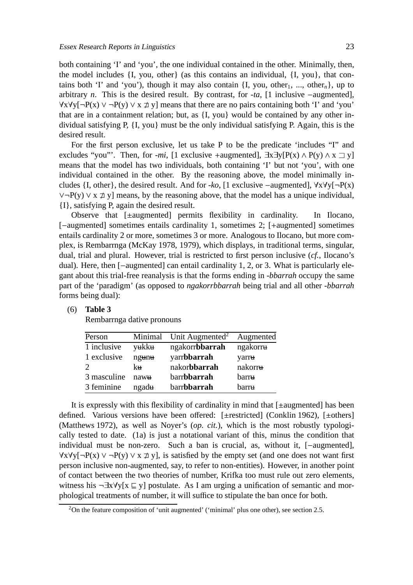both containing 'I' and 'you', the one individual contained in the other. Minimally, then, the model includes {I, you, other} (as this contains an individual, {I, you}, that contains both 'I' and 'you'), though it may also contain  $\{I, you, other_1, ..., other_n\}$ , up to arbitrary *n*. This is the desired result. By contrast, for *-ta*, [1 inclusive −augmented],  $\forall x \forall y [\neg P(x) \lor \neg P(y) \lor x \not\exists y]$  means that there are no pairs containing both 'I' and 'you' that are in a containment relation; but, as {I, you} would be contained by any other individual satisfying P, {I, you} must be the only individual satisfying P. Again, this is the desired result.

For the first person exclusive, let us take P to be the predicate 'includes "I" and excludes "you"'. Then, for *-mi*, [1 exclusive +augmented],  $\exists x \exists y [P(x) \land P(y) \land x \sqsupset y]$ means that the model has two individuals, both containing 'I' but not 'you', with one individual contained in the other. By the reasoning above, the model minimally includes {I, other}, the desired result. And for *-ko*, [1 exclusive −augmented], ∀x∀y[¬P(x)  $\vee \neg P(y) \vee x \not\supseteq y$ ] means, by the reasoning above, that the model has a unique individual, {I}, satisfying P, again the desired result.

Observe that [±augmented] permits flexibility in cardinality. In Ilocano, [−augmented] sometimes entails cardinality 1, sometimes 2; [+augmented] sometimes entails cardinality 2 or more, sometimes 3 or more. Analogous to Ilocano, but more complex, is Rembarrnga (McKay 1978, 1979), which displays, in traditional terms, singular, dual, trial and plural. However, trial is restricted to first person inclusive (*cf.*, Ilocano's dual). Here, then [−augmented] can entail cardinality 1, 2, or 3. What is particularly elegant about this trial-free reanalysis is that the forms ending in *-bbarrah* occupy the same part of the 'paradigm' (as opposed to *ngakorrbbarrah* being trial and all other *-bbarrah* forms being dual):

### (6) **Table 3**

Rembarrnga dative pronouns

| Person                      | Minimal | Unit Augmented <sup>2</sup> | Augmented |
|-----------------------------|---------|-----------------------------|-----------|
| 1 inclusive                 | yukku   | ngakorr <b>bbarrah</b>      | ngakorru  |
| 1 exclusive                 | ngunu   | yarrbbarrah                 | yarru     |
| $\mathcal{D}_{\mathcal{A}}$ | kн      | nakorbbarrah                | nakorru   |
| 3 masculine                 | nawu    | barrbbarrah                 | barru     |
| 3 feminine                  | ngadu   | barrbbarrah                 | barru     |

It is expressly with this flexibility of cardinality in mind that [±augmented] has been defined. Various versions have been offered: [±restricted] (Conklin 1962), [±others] (Matthews 1972), as well as Noyer's (*op. cit.*), which is the most robustly typologically tested to date. (1a) is just a notational variant of this, minus the condition that individual must be non-zero. Such a ban is crucial, as, without it, [−augmented],  $\forall x \forall y [\neg P(x) \lor \neg P(y) \lor x \not\sqsupset y]$ , is satisfied by the empty set (and one does not want first person inclusive non-augmented, say, to refer to non-entities). However, in another point of contact between the two theories of number, Krifka too must rule out zero elements, witness his  $\neg \exists x \forall y[x \sqsubseteq y]$  postulate. As I am urging a unification of semantic and morphological treatments of number, it will suffice to stipulate the ban once for both.

 $2$ On the feature composition of 'unit augmented' ('minimal' plus one other), see section 2.5.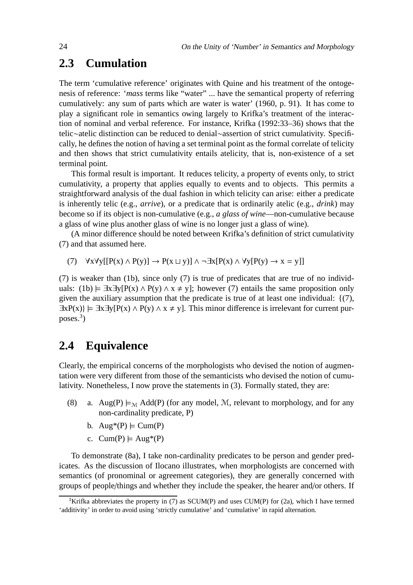## **2.3 Cumulation**

The term 'cumulative reference' originates with Quine and his treatment of the ontogenesis of reference: '*mass* terms like "water" ... have the semantical property of referring cumulatively: any sum of parts which are water is water' (1960, p. 91). It has come to play a significant role in semantics owing largely to Krifka's treatment of the interaction of nominal and verbal reference. For instance, Krifka (1992:33–36) shows that the telic∼atelic distinction can be reduced to denial∼assertion of strict cumulativity. Specifically, he defines the notion of having a set terminal point as the formal correlate of telicity and then shows that strict cumulativity entails atelicity, that is, non-existence of a set terminal point.

This formal result is important. It reduces telicity, a property of events only, to strict cumulativity, a property that applies equally to events and to objects. This permits a straightforward analysis of the dual fashion in which telicity can arise: either a predicate is inherently telic (e.g., *arrive*), or a predicate that is ordinarily atelic (e.g., *drink*) may become so if its object is non-cumulative (e.g., *a glass of wine*—non-cumulative because a glass of wine plus another glass of wine is no longer just a glass of wine).

(A minor difference should be noted between Krifka's definition of strict cumulativity (7) and that assumed here.

(7)  $\forall x \forall y [[P(x) \land P(y)] \rightarrow P(x \sqcup y)] \land \neg \exists x [P(x) \land \forall y [P(y) \rightarrow x = y]]$ 

(7) is weaker than (1b), since only (7) is true of predicates that are true of no individuals: (1b)  $\models \exists x \exists y [P(x) \land P(y) \land x \neq y]$ ; however (7) entails the same proposition only given the auxiliary assumption that the predicate is true of at least one individual:  $\{(7),\}$  $\exists xP(x)$  =  $\exists x\exists y[P(x) \land P(y) \land x \neq y]$ . This minor difference is irrelevant for current purposes.<sup>3</sup> )

## **2.4 Equivalence**

Clearly, the empirical concerns of the morphologists who devised the notion of augmentation were very different from those of the semanticists who devised the notion of cumulativity. Nonetheless, I now prove the statements in (3). Formally stated, they are:

- (8) a. Aug(P)  $\models_M Add(P)$  (for any model, M, relevant to morphology, and for any non-cardinality predicate, P)
	- b.  $Aug*(P) \models Cum(P)$
	- c.  $Cum(P) \models Aug^*(P)$

To demonstrate (8a), I take non-cardinality predicates to be person and gender predicates. As the discussion of Ilocano illustrates, when morphologists are concerned with semantics (of pronominal or agreement categories), they are generally concerned with groups of people/things and whether they include the speaker, the hearer and/or others. If

<sup>&</sup>lt;sup>3</sup>Krifka abbreviates the property in (7) as SCUM(P) and uses CUM(P) for (2a), which I have termed 'additivity' in order to avoid using 'strictly cumulative' and 'cumulative' in rapid alternation.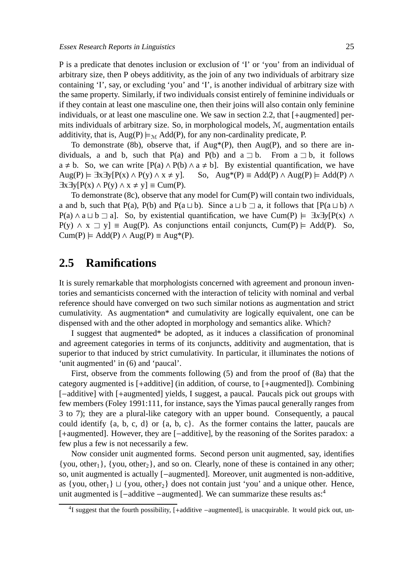P is a predicate that denotes inclusion or exclusion of 'I' or 'you' from an individual of arbitrary size, then P obeys additivity, as the join of any two individuals of arbitrary size containing 'I', say, or excluding 'you' and 'I', is another individual of arbitrary size with the same property. Similarly, if two individuals consist entirely of feminine individuals or if they contain at least one masculine one, then their joins will also contain only feminine individuals, or at least one masculine one. We saw in section 2.2, that [+augmented] permits individuals of arbitrary size. So, in morphological models, M, augmentation entails additivity, that is,  $\text{Aug}(P) \models_M \text{Add}(P)$ , for any non-cardinality predicate, P.

To demonstrate (8b), observe that, if  $Aug*(P)$ , then  $Aug(P)$ , and so there are individuals, a and b, such that P(a) and P(b) and a  $\nexists$  b. From a  $\nexists$  b, it follows  $a \neq b$ . So, we can write  $[P(a) \wedge P(b) \wedge a \neq b]$ . By existential quantification, we have  $Aug(P) \models \exists x \exists y [P(x) \land P(y) \land x \neq y].$  So,  $Aug^*(P) \equiv Add(P) \land Aug(P) \models Add(P) \land$  $\exists x \exists y [P(x) \land P(y) \land x \neq y] \equiv \text{Cum}(P).$ 

To demonstrate (8c), observe that any model for Cum(P) will contain two individuals, a and b, such that P(a), P(b) and P(a  $\sqcup$  b). Since a  $\sqcup$  b  $\sqsupset$  a, it follows that  $[P(a \sqcup b) \wedge$ P(a) ∧ a  $\sqcup$  b  $\sqsupset$  a]. So, by existential quantification, we have Cum(P)  $\models \exists x \exists y [P(x) \land P(y)]$  $P(y) \wedge x \supseteq y$  = Aug(P). As conjunctions entail conjuncts, Cum(P)  $\models$  Add(P). So,  $Cum(P) \models Add(P) \land Aug(P) \equiv Aug^*(P).$ 

## **2.5 Ramifications**

It is surely remarkable that morphologists concerned with agreement and pronoun inventories and semanticists concerned with the interaction of telicity with nominal and verbal reference should have converged on two such similar notions as augmentation and strict cumulativity. As augmentation\* and cumulativity are logically equivalent, one can be dispensed with and the other adopted in morphology and semantics alike. Which?

I suggest that augmented\* be adopted, as it induces a classification of pronominal and agreement categories in terms of its conjuncts, additivity and augmentation, that is superior to that induced by strict cumulativity. In particular, it illuminates the notions of 'unit augmented' in (6) and 'paucal'.

First, observe from the comments following (5) and from the proof of (8a) that the category augmented is [+additive] (in addition, of course, to [+augmented]). Combining [-additive] with [+augmented] yields, I suggest, a paucal. Paucals pick out groups with few members (Foley 1991:111, for instance, says the Yimas paucal generally ranges from 3 to 7); they are a plural-like category with an upper bound. Consequently, a paucal could identify {a, b, c, d} or {a, b, c}. As the former contains the latter, paucals are [+augmented]. However, they are [−additive], by the reasoning of the Sorites paradox: a few plus a few is not necessarily a few.

Now consider unit augmented forms. Second person unit augmented, say, identifies  $\{you, other_1\}$ ,  $\{you, other_2\}$ , and so on. Clearly, none of these is contained in any other; so, unit augmented is actually [−augmented]. Moreover, unit augmented is non-additive, as {you, other<sub>1</sub>}  $\sqcup$  {you, other<sub>2</sub>} does not contain just 'you' and a unique other. Hence, unit augmented is [−additive −augmented]. We can summarize these results as:<sup>4</sup>

<sup>4</sup> I suggest that the fourth possibility, [+additive −augmented], is unacquirable. It would pick out, un-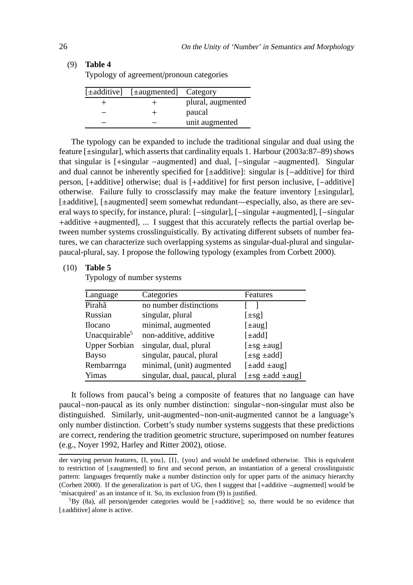### (9) **Table 4**

Typology of agreement/pronoun categories

| [±additive] [±augmented] Category |                   |
|-----------------------------------|-------------------|
|                                   | plural, augmented |
|                                   | paucal            |
|                                   | unit augmented    |

The typology can be expanded to include the traditional singular and dual using the feature [±singular], which asserts that cardinality equals 1. Harbour (2003a:87–89) shows that singular is [+singular −augmented] and dual, [−singular −augmented]. Singular and dual cannot be inherently specified for [±additive]: singular is [−additive] for third person, [+additive] otherwise; dual is [+additive] for first person inclusive, [−additive] otherwise. Failure fully to crossclassify may make the feature inventory [±singular], [±additive], [±augmented] seem somewhat redundant—especially, also, as there are several ways to specify, for instance, plural: [−singular], [−singular +augmented], [−singular +additive +augmented], ... I suggest that this accurately reflects the partial overlap between number systems crosslinguistically. By activating different subsets of number features, we can characterize such overlapping systems as singular-dual-plural and singularpaucal-plural, say. I propose the following typology (examples from Corbett 2000).

### (10) **Table 5**

Typology of number systems

| Language             | Categories                     | Features                          |
|----------------------|--------------------------------|-----------------------------------|
| Pirahã               | no number distinctions         |                                   |
| Russian              | singular, plural               | $[\pm s g]$                       |
| <b>Ilocano</b>       | minimal, augmented             | $[\pm aug]$                       |
| Unacquirable $5$     | non-additive, additive         | $[\pm add]$                       |
| <b>Upper Sorbian</b> | singular, dual, plural         | $[\pm sg \pm aug]$                |
| <b>Bayso</b>         | singular, paucal, plural       | $[\pm s g \pm add]$               |
| Rembarrnga           | minimal, (unit) augmented      | $[\pm \text{add} \pm \text{aug}]$ |
| Yimas                | singular, dual, paucal, plural | $[\pm s g \pm add \pm aug]$       |

It follows from paucal's being a composite of features that no language can have paucal∼non-paucal as its only number distinction: singular∼non-singular must also be distinguished. Similarly, unit-augmented∼non-unit-augmented cannot be a language's only number distinction. Corbett's study number systems suggests that these predictions are correct, rendering the tradition geometric structure, superimposed on number features (e.g., Noyer 1992, Harley and Ritter 2002), otiose.

der varying person features, {I, you}, {I}, {you} and would be undefined otherwise. This is equivalent to restriction of [±augmented] to first and second person, an instantiation of a general crosslinguistic pattern: languages frequently make a number distinction only for upper parts of the animacy hierarchy (Corbett 2000). If the generalization is part of UG, then I suggest that [+additive −augmented] would be 'misacquired' as an instance of it. So, its exclusion from (9) is justified.

 ${}^{5}$ By (8a), all person/gender categories would be [+additive]; so, there would be no evidence that [ $±additive$ ] alone is active.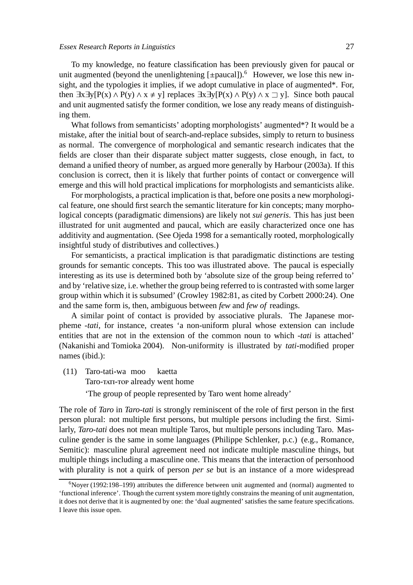To my knowledge, no feature classification has been previously given for paucal or unit augmented (beyond the unenlightening  $[\pm$ paucal]).<sup>6</sup> However, we lose this new insight, and the typologies it implies, if we adopt cumulative in place of augmented\*. For, then  $\exists x \exists y [P(x) \land P(y) \land x \neq y]$  replaces  $\exists x \exists y [P(x) \land P(y) \land x \sqsupset y]$ . Since both paucal and unit augmented satisfy the former condition, we lose any ready means of distinguishing them.

What follows from semanticists' adopting morphologists' augmented\*? It would be a mistake, after the initial bout of search-and-replace subsides, simply to return to business as normal. The convergence of morphological and semantic research indicates that the fields are closer than their disparate subject matter suggests, close enough, in fact, to demand a unified theory of number, as argued more generally by Harbour (2003a). If this conclusion is correct, then it is likely that further points of contact or convergence will emerge and this will hold practical implications for morphologists and semanticists alike.

For morphologists, a practical implication is that, before one posits a new morphological feature, one should first search the semantic literature for kin concepts; many morphological concepts (paradigmatic dimensions) are likely not *sui generis*. This has just been illustrated for unit augmented and paucal, which are easily characterized once one has additivity and augmentation. (See Ojeda 1998 for a semantically rooted, morphologically insightful study of distributives and collectives.)

For semanticists, a practical implication is that paradigmatic distinctions are testing grounds for semantic concepts. This too was illustrated above. The paucal is especially interesting as its use is determined both by 'absolute size of the group being referred to' and by 'relative size, i.e. whether the group being referred to is contrasted with some larger group within which it is subsumed' (Crowley 1982:81, as cited by Corbett 2000:24). One and the same form is, then, ambiguous between *few* and *few of* readings.

A similar point of contact is provided by associative plurals. The Japanese morpheme *-tati*, for instance, creates 'a non-uniform plural whose extension can include entities that are not in the extension of the common noun to which *-tati* is attached' (Nakanishi and Tomioka 2004). Non-uniformity is illustrated by *tati*-modified proper names (ibid.):

(11) Taro-tati-wa moo kaetta

Taro-TATI-TOP already went home

'The group of people represented by Taro went home already'

The role of *Taro* in *Taro-tati* is strongly reminiscent of the role of first person in the first person plural: not multiple first persons, but multiple persons including the first. Similarly, *Taro-tati* does not mean multiple Taros, but multiple persons including Taro. Masculine gender is the same in some languages (Philippe Schlenker, p.c.) (e.g., Romance, Semitic): masculine plural agreement need not indicate multiple masculine things, but multiple things including a masculine one. This means that the interaction of personhood with plurality is not a quirk of person *per se* but is an instance of a more widespread

<sup>6</sup>Noyer (1992:198–199) attributes the difference between unit augmented and (normal) augmented to 'functional inference'. Though the current system more tightly constrains the meaning of unit augmentation, it does not derive that it is augmented by one: the 'dual augmented' satisfies the same feature specifications. I leave this issue open.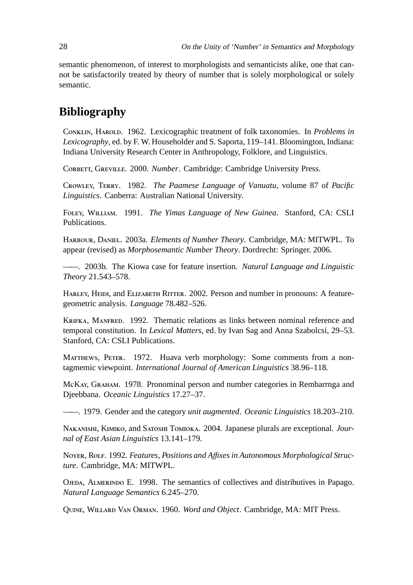semantic phenomenon, of interest to morphologists and semanticists alike, one that cannot be satisfactorily treated by theory of number that is solely morphological or solely semantic.

# **Bibliography**

CONKLIN, HAROLD. 1962. Lexicographic treatment of folk taxonomies. In *Problems in Lexicography*, ed. by F. W. Householder and S. Saporta, 119–141. Bloomington, Indiana: Indiana University Research Center in Anthropology, Folklore, and Linguistics.

CORBETT, GREVILLE. 2000. *Number*. Cambridge: Cambridge University Press.

CROWLEY, TERRY. 1982. *The Paamese Language of Vanuatu*, volume 87 of *Pacific Linguistics*. Canberra: Australian National University.

FOLEY, WILLIAM. 1991. *The Yimas Language of New Guinea*. Stanford, CA: CSLI Publications.

HARBOUR, DANIEL. 2003a. *Elements of Number Theory*. Cambridge, MA: MITWPL. To appear (revised) as *Morphosemantic Number Theory*. Dordrecht: Springer. 2006.

——. 2003b. The Kiowa case for feature insertion. *Natural Language and Linguistic Theory* 21.543–578.

HARLEY, HEIDI, and ELIZABETH RITTER. 2002. Person and number in pronouns: A featuregeometric analysis. *Language* 78.482–526.

KRIFKA, MANFRED. 1992. Thematic relations as links between nominal reference and temporal constitution. In *Lexical Matters*, ed. by Ivan Sag and Anna Szabolcsi, 29–53. Stanford, CA: CSLI Publications.

MATTHEWS, PETER. 1972. Huava verb morphology: Some comments from a nontagmemic viewpoint. *International Journal of American Linguistics* 38.96–118.

McKAY, GRAHAM. 1978. Pronominal person and number categories in Rembarrnga and Djeebbana. *Oceanic Linguistics* 17.27–37.

——. 1979. Gender and the category *unit augmented*. *Oceanic Linguistics* 18.203–210.

NAKANISHI, KIMIKO, and SATOSHI TOMIOKA. 2004. Japanese plurals are exceptional. *Journal of East Asian Linguistics* 13.141–179.

N, R. 1992. *Features, Positions and A*ffi*xes in Autonomous Morphological Structure*. Cambridge, MA: MITWPL.

OJEDA, ALMERINDO E. 1998. The semantics of collectives and distributives in Papago. *Natural Language Semantics* 6.245–270.

QUINE, WILLARD VAN ORMAN. 1960. *Word and Object*. Cambridge, MA: MIT Press.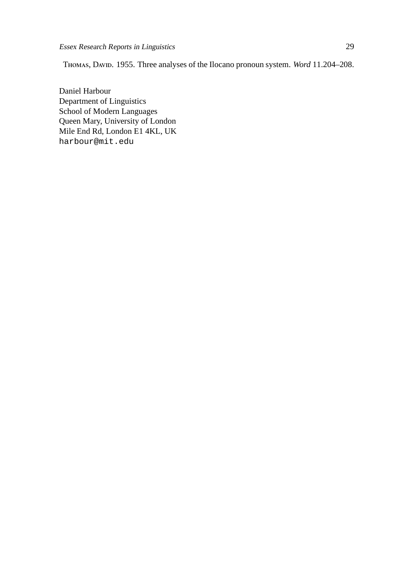THOMAS, DAVID. 1955. Three analyses of the Ilocano pronoun system. *Word* 11.204–208.

Daniel Harbour Department of Linguistics School of Modern Languages Queen Mary, University of London Mile End Rd, London E1 4KL, UK harbour@mit.edu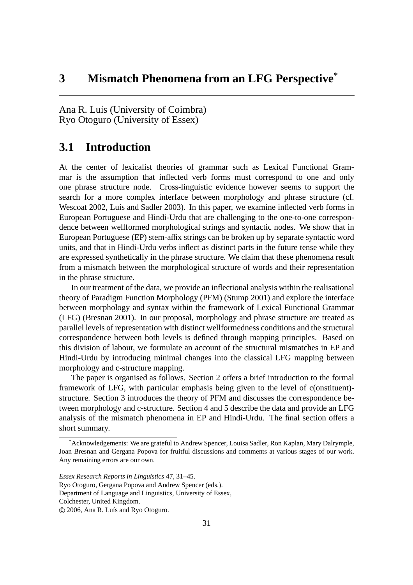Ana R. Luís (University of Coimbra) Ryo Otoguro (University of Essex)

## **3.1 Introduction**

At the center of lexicalist theories of grammar such as Lexical Functional Grammar is the assumption that inflected verb forms must correspond to one and only one phrase structure node. Cross-linguistic evidence however seems to support the search for a more complex interface between morphology and phrase structure (cf. Wescoat 2002, Luís and Sadler 2003). In this paper, we examine inflected verb forms in European Portuguese and Hindi-Urdu that are challenging to the one-to-one correspondence between wellformed morphological strings and syntactic nodes. We show that in European Portuguese (EP) stem-affix strings can be broken up by separate syntactic word units, and that in Hindi-Urdu verbs inflect as distinct parts in the future tense while they are expressed synthetically in the phrase structure. We claim that these phenomena result from a mismatch between the morphological structure of words and their representation in the phrase structure.

In our treatment of the data, we provide an inflectional analysis within the realisational theory of Paradigm Function Morphology (PFM) (Stump 2001) and explore the interface between morphology and syntax within the framework of Lexical Functional Grammar (LFG) (Bresnan 2001). In our proposal, morphology and phrase structure are treated as parallel levels of representation with distinct wellformedness conditions and the structural correspondence between both levels is defined through mapping principles. Based on this division of labour, we formulate an account of the structural mismatches in EP and Hindi-Urdu by introducing minimal changes into the classical LFG mapping between morphology and c-structure mapping.

The paper is organised as follows. Section 2 offers a brief introduction to the formal framework of LFG, with particular emphasis being given to the level of c(onstituent) structure. Section 3 introduces the theory of PFM and discusses the correspondence between morphology and c-structure. Section 4 and 5 describe the data and provide an LFG analysis of the mismatch phenomena in EP and Hindi-Urdu. The final section offers a short summary.

<sup>\*</sup>Acknowledgements: We are grateful to Andrew Spencer, Louisa Sadler, Ron Kaplan, Mary Dalrymple, Joan Bresnan and Gergana Popova for fruitful discussions and comments at various stages of our work. Any remaining errors are our own.

*Essex Research Reports in Linguistics* 47, 31–45.

Ryo Otoguro, Gergana Popova and Andrew Spencer (eds.).

Department of Language and Linguistics, University of Essex,

Colchester, United Kingdom.

c 2006, Ana R. Luís and Ryo Otoguro.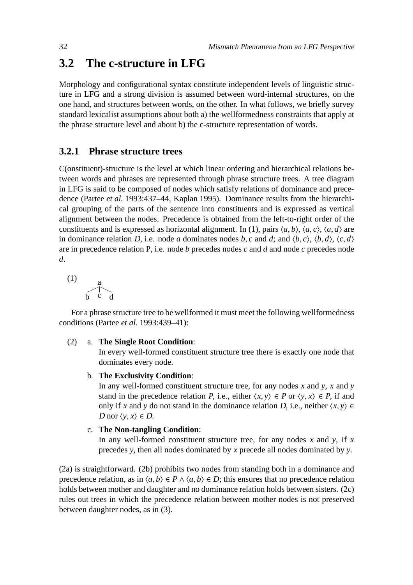## **3.2 The c-structure in LFG**

Morphology and configurational syntax constitute independent levels of linguistic structure in LFG and a strong division is assumed between word-internal structures, on the one hand, and structures between words, on the other. In what follows, we briefly survey standard lexicalist assumptions about both a) the wellformedness constraints that apply at the phrase structure level and about b) the c-structure representation of words.

## **3.2.1 Phrase structure trees**

C(onstituent)-structure is the level at which linear ordering and hierarchical relations between words and phrases are represented through phrase structure trees. A tree diagram in LFG is said to be composed of nodes which satisfy relations of dominance and precedence (Partee *et al.* 1993:437–44, Kaplan 1995). Dominance results from the hierarchical grouping of the parts of the sentence into constituents and is expressed as vertical alignment between the nodes. Precedence is obtained from the left-to-right order of the constituents and is expressed as horizontal alignment. In (1), pairs  $\langle a, b \rangle$ ,  $\langle a, c \rangle$ ,  $\langle a, d \rangle$  are in dominance relation D, i.e. node *a* dominates nodes *b*, *c* and *d*; and  $\langle b, c \rangle$ ,  $\langle b, d \rangle$ ,  $\langle c, d \rangle$ are in precedence relation P, i.e. node *b* precedes nodes *c* and *d* and node *c* precedes node *d*.

$$
\begin{array}{c}\n\text{(1)} \\
\text{b} \\
\text{c} \\
\text{d}\n\end{array}
$$

For a phrase structure tree to be wellformed it must meet the following wellformedness conditions (Partee *et al.* 1993:439–41):

### (2) a. **The Single Root Condition**:

In every well-formed constituent structure tree there is exactly one node that dominates every node.

b. **The Exclusivity Condition**:

In any well-formed constituent structure tree, for any nodes *x* and *y*, *x* and *y* stand in the precedence relation P, i.e., either  $\langle x, y \rangle \in P$  or  $\langle y, x \rangle \in P$ , if and only if *x* and *y* do not stand in the dominance relation *D*, i.e., neither  $\langle x, y \rangle$  ∈ D nor  $\langle y, x \rangle \in D$ .

### c. **The Non-tangling Condition**:

In any well-formed constituent structure tree, for any nodes *x* and *y*, if *x* precedes *y*, then all nodes dominated by *x* precede all nodes dominated by *y*.

(2a) is straightforward. (2b) prohibits two nodes from standing both in a dominance and precedence relation, as in  $\langle a, b \rangle \in P \land \langle a, b \rangle \in D$ ; this ensures that no precedence relation holds between mother and daughter and no dominance relation holds between sisters. (2c) rules out trees in which the precedence relation between mother nodes is not preserved between daughter nodes, as in (3).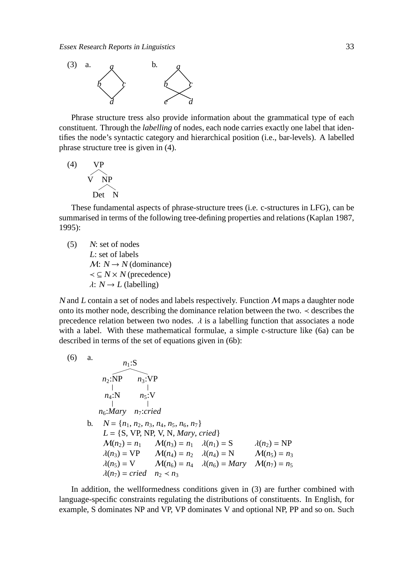

Phrase structure tress also provide information about the grammatical type of each constituent. Through the *labelling* of nodes, each node carries exactly one label that identifies the node's syntactic category and hierarchical position (i.e., bar-levels). A labelled phrase structure tree is given in (4).

$$
\begin{array}{cc}\n\text{(4)} & \text{VP} \\
\hline\n\text{V} & \text{NP} \\
\hline\n\text{Det} & \text{N}\n\end{array}
$$

These fundamental aspects of phrase-structure trees (i.e. c-structures in LFG), can be summarised in terms of the following tree-defining properties and relations (Kaplan 1987, 1995):

(5) <sup>N</sup>: set of nodes <sup>L</sup>: set of labels  $M: N \rightarrow N$  (dominance)  $\prec \subseteq N \times N$  (precedence)  $\lambda: N \rightarrow L$  (labelling)

N and L contain a set of nodes and labels respectively. Function  $M$  maps a daughter node onto its mother node, describing the dominance relation between the two. ≺ describes the precedence relation between two nodes.  $\lambda$  is a labelling function that associates a node with a label. With these mathematical formulae, a simple c-structure like (6a) can be described in terms of the set of equations given in (6b):

(6) a.  
\n
$$
n_2:\overbrace{NP} \nightharpoonup n_3:\overbrace{VP} \nightharpoonup n_4:\overbrace{N} \nightharpoonup n_5:\overbrace{N} \nightharpoonup n_5:\overbrace{N} \nightharpoonup n_7:\text{cried}
$$
  
\nb.  $N = \{n_1, n_2, n_3, n_4, n_5, n_6, n_7\}$   
\n $L = \{S, VP, NP, V, N, Mary, cried\}$   
\n $M(n_2) = n_1 \quad M(n_3) = n_1 \quad \lambda(n_1) = S \quad \lambda(n_2) = NP$   
\n $\lambda(n_3) = VP \quad M(n_4) = n_2 \quad \lambda(n_4) = N \quad M(n_5) = n_3$   
\n $\lambda(n_5) = V \quad M(n_6) = n_4 \quad \lambda(n_6) = Mary \quad M(n_7) = n_5$   
\n $\lambda(n_7) = \text{cried} \nightharpoonup n_2 < n_3$ 

In addition, the wellformedness conditions given in (3) are further combined with language-specific constraints regulating the distributions of constituents. In English, for example, S dominates NP and VP, VP dominates V and optional NP, PP and so on. Such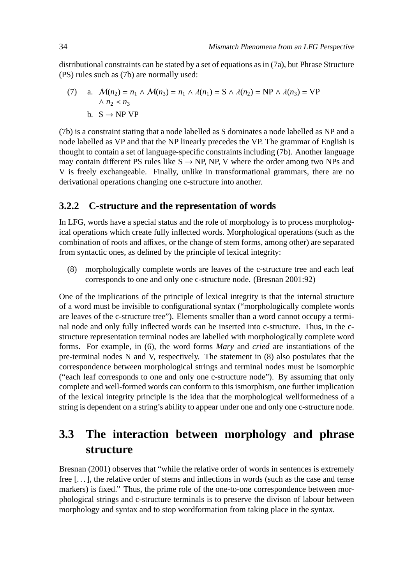distributional constraints can be stated by a set of equations as in (7a), but Phrase Structure (PS) rules such as (7b) are normally used:

(7) a. 
$$
\mathcal{M}(n_2) = n_1 \wedge \mathcal{M}(n_3) = n_1 \wedge \lambda(n_1) = S \wedge \lambda(n_2) = NP \wedge \lambda(n_3) = VP
$$
  
\n
$$
\wedge n_2 < n_3
$$
  
\nb. 
$$
S \rightarrow NP \, VP
$$

(7b) is a constraint stating that a node labelled as S dominates a node labelled as NP and a node labelled as VP and that the NP linearly precedes the VP. The grammar of English is thought to contain a set of language-specific constraints including (7b). Another language may contain different PS rules like  $S \rightarrow NP$ , NP, V where the order among two NPs and V is freely exchangeable. Finally, unlike in transformational grammars, there are no derivational operations changing one c-structure into another.

#### **3.2.2 C-structure and the representation of words**

In LFG, words have a special status and the role of morphology is to process morphological operations which create fully inflected words. Morphological operations (such as the combination of roots and affixes, or the change of stem forms, among other) are separated from syntactic ones, as defined by the principle of lexical integrity:

(8) morphologically complete words are leaves of the c-structure tree and each leaf corresponds to one and only one c-structure node. (Bresnan 2001:92)

One of the implications of the principle of lexical integrity is that the internal structure of a word must be invisible to configurational syntax ("morphologically complete words are leaves of the c-structure tree"). Elements smaller than a word cannot occupy a terminal node and only fully inflected words can be inserted into c-structure. Thus, in the cstructure representation terminal nodes are labelled with morphologically complete word forms. For example, in (6), the word forms *Mary* and *cried* are instantiations of the pre-terminal nodes N and V, respectively. The statement in (8) also postulates that the correspondence between morphological strings and terminal nodes must be isomorphic ("each leaf corresponds to one and only one c-structure node"). By assuming that only complete and well-formed words can conform to this ismorphism, one further implication of the lexical integrity principle is the idea that the morphological wellformedness of a string is dependent on a string's ability to appear under one and only one c-structure node.

# **3.3 The interaction between morphology and phrase structure**

Bresnan (2001) observes that "while the relative order of words in sentences is extremely free [. . . ], the relative order of stems and inflections in words (such as the case and tense markers) is fixed." Thus, the prime role of the one-to-one correspondence between morphological strings and c-structure terminals is to preserve the divison of labour between morphology and syntax and to stop wordformation from taking place in the syntax.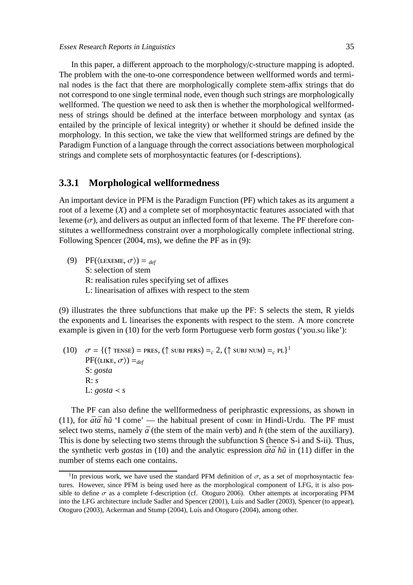In this paper, a different approach to the morphology/c-structure mapping is adopted. The problem with the one-to-one correspondence between wellformed words and terminal nodes is the fact that there are morphologically complete stem-affix strings that do not correspond to one single terminal node, even though such strings are morphologically wellformed. The question we need to ask then is whether the morphological wellformedness of strings should be defined at the interface between morphology and syntax (as entailed by the principle of lexical integrity) or whether it should be defined inside the morphology. In this section, we take the view that wellformed strings are defined by the Paradigm Function of a language through the correct associations between morphological strings and complete sets of morphosyntactic features (or f-descriptions).

#### **3.3.1 Morphological wellformedness**

An important device in PFM is the Paradigm Function (PF) which takes as its argument a root of a lexeme (*X*) and a complete set of morphosyntactic features associated with that lexeme  $(\sigma)$ , and delivers as output an inflected form of that lexeme. The PF therefore constitutes a wellformedness constraint over a morphologically complete inflectional string. Following Spencer (2004, ms), we define the PF as in (9):

(9) PF( $\langle$ LEXEME,  $\sigma$  $\rangle$ ) = *def* S: selection of stem R: realisation rules specifying set of affixes L: linearisation of affixes with respect to the stem

(9) illustrates the three subfunctions that make up the PF: S selects the stem, R yields the exponents and L linearises the exponents with respect to the stem. A more concrete example is given in (10) for the verb form Portuguese verb form *gostas* ('you.sg like'):

(10)  $\sigma = \{(\uparrow \text{times}) = \text{pres}, (\uparrow \text{sub}) \text{ pers}\} =_c 2, (\uparrow \text{sub}) \text{ num}\} =_c \text{pl}^1$  $PF(\langle LIKE, \sigma \rangle) =_{def}$ S: *gosta* R: *s* L:  $\textit{cos}ta < s$ 

The PF can also define the wellformedness of periphrastic expressions, as shown in (11), for  $\bar{a}t\bar{a}h\tilde{u}$  'I come' — the habitual present of come in Hindi-Urdu. The PF must select two stems, namely  $\bar{a}$  (the stem of the main verb) and  $h$  (the stem of the auxiliary). This is done by selecting two stems through the subfunction S (hence S-i and S-ii). Thus, the synthetic verb *gostas* in (10) and the analytic espression  $\bar{a}t\bar{a}$  hu in (11) differ in the number of stems each one contains.

<sup>&</sup>lt;sup>1</sup>In previous work, we have used the standard PFM definition of  $\sigma$ , as a set of moprhosyntactic features. However, since PFM is being used here as the morphological component of LFG, it is also possible to define  $\sigma$  as a complete f-description (cf. Otoguro 2006). Other attempts at incorporating PFM into the LFG architecture include Sadler and Spencer (2001), Luís and Sadler (2003), Spencer (to appear), Otoguro (2003), Ackerman and Stump (2004), Luís and Otoguro (2004), among other.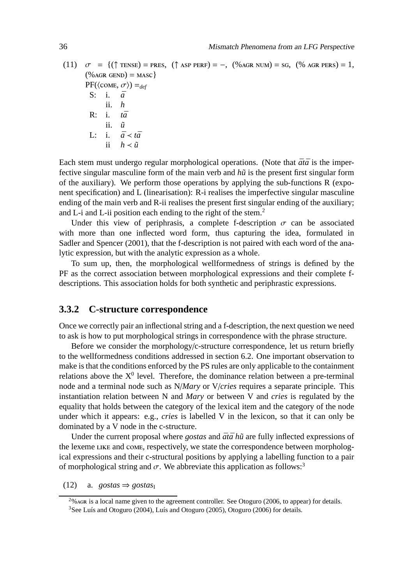(11)  $\sigma = \{(\uparrow \text{TENSE}) = \text{PRES}, (\uparrow \text{ASP PERF}) = -, (\% \text{AGR NUM}) = \text{SG}, (\% \text{AGR PERS}) = 1,$  $(\%$  AGR GEND) = MASC}  $PF(\langle \text{COME}, \sigma \rangle) =_{def}$ S: i.  $\bar{a}$ ii. *h* R: i. *t¯a* ii.  $\tilde{u}$ L:  $\bar{a} < t\bar{a}$ ii  $h \lt \tilde{u}$ 

Each stem must undergo regular morphological operations. (Note that  $\bar{a}t\bar{a}$  is the imperfective singular masculine form of the main verb and  $h\tilde{u}$  is the present first singular form of the auxiliary). We perform those operations by applying the sub-functions R (exponent specification) and L (linearisation): R-i realises the imperfective singular masculine ending of the main verb and R-ii realises the present first singular ending of the auxiliary; and L-i and L-ii position each ending to the right of the stem.<sup>2</sup>

Under this view of periphrasis, a complete f-description  $\sigma$  can be associated with more than one inflected word form, thus capturing the idea, formulated in Sadler and Spencer (2001), that the f-description is not paired with each word of the analytic expression, but with the analytic expression as a whole.

To sum up, then, the morphological wellformedness of strings is defined by the PF as the correct association between morphological expressions and their complete fdescriptions. This association holds for both synthetic and periphrastic expressions.

#### **3.3.2 C-structure correspondence**

Once we correctly pair an inflectional string and a f-description, the next question we need to ask is how to put morphological strings in correspondence with the phrase structure.

Before we consider the morphology/c-structure correspondence, let us return briefly to the wellformedness conditions addressed in section 6.2. One important observation to make is that the conditions enforced by the PS rules are only applicable to the containment relations above the  $X^0$  level. Therefore, the dominance relation between a pre-terminal node and a terminal node such as N/*Mary* or V/*cries* requires a separate principle. This instantiation relation between N and *Mary* or between V and *cries* is regulated by the equality that holds between the category of the lexical item and the category of the node under which it appears: e.g., *cries* is labelled V in the lexicon, so that it can only be dominated by a V node in the c-structure.

Under the current proposal where *gostas* and  $\bar{a}t\bar{a}h\tilde{u}$  are fully inflected expressions of the lexeme LIKE and COME, respectively, we state the correspondence between morphological expressions and their c-structural positions by applying a labelling function to a pair of morphological string and  $\sigma$ . We abbreviate this application as follows:<sup>3</sup>

 $(12)$  a. *gostas*  $\Rightarrow$  *gostas*<sub>I</sub>

 $^{2}$ % AGR is a local name given to the agreement controller. See Otoguro (2006, to appear) for details. <sup>3</sup>See Luís and Otoguro (2004), Luís and Otoguro (2005), Otoguro (2006) for details.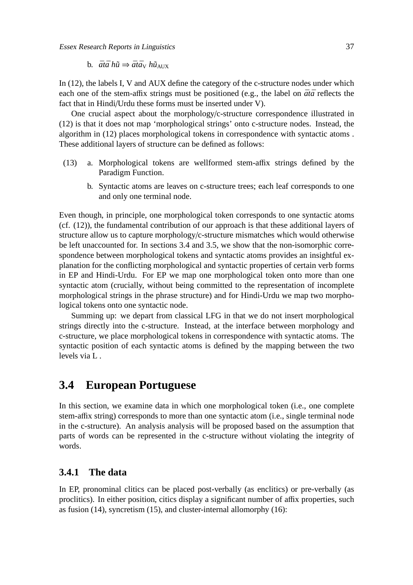Essex Research Reports in Linguistics 37

In (12), the labels I, V and AUX define the category of the c-structure nodes under which each one of the stem-affix strings must be positioned (e.g., the label on  $\bar{a}t\bar{a}$  reflects the fact that in Hindi/Urdu these forms must be inserted under V).

One crucial aspect about the morphology/c-structure correspondence illustrated in (12) is that it does not map 'morphological strings' onto c-structure nodes. Instead, the algorithm in (12) places morphological tokens in correspondence with syntactic atoms . These additional layers of structure can be defined as follows:

- (13) a. Morphological tokens are wellformed stem-affix strings defined by the Paradigm Function.
	- b. Syntactic atoms are leaves on c-structure trees; each leaf corresponds to one and only one terminal node.

Even though, in principle, one morphological token corresponds to one syntactic atoms (cf. (12)), the fundamental contribution of our approach is that these additional layers of structure allow us to capture morphology/c-structure mismatches which would otherwise be left unaccounted for. In sections 3.4 and 3.5, we show that the non-isomorphic correspondence between morphological tokens and syntactic atoms provides an insightful explanation for the conflicting morphological and syntactic properties of certain verb forms in EP and Hindi-Urdu. For EP we map one morphological token onto more than one syntactic atom (crucially, without being committed to the representation of incomplete morphological strings in the phrase structure) and for Hindi-Urdu we map two morphological tokens onto one syntactic node.

Summing up: we depart from classical LFG in that we do not insert morphological strings directly into the c-structure. Instead, at the interface between morphology and c-structure, we place morphological tokens in correspondence with syntactic atoms. The syntactic position of each syntactic atoms is defined by the mapping between the two levels via L .

# **3.4 European Portuguese**

In this section, we examine data in which one morphological token (i.e., one complete stem-affix string) corresponds to more than one syntactic atom (i.e., single terminal node in the c-structure). An analysis analysis will be proposed based on the assumption that parts of words can be represented in the c-structure without violating the integrity of words.

#### **3.4.1 The data**

In EP, pronominal clitics can be placed post-verbally (as enclitics) or pre-verbally (as proclitics). In either position, citics display a significant number of affix properties, such as fusion (14), syncretism (15), and cluster-internal allomorphy (16):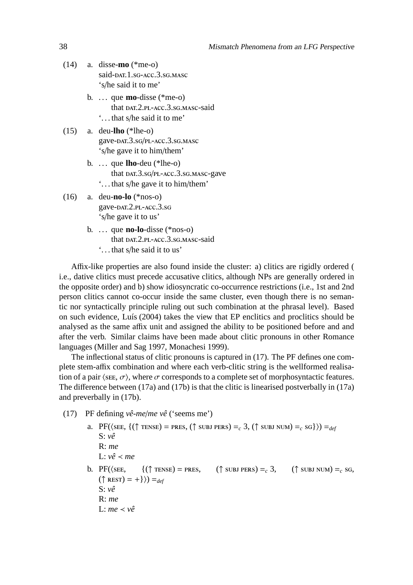- (14) a. disse-**mo** (\*me-o) said-DAT.1.sG-ACC.3.sG.MASC 's/he said it to me'
	- b. . . . que **mo**-disse (\*me-o) that DAT.2.PL-ACC.3.SG.MASC-said '. . . that s/he said it to me'
- (15) a. deu-**lho** (\*lhe-o) gave-DAT.3.sG/PL-ACC.3.sG.MASC 's/he gave it to him/them'
	- b. . . . que **lho**-deu (\*lhe-o) that DAT.3.sG/PL-ACC.3.sG.MASC-gave '. . . that s/he gave it to him/them'
- (16) a. deu-**no-lo** (\*nos-o) gave-DAT.2.PL-ACC.3.sG 's/he gave it to us'
	- b. . . . que **no-lo**-disse (\*nos-o) that DAT.2.PL-ACC.3.SG.MASC-said '. . . that s/he said it to us'

Affix-like properties are also found inside the cluster: a) clitics are rigidly ordered ( i.e., dative clitics must precede accusative clitics, although NPs are generally ordered in the opposite order) and b) show idiosyncratic co-occurrence restrictions (i.e., 1st and 2nd person clitics cannot co-occur inside the same cluster, even though there is no semantic nor syntactically principle ruling out such combination at the phrasal level). Based on such evidence, Luís (2004) takes the view that EP enclitics and proclitics should be analysed as the same affix unit and assigned the ability to be positioned before and and after the verb. Similar claims have been made about clitic pronouns in other Romance languages (Miller and Sag 1997, Monachesi 1999).

The inflectional status of clitic pronouns is captured in (17). The PF defines one complete stem-affix combination and where each verb-clitic string is the wellformed realisation of a pair  $\langle$ see,  $\sigma \rangle$ , where  $\sigma$  corresponds to a complete set of morphosyntactic features. The difference between (17a) and (17b) is that the clitic is linearised postverbally in (17a) and preverbally in (17b).

- (17) PF defining *vê-me*/*me vê* ('seems me')
	- a. PF( $\langle$ SEE,  $\{(\uparrow \text{TENSE}) = \text{PRES}, (\uparrow \text{SUBJ PERS}) =_{c} 3, (\uparrow \text{SUBJ NUM}) =_{c} \text{SG}\}\rangle =_{def}$ S: *vê* R: *me* L: *vê* ≺ *me* b. PF( $\langle$ SEE, {( $\uparrow$  TENSE) = PRES, ( $\uparrow$  SUBJ PERS) = c 3, ( $\uparrow$  SUBJ NUM) = c SG,  $({\uparrow \text{ REST}}) = +\}) =_{def}$ S: *vê* R: *me* L: *me* ≺ *vê*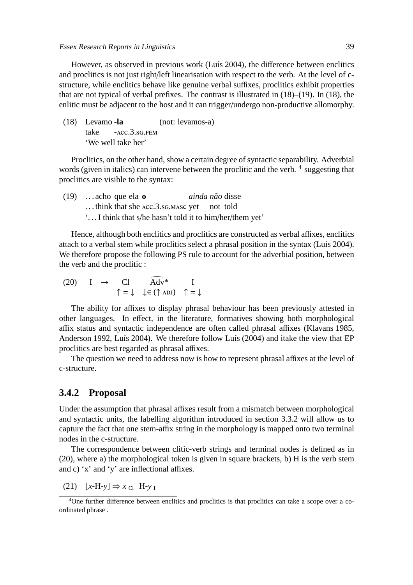Essex Research Reports in Linguistics 39

However, as observed in previous work (Luís 2004), the difference between enclitics and proclitics is not just right/left linearisation with respect to the verb. At the level of cstructure, while enclitics behave like genuine verbal suffixes, proclitics exhibit properties that are not typical of verbal prefixes. The contrast is illustrated in (18)–(19). In (18), the enlitic must be adjacent to the host and it can trigger/undergo non-productive allomorphy.

(18) Levamo **-la** take  $-ACC.3.8G. FEM$ (not: levamos-a) 'We well take her'

Proclitics, on the other hand, show a certain degree of syntactic separability. Adverbial words (given in italics) can intervene between the proclitic and the verb. <sup>4</sup> suggesting that proclitics are visible to the syntax:

(19) . . . acho que ela **o** ... think that she ACC.3.sG.MASC yet *ainda não* disse not told '. . . I think that s/he hasn't told it to him/her/them yet'

Hence, although both enclitics and proclitics are constructed as verbal affixes, enclitics attach to a verbal stem while proclitics select a phrasal position in the syntax (Luis 2004). We therefore propose the following PS rule to account for the adverbial position, between the verb and the proclitic :

(20) I 
$$
\rightarrow
$$
 CI  $\widehat{Adv}^*$  I  
 $\uparrow = \downarrow \downarrow \in (\uparrow \text{ADJ}) \uparrow = \downarrow$ 

The ability for affixes to display phrasal behaviour has been previously attested in other languages. In effect, in the literature, formatives showing both morphological affix status and syntactic independence are often called phrasal affixes (Klavans 1985, Anderson 1992, Luís 2004). We therefore follow Luís (2004) and itake the view that EP proclitics are best regarded as phrasal affixes.

The question we need to address now is how to represent phrasal affixes at the level of c-structure.

#### **3.4.2 Proposal**

Under the assumption that phrasal affixes result from a mismatch between morphological and syntactic units, the labelling algorithm introduced in section 3.3.2 will allow us to capture the fact that one stem-affix string in the morphology is mapped onto two terminal nodes in the c-structure.

The correspondence between clitic-verb strings and terminal nodes is defined as in (20), where a) the morphological token is given in square brackets, b) H is the verb stem and c) 'x' and 'y' are inflectional affixes.

 $(21)$   $[x-H-y] \Rightarrow x_{\text{Cl}}$  H-y<sub>I</sub>

<sup>&</sup>lt;sup>4</sup>One further difference between enclitics and proclitics is that proclitics can take a scope over a coordinated phrase .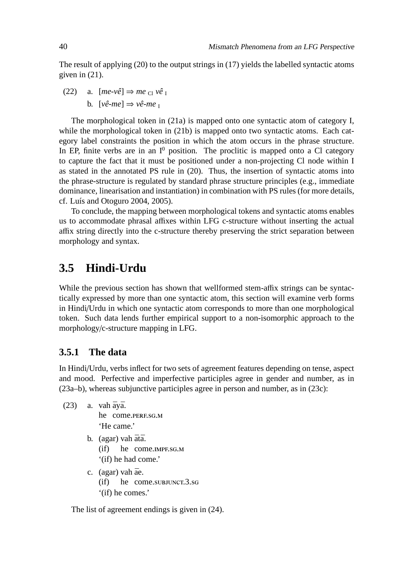The result of applying (20) to the output strings in (17) yields the labelled syntactic atoms given in (21).

(22) a.  $[me-v\hat{e}] \Rightarrow me_{\text{Cl}} v\hat{e}$ b.  $[v\hat{e}-me] \Rightarrow v\hat{e}-me$ <sub>I</sub>

The morphological token in (21a) is mapped onto one syntactic atom of category I, while the morphological token in (21b) is mapped onto two syntactic atoms. Each category label constraints the position in which the atom occurs in the phrase structure. In EP, finite verbs are in an  $I^0$  position. The proclitic is mapped onto a Cl category to capture the fact that it must be positioned under a non-projecting Cl node within I as stated in the annotated PS rule in (20). Thus, the insertion of syntactic atoms into the phrase-structure is regulated by standard phrase structure principles (e.g., immediate dominance, linearisation and instantiation) in combination with PS rules (for more details, cf. Luís and Otoguro 2004, 2005).

To conclude, the mapping between morphological tokens and syntactic atoms enables us to accommodate phrasal affixes within LFG c-structure without inserting the actual affix string directly into the c-structure thereby preserving the strict separation between morphology and syntax.

# **3.5 Hindi-Urdu**

While the previous section has shown that wellformed stem-affix strings can be syntactically expressed by more than one syntactic atom, this section will examine verb forms in Hindi/Urdu in which one syntactic atom corresponds to more than one morphological token. Such data lends further empirical support to a non-isomorphic approach to the morphology/c-structure mapping in LFG.

### **3.5.1 The data**

In Hindi/Urdu, verbs inflect for two sets of agreement features depending on tense, aspect and mood. Perfective and imperfective participles agree in gender and number, as in (23a–b), whereas subjunctive participles agree in person and number, as in (23c):

- $(23)$  a. vah  $\bar{a}$ y $\bar{a}$ . he come.perf.sg.m 'He came.'
	- b. (agar) vah ātā.  $(i)$ he come.IMPF.SG.M '(if) he had come.'
	- c. (agar) vah āe. (if) he come.subJUNCT.3.sG '(if) he comes.'

The list of agreement endings is given in (24).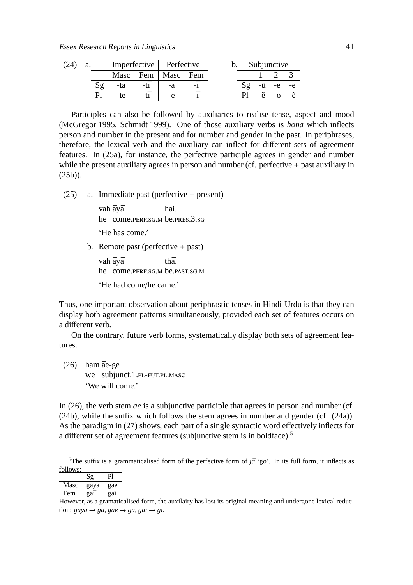| a. |                | Imperfective Perfective |                        |                     |  |  | b. Subjunctive |  |                        |  |
|----|----------------|-------------------------|------------------------|---------------------|--|--|----------------|--|------------------------|--|
|    |                |                         |                        | Masc Fem   Masc Fem |  |  |                |  |                        |  |
|    |                | -tā                     | $-t\bar{1}$ $-\bar{a}$ |                     |  |  |                |  | $Sg - \tilde{u}$ -e -e |  |
|    | P <sub>1</sub> | -te-                    | $-t\bar{1}$            | $-e$                |  |  |                |  | -ẽ -o -ẽ               |  |

Participles can also be followed by auxiliaries to realise tense, aspect and mood (McGregor 1995, Schmidt 1999). One of those auxiliary verbs is *hona* which inflects person and number in the present and for number and gender in the past. In periphrases, therefore, the lexical verb and the auxiliary can inflect for different sets of agreement features. In (25a), for instance, the perfective participle agrees in gender and number while the present auxiliary agrees in person and number (cf. perfective + past auxiliary in (25b)).

(25) a. Immediate past (perfective + present)

vah <mark>āy</mark>ā he come.PERF.SG.M be.PRES.3.SG hai. 'He has come.'

b. Remote past (perfective  $+$  past)

vah <mark>āy</mark>ā he come.PERF.SG.M be.PAST.SG.M th<sub>a</sub>

'He had come/he came.'

Thus, one important observation about periphrastic tenses in Hindi-Urdu is that they can display both agreement patterns simultaneously, provided each set of features occurs on a different verb.

On the contrary, future verb forms, systematically display both sets of agreement features.

 $(26)$  ham  $\bar{a}$ e-ge we subjunct.1.PL-FUT.PL.MASC 'We will come.'

In (26), the verb stem  $\bar{a}e$  is a subjunctive participle that agrees in person and number (cf. (24b), while the suffix which follows the stem agrees in number and gender (cf. (24a)). As the paradigm in (27) shows, each part of a single syntactic word effectively inflects for a different set of agreement features (subjunctive stem is in boldface).<sup>5</sup>

<sup>&</sup>lt;sup>5</sup>The suffix is a grammaticalised form of the perfective form of  $j\bar{a}$  'go'. In its full form, it inflects as follows:

|      | Sg   | Pl  |
|------|------|-----|
| Masc | gayā | gae |
| Fem  | gaī  | gaĩ |

However, as a gramaticalised form, the auxilairy has lost its original meaning and undergone lexical reduc- $\phi$  *gay* $\bar{a} \rightarrow g\bar{a}$ , *gae*  $\rightarrow g\bar{a}$ , *ga* $\bar{i} \rightarrow g\bar{i}$ .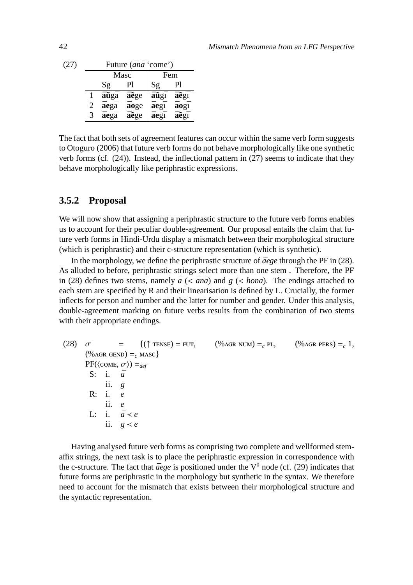| (27) |   | Future (ana 'come') |              |      |      |  |
|------|---|---------------------|--------------|------|------|--|
|      |   | Masc                |              | Fem  |      |  |
|      |   | Sg                  | Pl           | Sg   | Pl   |  |
|      |   | <b>āũgā</b>         | aege         | aũgī | āegī |  |
|      | 2 | āegā                | <b>a</b> oge | āegī | aogī |  |
|      | 3 | <b>a</b> ega        | aege         | āegī | āegī |  |

The fact that both sets of agreement features can occur within the same verb form suggests to Otoguro (2006) that future verb forms do not behave morphologically like one synthetic verb forms (cf. (24)). Instead, the inflectional pattern in (27) seems to indicate that they behave morphologically like periphrastic expressions.

#### **3.5.2 Proposal**

We will now show that assigning a periphrastic structure to the future verb forms enables us to account for their peculiar double-agreement. Our proposal entails the claim that future verb forms in Hindi-Urdu display a mismatch between their morphological structure (which is periphrastic) and their c-structure representation (which is synthetic).

In the morphology, we define the periphrastic structure of  $\bar{a}e$ ge through the PF in (28). As alluded to before, periphrastic strings select more than one stem . Therefore, the PF in (28) defines two stems, namely  $\bar{a}$  (<  $\bar{a}n\bar{a}$ ) and  $g$  (< *hona*). The endings attached to each stem are specified by R and their linearisation is defined by L. Crucially, the former inflects for person and number and the latter for number and gender. Under this analysis, double-agreement marking on future verbs results from the combination of two stems with their appropriate endings.

(28) 
$$
\sigma = \{ (\uparrow \text{TENSE}) = \text{FUT}, \quad (\% \text{AGR NUM}) =_{c} \text{PL}, \quad (\% \text{AGR PERS}) =_{c} 1, \\ (\% \text{AGR GEND}) =_{c} \text{MASC} \}
$$
  
\nPF( $\langle \text{COME}, \sigma \rangle$ ) =<sub>def</sub>  
\nS: i.  $\vec{a}$   
\nii. *g*  
\nR: i. *e*  
\nii. *e*  
\nLi. i.  $\vec{a} \le e$   
\nii. *g e*

Having analysed future verb forms as comprising two complete and wellformed stemaffix strings, the next task is to place the periphrastic expression in correspondence with the c-structure. The fact that  $\bar{a}ege$  is positioned under the  $V^0$  node (cf. (29) indicates that future forms are periphrastic in the morphology but synthetic in the syntax. We therefore need to account for the mismatch that exists between their morphological structure and the syntactic representation.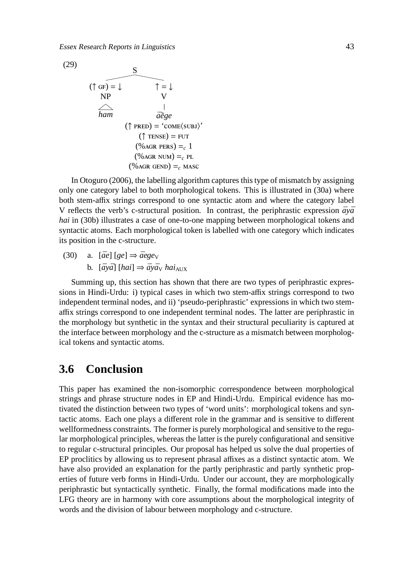

In Otoguro (2006), the labelling algorithm captures this type of mismatch by assigning only one category label to both morphological tokens. This is illustrated in (30a) where both stem-affix strings correspond to one syntactic atom and where the category label V reflects the verb's c-structural position. In contrast, the periphrastic expression  $\bar{a}v\bar{a}$ *hai* in (30b) illustrates a case of one-to-one mapping between morphological tokens and syntactic atoms. Each morphological token is labelled with one category which indicates its position in the c-structure.

 $(30)$  a.  $[\bar{a}e]$   $[ge] \Rightarrow \bar{a}egev$ b.  $[\bar{a}y\bar{a}]$   $[hai] \Rightarrow \bar{a}y\bar{a}y$  *hai*<sub>AUX</sub>

Summing up, this section has shown that there are two types of periphrastic expressions in Hindi-Urdu: i) typical cases in which two stem-affix strings correspond to two independent terminal nodes, and ii) 'pseudo-periphrastic' expressions in which two stemaffix strings correspond to one independent terminal nodes. The latter are periphrastic in the morphology but synthetic in the syntax and their structural peculiarity is captured at the interface between morphology and the c-structure as a mismatch between morphological tokens and syntactic atoms.

### **3.6 Conclusion**

This paper has examined the non-isomorphic correspondence between morphological strings and phrase structure nodes in EP and Hindi-Urdu. Empirical evidence has motivated the distinction between two types of 'word units': morphological tokens and syntactic atoms. Each one plays a different role in the grammar and is sensitive to different wellformedness constraints. The former is purely morphological and sensitive to the regular morphological principles, whereas the latter is the purely configurational and sensitive to regular c-structural principles. Our proposal has helped us solve the dual properties of EP proclitics by allowing us to represent phrasal affixes as a distinct syntactic atom. We have also provided an explanation for the partly periphrastic and partly synthetic properties of future verb forms in Hindi-Urdu. Under our account, they are morphologically periphrastic but syntactically synthetic. Finally, the formal modifications made into the LFG theory are in harmony with core assumptions about the morphological integrity of words and the division of labour between morphology and c-structure.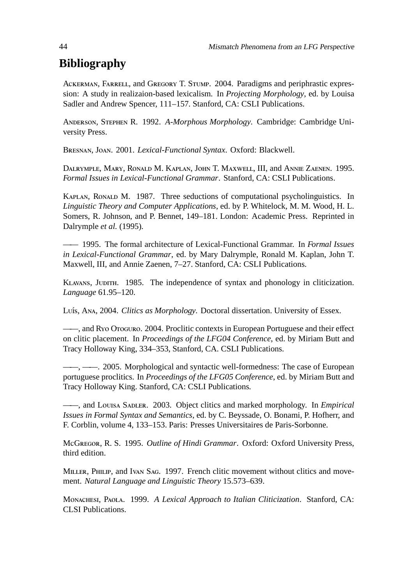# **Bibliography**

ACKERMAN, FARRELL, and GREGORY T. STUMP. 2004. Paradigms and periphrastic expression: A study in realizaion-based lexicalism. In *Projecting Morphology*, ed. by Louisa Sadler and Andrew Spencer, 111–157. Stanford, CA: CSLI Publications.

ANDERSON, STEPHEN R. 1992. *A-Morphous Morphology*. Cambridge: Cambridge University Press.

BRESNAN, JOAN. 2001. *Lexical-Functional Syntax*. Oxford: Blackwell.

DALRYMPLE, MARY, RONALD M. KAPLAN, JOHN T. MAXWELL, III, and ANNIE ZAENEN. 1995. *Formal Issues in Lexical-Functional Grammar*. Stanford, CA: CSLI Publications.

KAPLAN, RONALD M. 1987. Three seductions of computational psycholinguistics. In *Linguistic Theory and Computer Applications*, ed. by P. Whitelock, M. M. Wood, H. L. Somers, R. Johnson, and P. Bennet, 149–181. London: Academic Press. Reprinted in Dalrymple *et al.* (1995).

—— 1995. The formal architecture of Lexical-Functional Grammar. In *Formal Issues in Lexical-Functional Grammar*, ed. by Mary Dalrymple, Ronald M. Kaplan, John T. Maxwell, III, and Annie Zaenen, 7–27. Stanford, CA: CSLI Publications.

KLAVANS, JUDITH. 1985. The independence of syntax and phonology in cliticization. *Language* 61.95–120.

Luís, A<sub>NA</sub>, 2004. *Clitics as Morphology*. Doctoral dissertation. University of Essex.

——, and R Yo Oroguro. 2004. Proclitic contexts in European Portuguese and their effect on clitic placement. In *Proceedings of the LFG04 Conference*, ed. by Miriam Butt and Tracy Holloway King, 334–353, Stanford, CA. CSLI Publications.

 $-$ ,  $-$  2005. Morphological and syntactic well-formedness: The case of European portuguese proclitics. In *Proceedings of the LFG05 Conference*, ed. by Miriam Butt and Tracy Holloway King. Stanford, CA: CSLI Publications.

——, and Louisa Sapler. 2003. Object clitics and marked morphology. In *Empirical Issues in Formal Syntax and Semantics*, ed. by C. Beyssade, O. Bonami, P. Hofherr, and F. Corblin, volume 4, 133–153. Paris: Presses Universitaires de Paris-Sorbonne.

MG, R. S. 1995. *Outline of Hindi Grammar*. Oxford: Oxford University Press, third edition.

MILLER, PHILIP, and Ivan SAG. 1997. French clitic movement without clitics and movement. *Natural Language and Linguistic Theory* 15.573–639.

MONACHESI, PAOLA. 1999. *A Lexical Approach to Italian Cliticization*. Stanford, CA: CLSI Publications.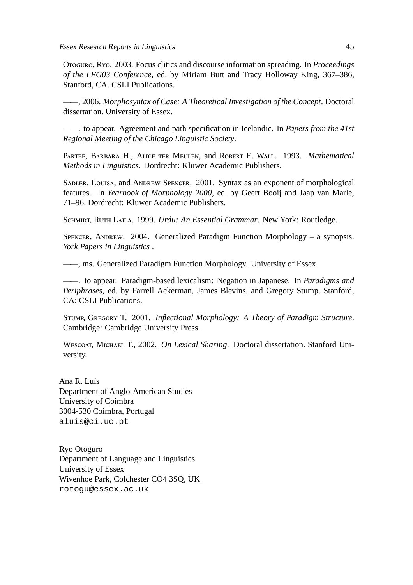Oroguro, Ryo. 2003. Focus clitics and discourse information spreading. In *Proceedings of the LFG03 Conference*, ed. by Miriam Butt and Tracy Holloway King, 367–386, Stanford, CA. CSLI Publications.

——, 2006. *Morphosyntax of Case: A Theoretical Investigation of the Concept*. Doctoral dissertation. University of Essex.

——. to appear. Agreement and path specification in Icelandic. In *Papers from the 41st Regional Meeting of the Chicago Linguistic Society*.

PARTEE, BARBARA H., ALICE TER MEULEN, and ROBERT E. WALL. 1993. Mathematical *Methods in Linguistics*. Dordrecht: Kluwer Academic Publishers.

SADLER, LOUISA, and ANDREW SPENCER. 2001. Syntax as an exponent of morphological features. In *Yearbook of Morphology 2000*, ed. by Geert Booij and Jaap van Marle, 71–96. Dordrecht: Kluwer Academic Publishers.

SCHMIDT, RUTH LAILA. 1999. *Urdu: An Essential Grammar*. New York: Routledge.

SPENCER, ANDREW. 2004. Generalized Paradigm Function Morphology – a synopsis. *York Papers in Linguistics* .

——, ms. Generalized Paradigm Function Morphology. University of Essex.

——. to appear. Paradigm-based lexicalism: Negation in Japanese. In *Paradigms and Periphrases*, ed. by Farrell Ackerman, James Blevins, and Gregory Stump. Stanford, CA: CSLI Publications.

STUMP, GREGORY T. 2001. *Inflectional Morphology: A Theory of Paradigm Structure*. Cambridge: Cambridge University Press.

WESCOAT, MICHAEL T., 2002. *On Lexical Sharing*. Doctoral dissertation. Stanford University.

Ana R. Luís Department of Anglo-American Studies University of Coimbra 3004-530 Coimbra, Portugal aluis@ci.uc.pt

Ryo Otoguro Department of Language and Linguistics University of Essex Wivenhoe Park, Colchester CO4 3SQ, UK rotogu@essex.ac.uk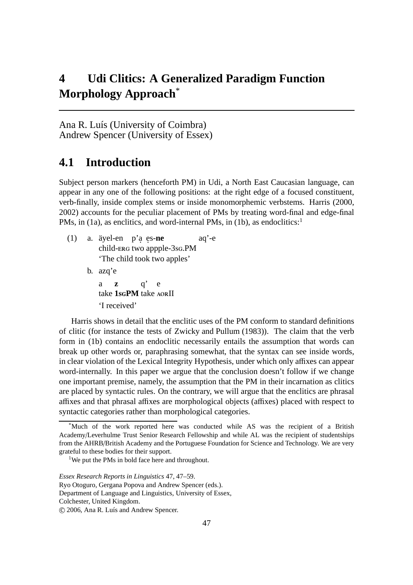# **4 Udi Clitics: A Generalized Paradigm Function Morphology Approach**\*

Ana R. Luís (University of Coimbra) Andrew Spencer (University of Essex)

# **4.1 Introduction**

Subject person markers (henceforth PM) in Udi, a North East Caucasian language, can appear in any one of the following positions: at the right edge of a focused constituent, verb-finally, inside complex stems or inside monomorphemic verbstems. Harris (2000, 2002) accounts for the peculiar placement of PMs by treating word-final and edge-final PMs, in (1a), as enclitics, and word-internal PMs, in (1b), as endoclitics:<sup>1</sup>

- (1) a. äyel-en p'a. e. s-**ne** child-ERG two appple-3sG.PM aq'-e 'The child took two apples'
	- b. azq'e

a take **1sGPM** take AORII **z** q' e 'I received'

Harris shows in detail that the enclitic uses of the PM conform to standard definitions of clitic (for instance the tests of Zwicky and Pullum (1983)). The claim that the verb form in (1b) contains an endoclitic necessarily entails the assumption that words can break up other words or, paraphrasing somewhat, that the syntax can see inside words, in clear violation of the Lexical Integrity Hypothesis, under which only affixes can appear word-internally. In this paper we argue that the conclusion doesn't follow if we change one important premise, namely, the assumption that the PM in their incarnation as clitics are placed by syntactic rules. On the contrary, we will argue that the enclitics are phrasal affixes and that phrasal affixes are morphological objects (affixes) placed with respect to syntactic categories rather than morphological categories.

<sup>\*</sup>Much of the work reported here was conducted while AS was the recipient of a British Academy/Leverhulme Trust Senior Research Fellowship and while AL was the recipient of studentships from the AHRB/British Academy and the Portuguese Foundation for Science and Technology. We are very grateful to these bodies for their support.

<sup>&</sup>lt;sup>1</sup>We put the PMs in bold face here and throughout.

*Essex Research Reports in Linguistics* 47, 47–59.

Ryo Otoguro, Gergana Popova and Andrew Spencer (eds.).

Department of Language and Linguistics, University of Essex,

Colchester, United Kingdom.

c 2006, Ana R. Luís and Andrew Spencer.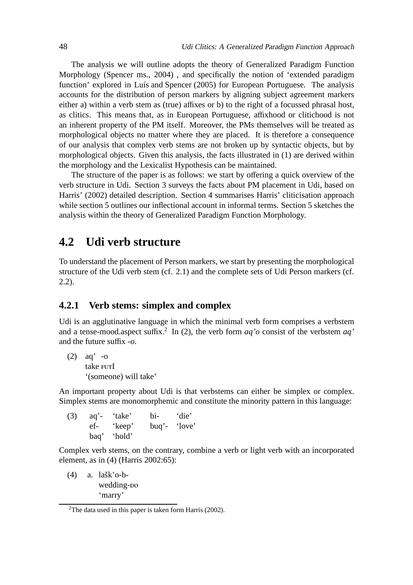The analysis we will outline adopts the theory of Generalized Paradigm Function Morphology (Spencer ms., 2004) , and specifically the notion of 'extended paradigm function' explored in Luís and Spencer (2005) for European Portuguese. The analysis accounts for the distribution of person markers by aligning subject agreement markers either a) within a verb stem as (true) affixes or b) to the right of a focussed phrasal host, as clitics. This means that, as in European Portuguese, affixhood or clitichood is not an inherent property of the PM itself. Moreover, the PMs themselves will be treated as morphological objects no matter where they are placed. It is therefore a consequence of our analysis that complex verb stems are not broken up by syntactic objects, but by morphological objects. Given this analysis, the facts illustrated in (1) are derived within the morphology and the Lexicalist Hypothesis can be maintained.

The structure of the paper is as follows: we start by offering a quick overview of the verb structure in Udi. Section 3 surveys the facts about PM placement in Udi, based on Harris' (2002) detailed description. Section 4 summarises Harris' cliticisation approach while section 5 outlines our inflectional account in informal terms. Section 5 sketches the analysis within the theory of Generalized Paradigm Function Morphology.

### **4.2 Udi verb structure**

To understand the placement of Person markers, we start by presenting the morphological structure of the Udi verb stem (cf. 2.1) and the complete sets of Udi Person markers (cf. 2.2).

#### **4.2.1 Verb stems: simplex and complex**

Udi is an agglutinative language in which the minimal verb form comprises a verbstem and a tense-mood.aspect suffix.<sup>2</sup> In (2), the verb form  $aq'o$  consist of the verbstem  $aq'$ and the future suffix *-o*.

```
(2) aq'
-o
       take <mark>FUT</mark>I
      '(someone) will take'
```
An important property about Udi is that verbstems can either be simplex or complex. Simplex stems are monomorphemic and constitute the minority pattern in this language:

(3) aq'- 'take' bi- 'die' ef- 'keep' buq'- 'love' baq' 'hold'

Complex verb stems, on the contrary, combine a verb or light verb with an incorporated element, as in (4) (Harris 2002:65):

(4) a. lašk'o-bwedding- 'marry'

<sup>&</sup>lt;sup>2</sup>The data used in this paper is taken form Harris (2002).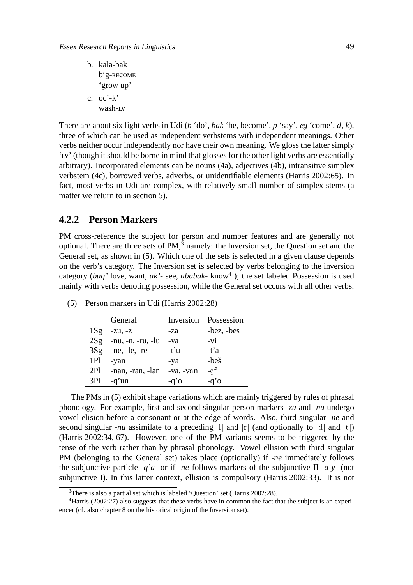|                | b. kala-bak  |
|----------------|--------------|
|                | big-become   |
|                | 'grow up'    |
| $\mathbf{c}$ . | $oc'$ - $k'$ |
|                | wash-Lv      |

There are about six light verbs in Udi (*b* 'do', *bak* 'be, become', *p* 'say', *eg* 'come', *d*, *k*), three of which can be used as independent verbstems with independent meanings. Other verbs neither occur independently nor have their own meaning. We gloss the latter simply 'Ly' (though it should be borne in mind that glosses for the other light verbs are essentially arbitrary). Incorporated elements can be nouns (4a), adjectives (4b), intransitive simplex verbstem (4c), borrowed verbs, adverbs, or unidentifiable elements (Harris 2002:65). In fact, most verbs in Udi are complex, with relatively small number of simplex stems (a matter we return to in section 5).

#### **4.2.2 Person Markers**

PM cross-reference the subject for person and number features and are generally not optional. There are three sets of  $PM<sup>3</sup>$  namely: the Inversion set, the Question set and the General set, as shown in (5). Which one of the sets is selected in a given clause depends on the verb's category. The Inversion set is selected by verbs belonging to the inversion category (*buq'* love, want, *ak'-* see, *ababak-* know<sup>4</sup> ); the set labeled Possession is used mainly with verbs denoting possession, while the General set occurs with all other verbs.

|     | General               |           | Inversion Possession |
|-----|-----------------------|-----------|----------------------|
| 1Sg | $-Zu, -z$             | -za       | -bez, -bes           |
| 2Sg | -nu, -n, -ru, -lu     | -va       | $-vi$                |
| 3Sg | $-ne$ , $-le$ , $-re$ | $-t'u$    | $-t$ 'a              |
| 1Pl | -yan                  | -ya       | -beš                 |
| 2P1 | -nan, -ran, -lan      | -va, -van | -ef                  |
| 3Pl | -q'un                 | -q'o      | $-a'$                |

(5) Person markers in Udi (Harris 2002:28)

The PMs in (5) exhibit shape variations which are mainly triggered by rules of phrasal phonology. For example, first and second singular person markers *-zu* and *-nu* undergo vowel elision before a consonant or at the edge of words. Also, third singular *-ne* and second singular *-nu* assimilate to a preceding  $\begin{bmatrix} 1 \end{bmatrix}$  and  $\begin{bmatrix} r \end{bmatrix}$  (and optionally to  $\begin{bmatrix} d \end{bmatrix}$  and  $\begin{bmatrix} t \end{bmatrix}$ ) (Harris 2002:34, 67). However, one of the PM variants seems to be triggered by the tense of the verb rather than by phrasal phonology. Vowel ellision with third singular PM (belonging to the General set) takes place (optionally) if *-ne* immediately follows the subjunctive particle *-q'a-* or if *-ne* follows markers of the subjunctive II *-a-y-* (not subjunctive I). In this latter context, ellision is compulsory (Harris 2002:33). It is not

 $3$ There is also a partial set which is labeled 'Question' set (Harris 2002:28).

<sup>&</sup>lt;sup>4</sup>Harris (2002:27) also suggests that these verbs have in common the fact that the subject is an experiencer (cf. also chapter 8 on the historical origin of the Inversion set).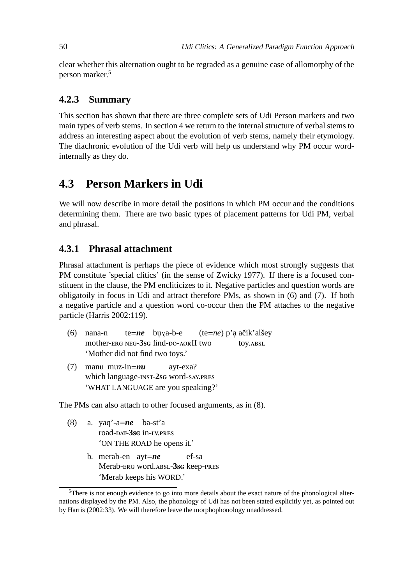clear whether this alternation ought to be regraded as a genuine case of allomorphy of the person marker.<sup>5</sup>

#### **4.2.3 Summary**

This section has shown that there are three complete sets of Udi Person markers and two main types of verb stems. In section 4 we return to the internal structure of verbal stems to address an interesting aspect about the evolution of verb stems, namely their etymology. The diachronic evolution of the Udi verb will help us understand why PM occur wordinternally as they do.

### **4.3 Person Markers in Udi**

We will now describe in more detail the positions in which PM occur and the conditions determining them. There are two basic types of placement patterns for Udi PM, verbal and phrasal.

#### **4.3.1 Phrasal attachment**

Phrasal attachment is perhaps the piece of evidence which most strongly suggests that PM constitute 'special clitics' (in the sense of Zwicky 1977). If there is a focused constituent in the clause, the PM encliticizes to it. Negative particles and question words are obligatoily in focus in Udi and attract therefore PMs, as shown in (6) and (7). If both a negative particle and a question word co-occur then the PM attaches to the negative particle (Harris 2002:119).

- (6) nana-n mother-ERG NEG-3sG find-DO-AORII two te=*ne* buya-b-e (te=*ne*) p'a ačik'alšey toy. 'Mother did not find two toys.'
- (7) manu muz-in=*nu* which language-INST-2sG word-SAY.PRES ayt-exa? 'WHAT LANGUAGE are you speaking?'

The PMs can also attach to other focused arguments, as in (8).

- (8) a. yaq'-a=*ne* ba-st'a road-<sub>DAT</sub>-3<sub>sG</sub> in-LV.PRES 'ON THE ROAD he opens it.'
	- b. merab-en ayt=*ne* Merab-ERG word.ABSL-3sG keep-PRES ef-sa 'Merab keeps his WORD.'

 $5$ There is not enough evidence to go into more details about the exact nature of the phonological alternations displayed by the PM. Also, the phonology of Udi has not been stated explicitly yet, as pointed out by Harris (2002:33). We will therefore leave the morphophonology unaddressed.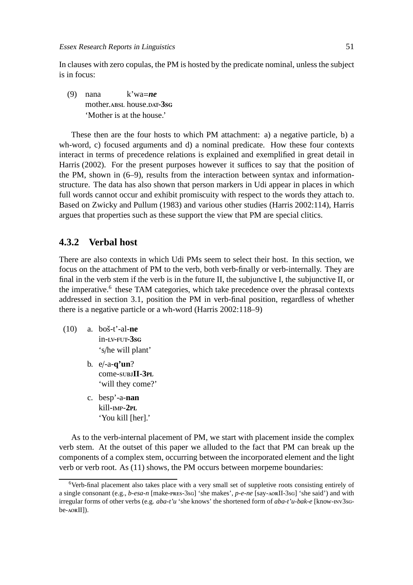In clauses with zero copulas, the PM is hosted by the predicate nominal, unless the subject is in focus:

(9) nana mother. ABSL house.DAT-3sG k'wa=*ne* 'Mother is at the house.'

These then are the four hosts to which PM attachment: a) a negative particle, b) a wh-word, c) focused arguments and d) a nominal predicate. How these four contexts interact in terms of precedence relations is explained and exemplified in great detail in Harris (2002). For the present purposes however it suffices to say that the position of the PM, shown in (6–9), results from the interaction between syntax and informationstructure. The data has also shown that person markers in Udi appear in places in which full words cannot occur and exhibit promiscuity with respect to the words they attach to. Based on Zwicky and Pullum (1983) and various other studies (Harris 2002:114), Harris argues that properties such as these support the view that PM are special clitics.

#### **4.3.2 Verbal host**

There are also contexts in which Udi PMs seem to select their host. In this section, we focus on the attachment of PM to the verb, both verb-finally or verb-internally. They are final in the verb stem if the verb is in the future II, the subjunctive I, the subjunctive II, or the imperative.<sup>6</sup> these TAM categories, which take precedence over the phrasal contexts addressed in section 3.1, position the PM in verb-final position, regardless of whether there is a negative particle or a wh-word (Harris 2002:118–9)

- (10) a. boš-t'-al-**ne**  $in$ - $iv$ - $FUT$ - $3sG$ 's/he will plant'
	- b. e/-a-**q'un**? come-subJII-3PL 'will they come?'
	- c. besp'-a-**nan** kill- $mp-2pL$ 'You kill [her].'

As to the verb-internal placement of PM, we start with placement inside the complex verb stem. At the outset of this paper we alluded to the fact that PM can break up the components of a complex stem, occurring between the incorporated element and the light verb or verb root. As (11) shows, the PM occurs between morpeme boundaries:

<sup>6</sup>Verb-final placement also takes place with a very small set of suppletive roots consisting entirely of a single consonant (e.g., *b-esa-n* [make-pres-3sq] 'she makes', *p-e-ne* [say-AORII-3sq] 'she said') and with irregular forms of other verbs (e.g. *aba-t'u* 'she knows' the shortened form of *aba-t'u-bak-e* [know-nv3sq $be$ - $A$ ORII]).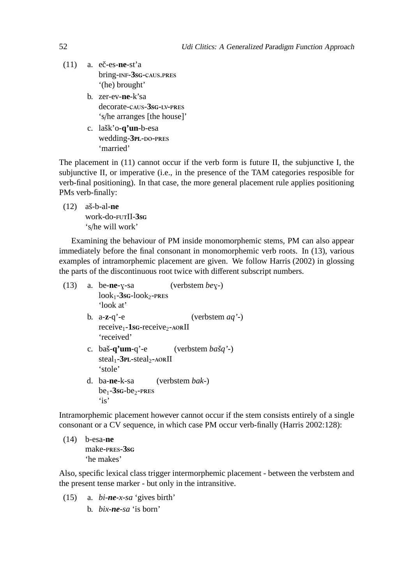- $(11)$  a. ec-es-ne-st'a bring-INF-3sG-CAUS.PRES '(he) brought'
	- b. zer-ev-**ne**-k'sa decorate-caus-3sg-LV-PRES 's/he arranges [the house]'
	- c. lašk'o-**q'un**-b-esa wedding-3<sub>PL-DO-PRES</sub> 'married'

The placement in (11) cannot occur if the verb form is future II, the subjunctive I, the subjunctive II, or imperative (i.e., in the presence of the TAM categories resposible for verb-final positioning). In that case, the more general placement rule applies positioning PMs verb-finally:

(12) aš-b-al-**ne** work-do-FUTII-3sG 's/he will work'

Examining the behaviour of PM inside monomorphemic stems, PM can also appear immediately before the final consonant in monomorphemic verb roots. In (13), various examples of intramorphemic placement are given. We follow Harris (2002) in glossing the parts of the discontinuous root twice with different subscript numbers.

 $(13)$  a. be-**ne**-y-sa  $look_1 - 3$ sg- $look_2$ -pres (verbstem *be*<sub>Y</sub>-) 'look at' b. a-**z**-q'-e receive<sub>1</sub>-1sc-receive<sub>2</sub>-AORII (verbstem *aq'-*) 'received' c. baš-**q'um**-q'-e steal<sub>1</sub>-3<sub>PL</sub>-steal<sub>2</sub>-AORII (verbstem *bašq'-*) 'stole' d. ba-**ne**-k-sa  $be_1 - 3$ sg-be<sub>2</sub>-PRES (verbstem *bak-*) 'is'

Intramorphemic placement however cannot occur if the stem consists entirely of a single consonant or a CV sequence, in which case PM occur verb-finally (Harris 2002:128):

(14) b-esa-**ne** make-**PRES-3sG** 'he makes'

Also, specific lexical class trigger intermorphemic placement - between the verbstem and the present tense marker - but only in the intransitive.

- (15) a. *bi-ne-x-sa* 'gives birth'
	- b. *bix-ne-sa* 'is born'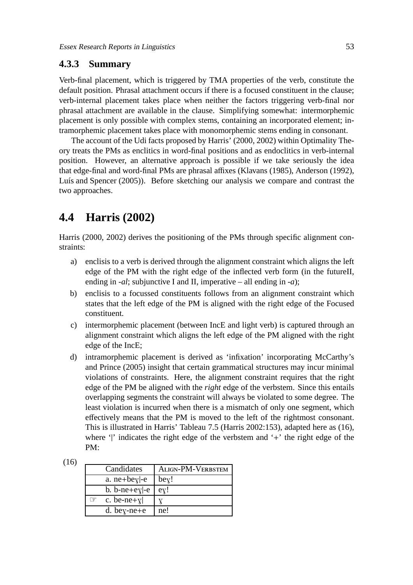#### **4.3.3 Summary**

Verb-final placement, which is triggered by TMA properties of the verb, constitute the default position. Phrasal attachment occurs if there is a focused constituent in the clause; verb-internal placement takes place when neither the factors triggering verb-final nor phrasal attachment are available in the clause. Simplifying somewhat: intermorphemic placement is only possible with complex stems, containing an incorporated element; intramorphemic placement takes place with monomorphemic stems ending in consonant.

The account of the Udi facts proposed by Harris' (2000, 2002) within Optimality Theory treats the PMs as enclitics in word-final positions and as endoclitics in verb-internal position. However, an alternative approach is possible if we take seriously the idea that edge-final and word-final PMs are phrasal affixes (Klavans (1985), Anderson (1992), Luís and Spencer (2005)). Before sketching our analysis we compare and contrast the two approaches.

# **4.4 Harris (2002)**

Harris (2000, 2002) derives the positioning of the PMs through specific alignment constraints:

- a) enclisis to a verb is derived through the alignment constraint which aligns the left edge of the PM with the right edge of the inflected verb form (in the futureII, ending in *-al*; subjunctive I and II, imperative – all ending in *-a*);
- b) enclisis to a focussed constituents follows from an alignment constraint which states that the left edge of the PM is aligned with the right edge of the Focused constituent.
- c) intermorphemic placement (between IncE and light verb) is captured through an alignment constraint which aligns the left edge of the PM aligned with the right edge of the IncE;
- d) intramorphemic placement is derived as 'infixation' incorporating McCarthy's and Prince (2005) insight that certain grammatical structures may incur minimal violations of constraints. Here, the alignment constraint requires that the right edge of the PM be aligned with the *right* edge of the verbstem. Since this entails overlapping segments the constraint will always be violated to some degree. The least violation is incurred when there is a mismatch of only one segment, which effectively means that the PM is moved to the left of the rightmost consonant. This is illustrated in Harris' Tableau 7.5 (Harris 2002:153), adapted here as (16), where '|' indicates the right edge of the verbstem and '+' the right edge of the PM:

| Candidates                   | ALIGN-PM-VERBSTEM                   |
|------------------------------|-------------------------------------|
| a. $ne+be$ <sub>y</sub> $-e$ | $be$ <sup><math>\chi</math></sup> ! |
| b. b-ne+e $y$  -e            | ey!                                 |
| c. be-ne+ $y$                |                                     |
| d. be $\gamma$ -ne + e       | ne!                                 |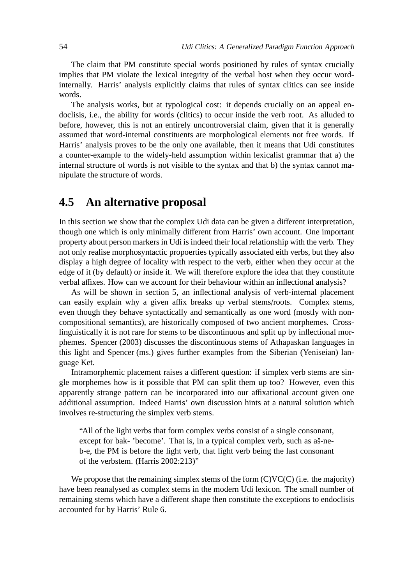The claim that PM constitute special words positioned by rules of syntax crucially implies that PM violate the lexical integrity of the verbal host when they occur wordinternally. Harris' analysis explicitly claims that rules of syntax clitics can see inside words.

The analysis works, but at typological cost: it depends crucially on an appeal endoclisis, i.e., the ability for words (clitics) to occur inside the verb root. As alluded to before, however, this is not an entirely uncontroversial claim, given that it is generally assumed that word-internal constituents are morphological elements not free words. If Harris' analysis proves to be the only one available, then it means that Udi constitutes a counter-example to the widely-held assumption within lexicalist grammar that a) the internal structure of words is not visible to the syntax and that b) the syntax cannot manipulate the structure of words.

### **4.5 An alternative proposal**

In this section we show that the complex Udi data can be given a different interpretation, though one which is only minimally different from Harris' own account. One important property about person markers in Udi is indeed their local relationship with the verb. They not only realise morphosyntactic propoerties typically associated eith verbs, but they also display a high degree of locality with respect to the verb, either when they occur at the edge of it (by default) or inside it. We will therefore explore the idea that they constitute verbal affixes. How can we account for their behaviour within an inflectional analysis?

As will be shown in section 5, an inflectional analysis of verb-internal placement can easily explain why a given affix breaks up verbal stems/roots. Complex stems, even though they behave syntactically and semantically as one word (mostly with noncompositional semantics), are historically composed of two ancient morphemes. Crosslinguistically it is not rare for stems to be discontinuous and split up by inflectional morphemes. Spencer (2003) discusses the discontinuous stems of Athapaskan languages in this light and Spencer (ms.) gives further examples from the Siberian (Yeniseian) language Ket.

Intramorphemic placement raises a different question: if simplex verb stems are single morphemes how is it possible that PM can split them up too? However, even this apparently strange pattern can be incorporated into our affixational account given one additional assumption. Indeed Harris' own discussion hints at a natural solution which involves re-structuring the simplex verb stems.

"All of the light verbs that form complex verbs consist of a single consonant, except for bak- 'become'. That is, in a typical complex verb, such as aš-neb-e, the PM is before the light verb, that light verb being the last consonant of the verbstem. (Harris 2002:213)"

We propose that the remaining simplex stems of the form  $(C)VC(C)$  (i.e. the majority) have been reanalysed as complex stems in the modern Udi lexicon. The small number of remaining stems which have a different shape then constitute the exceptions to endoclisis accounted for by Harris' Rule 6.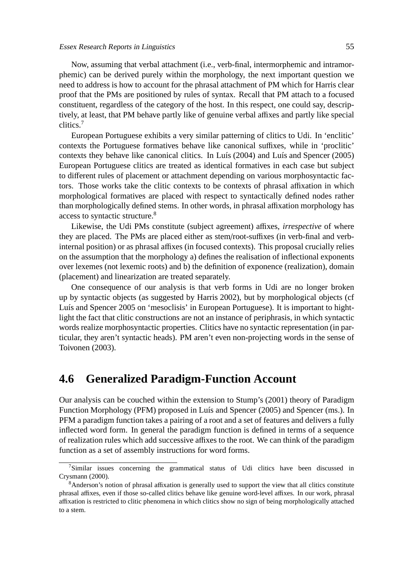Now, assuming that verbal attachment (i.e., verb-final, intermorphemic and intramorphemic) can be derived purely within the morphology, the next important question we need to address is how to account for the phrasal attachment of PM which for Harris clear proof that the PMs are positioned by rules of syntax. Recall that PM attach to a focused constituent, regardless of the category of the host. In this respect, one could say, descriptively, at least, that PM behave partly like of genuine verbal affixes and partly like special clitics.<sup>7</sup>

European Portuguese exhibits a very similar patterning of clitics to Udi. In 'enclitic' contexts the Portuguese formatives behave like canonical suffixes, while in 'proclitic' contexts they behave like canonical clitics. In Luís (2004) and Luís and Spencer (2005) European Portuguese clitics are treated as identical formatives in each case but subject to different rules of placement or attachment depending on various morphosyntactic factors. Those works take the clitic contexts to be contexts of phrasal affixation in which morphological formatives are placed with respect to syntactically defined nodes rather than morphologically defined stems. In other words, in phrasal affixation morphology has access to syntactic structure.<sup>8</sup>

Likewise, the Udi PMs constitute (subject agreement) affixes, *irrespective* of where they are placed. The PMs are placed either as stem/root-suffixes (in verb-final and verbinternal position) or as phrasal affixes (in focused contexts). This proposal crucially relies on the assumption that the morphology a) defines the realisation of inflectional exponents over lexemes (not lexemic roots) and b) the definition of exponence (realization), domain (placement) and linearization are treated separately.

One consequence of our analysis is that verb forms in Udi are no longer broken up by syntactic objects (as suggested by Harris 2002), but by morphological objects (cf Luís and Spencer 2005 on 'mesoclisis' in European Portuguese). It is important to hightlight the fact that clitic constructions are not an instance of periphrasis, in which syntactic words realize morphosyntactic properties. Clitics have no syntactic representation (in particular, they aren't syntactic heads). PM aren't even non-projecting words in the sense of Toivonen (2003).

### **4.6 Generalized Paradigm-Function Account**

Our analysis can be couched within the extension to Stump's (2001) theory of Paradigm Function Morphology (PFM) proposed in Luís and Spencer (2005) and Spencer (ms.). In PFM a paradigm function takes a pairing of a root and a set of features and delivers a fully inflected word form. In general the paradigm function is defined in terms of a sequence of realization rules which add successive affixes to the root. We can think of the paradigm function as a set of assembly instructions for word forms.

 $7$ Similar issues concerning the grammatical status of Udi clitics have been discussed in Crysmann (2000).

<sup>&</sup>lt;sup>8</sup>Anderson's notion of phrasal affixation is generally used to support the view that all clitics constitute phrasal affixes, even if those so-called clitics behave like genuine word-level affixes. In our work, phrasal affixation is restricted to clitic phenomena in which clitics show no sign of being morphologically attached to a stem.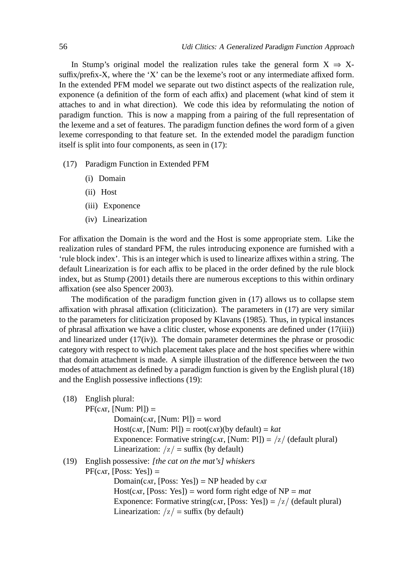In Stump's original model the realization rules take the general form  $X \Rightarrow X$ suffix/prefix-X, where the 'X' can be the lexeme's root or any intermediate affixed form. In the extended PFM model we separate out two distinct aspects of the realization rule, exponence (a definition of the form of each affix) and placement (what kind of stem it attaches to and in what direction). We code this idea by reformulating the notion of paradigm function. This is now a mapping from a pairing of the full representation of the lexeme and a set of features. The paradigm function defines the word form of a given lexeme corresponding to that feature set. In the extended model the paradigm function itself is split into four components, as seen in (17):

- (17) Paradigm Function in Extended PFM
	- (i) Domain
	- (ii) Host
	- (iii) Exponence
	- (iv) Linearization

For affixation the Domain is the word and the Host is some appropriate stem. Like the realization rules of standard PFM, the rules introducing exponence are furnished with a 'rule block index'. This is an integer which is used to linearize affixes within a string. The default Linearization is for each affix to be placed in the order defined by the rule block index, but as Stump (2001) details there are numerous exceptions to this within ordinary affixation (see also Spencer 2003).

The modification of the paradigm function given in (17) allows us to collapse stem affixation with phrasal affixation (cliticization). The parameters in (17) are very similar to the parameters for cliticization proposed by Klavans (1985). Thus, in typical instances of phrasal affixation we have a clitic cluster, whose exponents are defined under (17(iii)) and linearized under (17(iv)). The domain parameter determines the phrase or prosodic category with respect to which placement takes place and the host specifies where within that domain attachment is made. A simple illustration of the difference between the two modes of attachment as defined by a paradigm function is given by the English plural (18) and the English possessive inflections (19):

(18) English plural:

 $PF(cAT, [Num: Pl]) =$ 

 $Domain(cAT, [Num: Pl]) = word$ Host(car, [Num: Pl]) =  $root(cAT)(by default) = kat$ Exponence: Formative string(car, [Num: Pl]) =  $\frac{z}{(default plural)}$ Linearization:  $\langle z \rangle$  = suffix (by default)

#### (19) English possessive: *[the cat on the mat's] whiskers*

 $PF(cAT, [Poss: Yes]) =$ 

Domain( $\text{CAT},$  [Poss: Yes]) = NP headed by  $\text{CAT}$ Host( $\text{CAT}, \text{[Poss: Yes]}$ ) = word form right edge of NP = *mat* Exponence: Formative string( $\text{CAT},$  [Poss: Yes]) = /z/ (default plural) Linearization:  $/z/ =$  suffix (by default)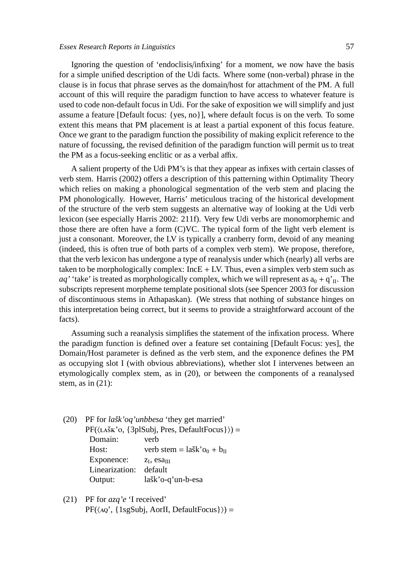Ignoring the question of 'endoclisis/infixing' for a moment, we now have the basis for a simple unified description of the Udi facts. Where some (non-verbal) phrase in the clause is in focus that phrase serves as the domain/host for attachment of the PM. A full account of this will require the paradigm function to have access to whatever feature is used to code non-default focus in Udi. For the sake of exposition we will simplify and just assume a feature [Default focus: {yes, no}], where default focus is on the verb. To some extent this means that PM placement is at least a partial exponent of this focus feature. Once we grant to the paradigm function the possibility of making explicit reference to the nature of focussing, the revised definition of the paradigm function will permit us to treat the PM as a focus-seeking enclitic or as a verbal affix.

A salient property of the Udi PM's is that they appear as infixes with certain classes of verb stem. Harris (2002) offers a description of this patterning within Optimality Theory which relies on making a phonological segmentation of the verb stem and placing the PM phonologically. However, Harris' meticulous tracing of the historical development of the structure of the verb stem suggests an alternative way of looking at the Udi verb lexicon (see especially Harris 2002: 211f). Very few Udi verbs are monomorphemic and those there are often have a form (C)VC. The typical form of the light verb element is just a consonant. Moreover, the LV is typically a cranberry form, devoid of any meaning (indeed, this is often true of both parts of a complex verb stem). We propose, therefore, that the verb lexicon has undergone a type of reanalysis under which (nearly) all verbs are taken to be morphologically complex:  $IncE + LV$ . Thus, even a simplex verb stem such as  $aq'$  'take' is treated as morphologically complex, which we will represent as  $a_0 + q'_{II}$ . The subscripts represent morpheme template positional slots (see Spencer 2003 for discussion of discontinuous stems in Athapaskan). (We stress that nothing of substance hinges on this interpretation being correct, but it seems to provide a straightforward account of the facts).

Assuming such a reanalysis simplifies the statement of the infixation process. Where the paradigm function is defined over a feature set containing [Default Focus: yes], the Domain/Host parameter is defined as the verb stem, and the exponence defines the PM as occupying slot I (with obvious abbreviations), whether slot I intervenes between an etymologically complex stem, as in (20), or between the components of a reanalysed stem, as in  $(21)$ :

- (20) PF for *lašk'oq'unbbesa* 'they get married'  $PF(\langle LAXK'o, \{3pISubj, Pres, DefaultFocus\}\rangle) =$ Domain: verb Host: verb stem =  $la\ddot{s}k'$  o<sub>0</sub> +  $b_{II}$ Exponence:  $z_I$ , esa $\overline{u}$ Linearization: default Output: lašk'o-q'un-b-esa
- (21) PF for *azq'e* 'I received'  $PF(\langle AQ', \{1sgSubj, AorII, DefaultFocus\}\rangle) =$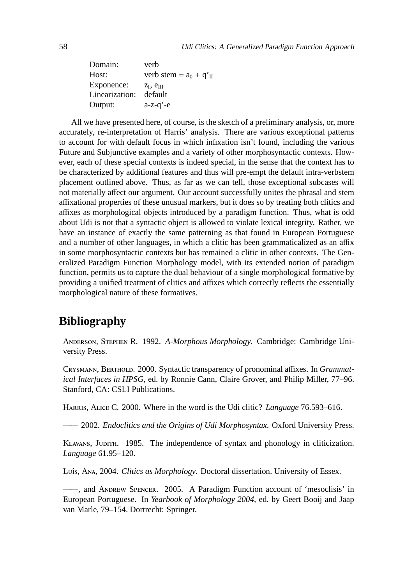| Domain:        | verb                                 |
|----------------|--------------------------------------|
| Host:          | verb stem = $a_0 + q'$ <sub>II</sub> |
| Exponence:     | $Z_I$ , $e_{III}$                    |
| Linearization: | default                              |
| Output:        | $a-z-q' - e$                         |

All we have presented here, of course, is the sketch of a preliminary analysis, or, more accurately, re-interpretation of Harris' analysis. There are various exceptional patterns to account for with default focus in which infixation isn't found, including the various Future and Subjunctive examples and a variety of other morphosyntactic contexts. However, each of these special contexts is indeed special, in the sense that the context has to be characterized by additional features and thus will pre-empt the default intra-verbstem placement outlined above. Thus, as far as we can tell, those exceptional subcases will not materially affect our argument. Our account successfully unites the phrasal and stem affixational properties of these unusual markers, but it does so by treating both clitics and affixes as morphological objects introduced by a paradigm function. Thus, what is odd about Udi is not that a syntactic object is allowed to violate lexical integrity. Rather, we have an instance of exactly the same patterning as that found in European Portuguese and a number of other languages, in which a clitic has been grammaticalized as an affix in some morphosyntactic contexts but has remained a clitic in other contexts. The Generalized Paradigm Function Morphology model, with its extended notion of paradigm function, permits us to capture the dual behaviour of a single morphological formative by providing a unified treatment of clitics and affixes which correctly reflects the essentially morphological nature of these formatives.

# **Bibliography**

ANDERSON, STEPHEN R. 1992. *A-Morphous Morphology*. Cambridge: Cambridge University Press.

CRYSMANN, BERTHOLD. 2000. Syntactic transparency of pronominal affixes. In *Grammatical Interfaces in HPSG*, ed. by Ronnie Cann, Claire Grover, and Philip Miller, 77–96. Stanford, CA: CSLI Publications.

HARRIS, ALICE C. 2000. Where in the word is the Udi clitic? *Language* 76.593–616.

—— 2002. *Endoclitics and the Origins of Udi Morphosyntax*. Oxford University Press.

KLAVANS, JUDITH. 1985. The independence of syntax and phonology in cliticization. *Language* 61.95–120.

Luís, A<sub>NA</sub>, 2004. *Clitics as Morphology*. Doctoral dissertation. University of Essex.

——, and ANDREW SPENCER. 2005. A Paradigm Function account of 'mesoclisis' in European Portuguese. In *Yearbook of Morphology 2004*, ed. by Geert Booij and Jaap van Marle, 79–154. Dortrecht: Springer.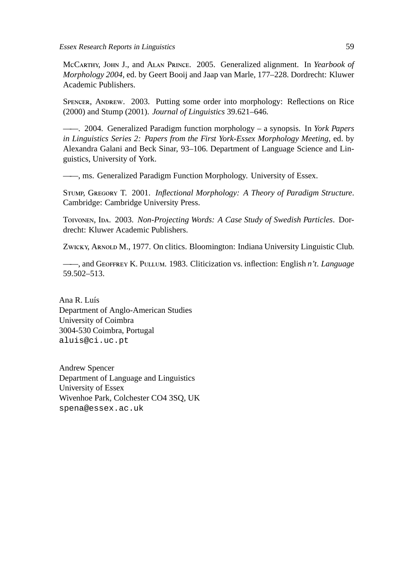McCARTHY, JOHN J., and ALAN PRINCE. 2005. Generalized alignment. In *Yearbook of Morphology 2004*, ed. by Geert Booij and Jaap van Marle, 177–228. Dordrecht: Kluwer Academic Publishers.

SPENCER, ANDREW. 2003. Putting some order into morphology: Reflections on Rice (2000) and Stump (2001). *Journal of Linguistics* 39.621–646.

——. 2004. Generalized Paradigm function morphology – a synopsis. In *York Papers in Linguistics Series 2: Papers from the First York-Essex Morphology Meeting*, ed. by Alexandra Galani and Beck Sinar, 93–106. Department of Language Science and Linguistics, University of York.

——, ms. Generalized Paradigm Function Morphology. University of Essex.

STUMP, GREGORY T. 2001. *Inflectional Morphology: A Theory of Paradigm Structure*. Cambridge: Cambridge University Press.

TOIVONEN, IDA. 2003. *Non-Projecting Words: A Case Study of Swedish Particles*. Dordrecht: Kluwer Academic Publishers.

ZWICKY, ARNOLD M., 1977. On clitics. Bloomington: Indiana University Linguistic Club.

 $-$ , and GEOFFREY K. PULLUM. 1983. Cliticization vs. inflection: English *n't. Language* 59.502–513.

Ana R. Luís Department of Anglo-American Studies University of Coimbra 3004-530 Coimbra, Portugal aluis@ci.uc.pt

Andrew Spencer Department of Language and Linguistics University of Essex Wivenhoe Park, Colchester CO4 3SQ, UK spena@essex.ac.uk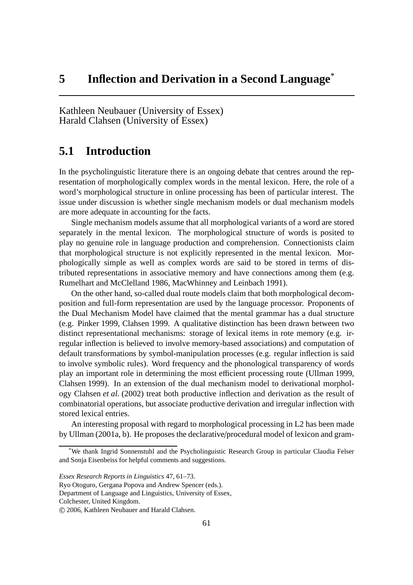Kathleen Neubauer (University of Essex) Harald Clahsen (University of Essex)

# **5.1 Introduction**

In the psycholinguistic literature there is an ongoing debate that centres around the representation of morphologically complex words in the mental lexicon. Here, the role of a word's morphological structure in online processing has been of particular interest. The issue under discussion is whether single mechanism models or dual mechanism models are more adequate in accounting for the facts.

Single mechanism models assume that all morphological variants of a word are stored separately in the mental lexicon. The morphological structure of words is posited to play no genuine role in language production and comprehension. Connectionists claim that morphological structure is not explicitly represented in the mental lexicon. Morphologically simple as well as complex words are said to be stored in terms of distributed representations in associative memory and have connections among them (e.g. Rumelhart and McClelland 1986, MacWhinney and Leinbach 1991).

On the other hand, so-called dual route models claim that both morphological decomposition and full-form representation are used by the language processor. Proponents of the Dual Mechanism Model have claimed that the mental grammar has a dual structure (e.g. Pinker 1999, Clahsen 1999. A qualitative distinction has been drawn between two distinct representational mechanisms: storage of lexical items in rote memory (e.g. irregular inflection is believed to involve memory-based associations) and computation of default transformations by symbol-manipulation processes (e.g. regular inflection is said to involve symbolic rules). Word frequency and the phonological transparency of words play an important role in determining the most efficient processing route (Ullman 1999, Clahsen 1999). In an extension of the dual mechanism model to derivational morphology Clahsen *et al.* (2002) treat both productive inflection and derivation as the result of combinatorial operations, but associate productive derivation and irregular inflection with stored lexical entries.

An interesting proposal with regard to morphological processing in L2 has been made by Ullman (2001a, b). He proposes the declarative/procedural model of lexicon and gram-

Ryo Otoguro, Gergana Popova and Andrew Spencer (eds.).

Department of Language and Linguistics, University of Essex,

Colchester, United Kingdom.

We thank Ingrid Sonnenstuhl and the Psycholinguistic Research Group in particular Claudia Felser and Sonja Eisenbeiss for helpful comments and suggestions.

*Essex Research Reports in Linguistics* 47, 61–73.

c 2006, Kathleen Neubauer and Harald Clahsen.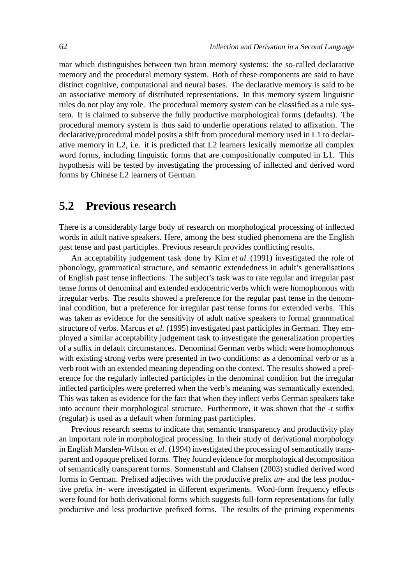mar which distinguishes between two brain memory systems: the so-called declarative memory and the procedural memory system. Both of these components are said to have distinct cognitive, computational and neural bases. The declarative memory is said to be an associative memory of distributed representations. In this memory system linguistic rules do not play any role. The procedural memory system can be classified as a rule system. It is claimed to subserve the fully productive morphological forms (defaults). The procedural memory system is thus said to underlie operations related to affixation. The declarative/procedural model posits a shift from procedural memory used in L1 to declarative memory in L2, i.e. it is predicted that L2 learners lexically memorize all complex word forms, including linguistic forms that are compositionally computed in L1. This hypothesis will be tested by investigating the processing of inflected and derived word forms by Chinese L2 learners of German.

### **5.2 Previous research**

There is a considerably large body of research on morphological processing of inflected words in adult native speakers. Here, among the best studied phenomena are the English past tense and past participles. Previous research provides conflicting results.

An acceptability judgement task done by Kim *et al.* (1991) investigated the role of phonology, grammatical structure, and semantic extendedness in adult's generalisations of English past tense inflections. The subject's task was to rate regular and irregular past tense forms of denominal and extended endocentric verbs which were homophonous with irregular verbs. The results showed a preference for the regular past tense in the denominal condition, but a preference for irregular past tense forms for extended verbs. This was taken as evidence for the sensitivity of adult native speakers to formal grammatical structure of verbs. Marcus *et al.* (1995) investigated past participles in German. They employed a similar acceptability judgement task to investigate the generalization properties of a suffix in default circumstances. Denominal German verbs which were homophonous with existing strong verbs were presented in two conditions: as a denominal verb or as a verb root with an extended meaning depending on the context. The results showed a preference for the regularly inflected participles in the denominal condition but the irregular inflected participles were preferred when the verb's meaning was semantically extended. This was taken as evidence for the fact that when they inflect verbs German speakers take into account their morphological structure. Furthermore, it was shown that the *-t* suffix (regular) is used as a default when forming past participles.

Previous research seems to indicate that semantic transparency and productivity play an important role in morphological processing. In their study of derivational morphology in English Marslen-Wilson *et al.* (1994) investigated the processing of semantically transparent and opaque prefixed forms. They found evidence for morphological decomposition of semantically transparent forms. Sonnenstuhl and Clahsen (2003) studied derived word forms in German. Prefixed adjectives with the productive prefix *un-* and the less productive prefix *in-* were investigated in different experiments. Word-form frequency effects were found for both derivational forms which suggests full-form representations for fully productive and less productive prefixed forms. The results of the priming experiments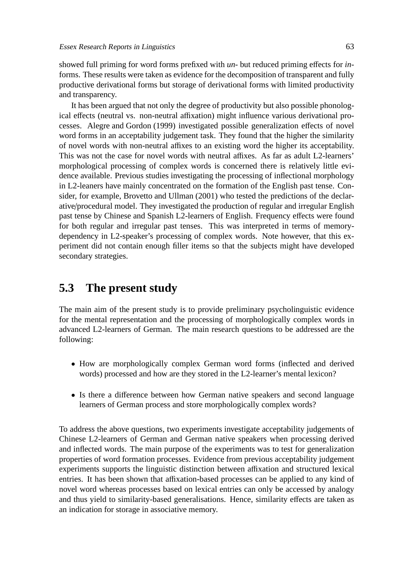showed full priming for word forms prefixed with *un-* but reduced priming effects for *in*forms. These results were taken as evidence for the decomposition of transparent and fully productive derivational forms but storage of derivational forms with limited productivity and transparency.

It has been argued that not only the degree of productivity but also possible phonological effects (neutral vs. non-neutral affixation) might influence various derivational processes. Alegre and Gordon (1999) investigated possible generalization effects of novel word forms in an acceptability judgement task. They found that the higher the similarity of novel words with non-neutral affixes to an existing word the higher its acceptability. This was not the case for novel words with neutral affixes. As far as adult L2-learners' morphological processing of complex words is concerned there is relatively little evidence available. Previous studies investigating the processing of inflectional morphology in L2-leaners have mainly concentrated on the formation of the English past tense. Consider, for example, Brovetto and Ullman (2001) who tested the predictions of the declarative/procedural model. They investigated the production of regular and irregular English past tense by Chinese and Spanish L2-learners of English. Frequency effects were found for both regular and irregular past tenses. This was interpreted in terms of memorydependency in L2-speaker's processing of complex words. Note however, that this experiment did not contain enough filler items so that the subjects might have developed secondary strategies.

# **5.3 The present study**

The main aim of the present study is to provide preliminary psycholinguistic evidence for the mental representation and the processing of morphologically complex words in advanced L2-learners of German. The main research questions to be addressed are the following:

- How are morphologically complex German word forms (inflected and derived words) processed and how are they stored in the L2-learner's mental lexicon?
- Is there a difference between how German native speakers and second language learners of German process and store morphologically complex words?

To address the above questions, two experiments investigate acceptability judgements of Chinese L2-learners of German and German native speakers when processing derived and inflected words. The main purpose of the experiments was to test for generalization properties of word formation processes. Evidence from previous acceptability judgement experiments supports the linguistic distinction between affixation and structured lexical entries. It has been shown that affixation-based processes can be applied to any kind of novel word whereas processes based on lexical entries can only be accessed by analogy and thus yield to similarity-based generalisations. Hence, similarity effects are taken as an indication for storage in associative memory.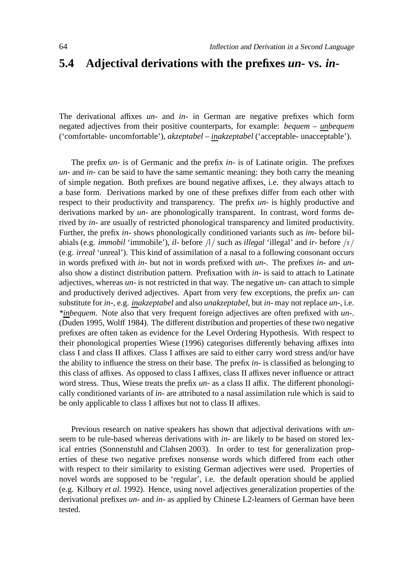### **5.4 Adjectival derivations with the prefixes** *un-* **vs.** *in-*

The derivational affixes *un-* and *in-* in German are negative prefixes which form negated adjectives from their positive counterparts, for example: *bequem – unbequem* ('comfortable- uncomfortable'), *akzeptabel – inakzeptabel* ('acceptable- unacceptable').

The prefix *un-* is of Germanic and the prefix *in-* is of Latinate origin. The prefixes *un-* and *in-* can be said to have the same semantic meaning: they both carry the meaning of simple negation. Both prefixes are bound negative affixes, i.e. they always attach to a base form. Derivations marked by one of these prefixes differ from each other with respect to their productivity and transparency. The prefix *un-* is highly productive and derivations marked by *un-* are phonologically transparent. In contrast, word forms derived by *in-* are usually of restricted phonological transparency and limited productivity. Further, the prefix *in-* shows phonologically conditioned variants such as *im-* before bilabials (e.g. *immobil* 'immobile'), *il-* before /l/ such as *illegal* 'illegal' and *ir-* before /r/ (e.g. *irreal* 'unreal'). This kind of assimilation of a nasal to a following consonant occurs in words prefixed with *in-* but not in words prefixed with *un-*. The prefixes *in-* and *un*also show a distinct distribution pattern. Prefixation with *in-* is said to attach to Latinate adjectives, whereas *un-* is not restricted in that way. The negative *un-* can attach to simple and productively derived adjectives. Apart from very few exceptions, the prefix *un-* can substitute for *in-*, e.g. *inakzeptabel* and also *unakzeptabel*, but *in-* may not replace *un-*, i.e. *\*inbequem*. Note also that very frequent foreign adjectives are often prefixed with *un-*. (Duden 1995, Wolff 1984). The different distribution and properties of these two negative prefixes are often taken as evidence for the Level Ordering Hypothesis. With respect to their phonological properties Wiese (1996) categorises differently behaving affixes into class I and class II affixes. Class I affixes are said to either carry word stress and/or have the ability to influence the stress on their base. The prefix *in-* is classified as belonging to this class of affixes. As opposed to class I affixes, class II affixes never influence or attract word stress. Thus, Wiese treats the prefix *un-* as a class II affix. The different phonologically conditioned variants of *in-* are attributed to a nasal assimilation rule which is said to be only applicable to class I affixes but not to class II affixes.

Previous research on native speakers has shown that adjectival derivations with *un*seem to be rule-based whereas derivations with *in-* are likely to be based on stored lexical entries (Sonnenstuhl and Clahsen 2003). In order to test for generalization properties of these two negative prefixes nonsense words which differed from each other with respect to their similarity to existing German adjectives were used. Properties of novel words are supposed to be 'regular', i.e. the default operation should be applied (e.g. Kilbury *et al.* 1992). Hence, using novel adjectives generalization properties of the derivational prefixes *un-* and *in-* as applied by Chinese L2-learners of German have been tested.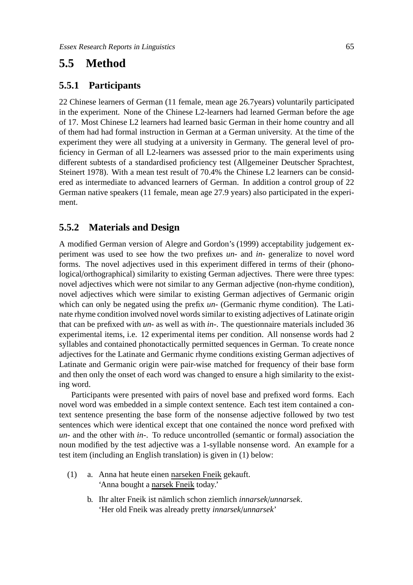# **5.5 Method**

#### **5.5.1 Participants**

22 Chinese learners of German (11 female, mean age 26.7years) voluntarily participated in the experiment. None of the Chinese L2-learners had learned German before the age of 17. Most Chinese L2 learners had learned basic German in their home country and all of them had had formal instruction in German at a German university. At the time of the experiment they were all studying at a university in Germany. The general level of proficiency in German of all L2-learners was assessed prior to the main experiments using different subtests of a standardised proficiency test (Allgemeiner Deutscher Sprachtest, Steinert 1978). With a mean test result of 70.4% the Chinese L2 learners can be considered as intermediate to advanced learners of German. In addition a control group of 22 German native speakers (11 female, mean age 27.9 years) also participated in the experiment.

#### **5.5.2 Materials and Design**

A modified German version of Alegre and Gordon's (1999) acceptability judgement experiment was used to see how the two prefixes *un-* and *in-* generalize to novel word forms. The novel adjectives used in this experiment differed in terms of their (phonological/orthographical) similarity to existing German adjectives. There were three types: novel adjectives which were not similar to any German adjective (non-rhyme condition), novel adjectives which were similar to existing German adjectives of Germanic origin which can only be negated using the prefix *un-* (Germanic rhyme condition). The Latinate rhyme condition involved novel words similar to existing adjectives of Latinate origin that can be prefixed with *un-* as well as with *in-*. The questionnaire materials included 36 experimental items, i.e. 12 experimental items per condition. All nonsense words had 2 syllables and contained phonotactically permitted sequences in German. To create nonce adjectives for the Latinate and Germanic rhyme conditions existing German adjectives of Latinate and Germanic origin were pair-wise matched for frequency of their base form and then only the onset of each word was changed to ensure a high similarity to the existing word.

Participants were presented with pairs of novel base and prefixed word forms. Each novel word was embedded in a simple context sentence. Each test item contained a context sentence presenting the base form of the nonsense adjective followed by two test sentences which were identical except that one contained the nonce word prefixed with *un-* and the other with *in-*. To reduce uncontrolled (semantic or formal) association the noun modified by the test adjective was a 1-syllable nonsense word. An example for a test item (including an English translation) is given in (1) below:

- (1) a. Anna hat heute einen narseken Fneik gekauft. 'Anna bought a narsek Fneik today.'
	- b. Ihr alter Fneik ist nämlich schon ziemlich *innarsek*/*unnarsek*. 'Her old Fneik was already pretty *innarsek*/*unnarsek*'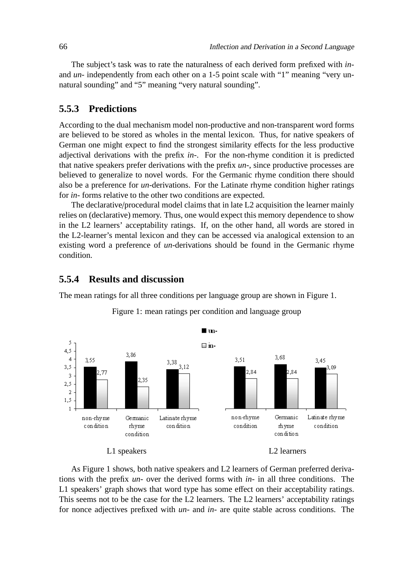The subject's task was to rate the naturalness of each derived form prefixed with *in*and *un*- independently from each other on a 1-5 point scale with "1" meaning "very unnatural sounding" and "5" meaning "very natural sounding".

#### **5.5.3 Predictions**

According to the dual mechanism model non-productive and non-transparent word forms are believed to be stored as wholes in the mental lexicon. Thus, for native speakers of German one might expect to find the strongest similarity effects for the less productive adjectival derivations with the prefix *in-*. For the non-rhyme condition it is predicted that native speakers prefer derivations with the prefix *un-*, since productive processes are believed to generalize to novel words. For the Germanic rhyme condition there should also be a preference for *un-*derivations. For the Latinate rhyme condition higher ratings for *in-* forms relative to the other two conditions are expected.

The declarative/procedural model claims that in late L2 acquisition the learner mainly relies on (declarative) memory. Thus, one would expect this memory dependence to show in the L2 learners' acceptability ratings. If, on the other hand, all words are stored in the L2-learner's mental lexicon and they can be accessed via analogical extension to an existing word a preference of *un*-derivations should be found in the Germanic rhyme condition.

#### **5.5.4 Results and discussion**

The mean ratings for all three conditions per language group are shown in Figure 1.



Figure 1: mean ratings per condition and language group

As Figure 1 shows, both native speakers and L2 learners of German preferred derivations with the prefix *un-* over the derived forms with *in-* in all three conditions. The L1 speakers' graph shows that word type has some effect on their acceptability ratings. This seems not to be the case for the L2 learners. The L2 learners' acceptability ratings for nonce adjectives prefixed with *un-* and *in-* are quite stable across conditions. The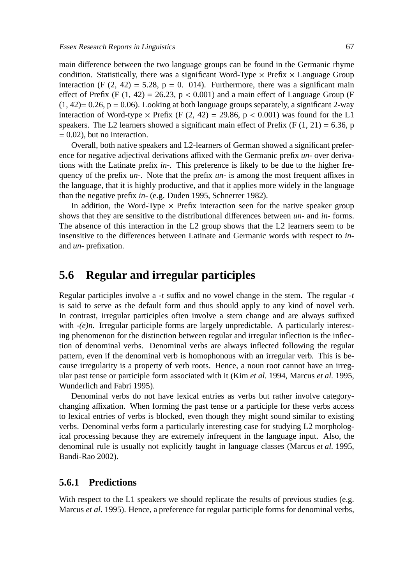main difference between the two language groups can be found in the Germanic rhyme condition. Statistically, there was a significant Word-Type  $\times$  Prefix  $\times$  Language Group interaction (F  $(2, 42) = 5.28$ , p = 0. 014). Furthermore, there was a significant main effect of Prefix (F  $(1, 42) = 26.23$ ,  $p < 0.001$ ) and a main effect of Language Group (F  $(1, 42)$ = 0.26, p = 0.06). Looking at both language groups separately, a significant 2-way interaction of Word-type  $\times$  Prefix (F (2, 42) = 29.86, p < 0.001) was found for the L1 speakers. The L2 learners showed a significant main effect of Prefix (F  $(1, 21) = 6.36$ , p  $= 0.02$ ), but no interaction.

Overall, both native speakers and L2-learners of German showed a significant preference for negative adjectival derivations affixed with the Germanic prefix *un-* over derivations with the Latinate prefix *in-*. This preference is likely to be due to the higher frequency of the prefix *un-*. Note that the prefix *un-* is among the most frequent affixes in the language, that it is highly productive, and that it applies more widely in the language than the negative prefix *in-* (e.g. Duden 1995, Schnerrer 1982).

In addition, the Word-Type  $\times$  Prefix interaction seen for the native speaker group shows that they are sensitive to the distributional differences between *un-* and *in-* forms. The absence of this interaction in the L2 group shows that the L2 learners seem to be insensitive to the differences between Latinate and Germanic words with respect to *in*and *un-* prefixation.

### **5.6 Regular and irregular participles**

Regular participles involve a *-t* suffix and no vowel change in the stem. The regular *-t* is said to serve as the default form and thus should apply to any kind of novel verb. In contrast, irregular participles often involve a stem change and are always suffixed with  $-(e)n$ . Irregular participle forms are largely unpredictable. A particularly interesting phenomenon for the distinction between regular and irregular inflection is the inflection of denominal verbs. Denominal verbs are always inflected following the regular pattern, even if the denominal verb is homophonous with an irregular verb. This is because irregularity is a property of verb roots. Hence, a noun root cannot have an irregular past tense or participle form associated with it (Kim *et al.* 1994, Marcus *et al.* 1995, Wunderlich and Fabri 1995).

Denominal verbs do not have lexical entries as verbs but rather involve categorychanging affixation. When forming the past tense or a participle for these verbs access to lexical entries of verbs is blocked, even though they might sound similar to existing verbs. Denominal verbs form a particularly interesting case for studying L2 morphological processing because they are extremely infrequent in the language input. Also, the denominal rule is usually not explicitly taught in language classes (Marcus *et al.* 1995, Bandi-Rao 2002).

#### **5.6.1 Predictions**

With respect to the L1 speakers we should replicate the results of previous studies (e.g. Marcus *et al.* 1995). Hence, a preference for regular participle forms for denominal verbs,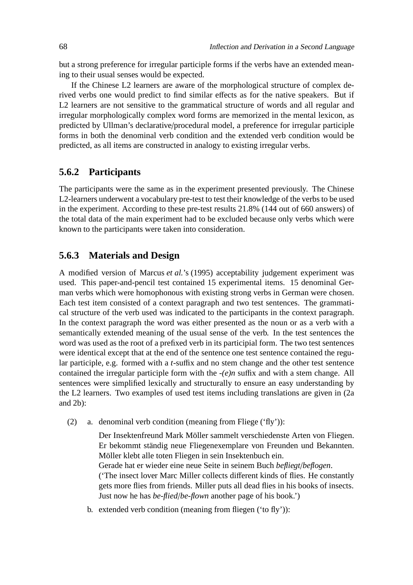but a strong preference for irregular participle forms if the verbs have an extended meaning to their usual senses would be expected.

If the Chinese L2 learners are aware of the morphological structure of complex derived verbs one would predict to find similar effects as for the native speakers. But if L2 learners are not sensitive to the grammatical structure of words and all regular and irregular morphologically complex word forms are memorized in the mental lexicon, as predicted by Ullman's declarative/procedural model, a preference for irregular participle forms in both the denominal verb condition and the extended verb condition would be predicted, as all items are constructed in analogy to existing irregular verbs.

#### **5.6.2 Participants**

The participants were the same as in the experiment presented previously. The Chinese L2-learners underwent a vocabulary pre-test to test their knowledge of the verbs to be used in the experiment. According to these pre-test results 21.8% (144 out of 660 answers) of the total data of the main experiment had to be excluded because only verbs which were known to the participants were taken into consideration.

#### **5.6.3 Materials and Design**

A modified version of Marcus *et al.*'s (1995) acceptability judgement experiment was used. This paper-and-pencil test contained 15 experimental items. 15 denominal German verbs which were homophonous with existing strong verbs in German were chosen. Each test item consisted of a context paragraph and two test sentences. The grammatical structure of the verb used was indicated to the participants in the context paragraph. In the context paragraph the word was either presented as the noun or as a verb with a semantically extended meaning of the usual sense of the verb. In the test sentences the word was used as the root of a prefixed verb in its participial form. The two test sentences were identical except that at the end of the sentence one test sentence contained the regular participle, e.g. formed with a *t*-suffix and no stem change and the other test sentence contained the irregular participle form with the *-(e)n* suffix and with a stem change. All sentences were simplified lexically and structurally to ensure an easy understanding by the L2 learners. Two examples of used test items including translations are given in (2a and 2b):

(2) a. denominal verb condition (meaning from Fliege ('fly')):

Der Insektenfreund Mark Möller sammelt verschiedenste Arten von Fliegen. Er bekommt ständig neue Fliegenexemplare von Freunden und Bekannten. Möller klebt alle toten Fliegen in sein Insektenbuch ein. Gerade hat er wieder eine neue Seite in seinem Buch *befliegt*/*beflogen*. ('The insect lover Marc Miller collects different kinds of flies. He constantly gets more flies from friends. Miller puts all dead flies in his books of insects. Just now he has *be-flied*/*be-flown* another page of his book.')

b. extended verb condition (meaning from fliegen ('to fly')):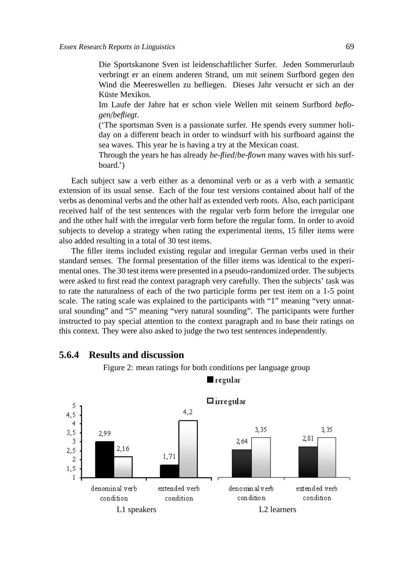Die Sportskanone Sven ist leidenschaftlicher Surfer. Jeden Sommerurlaub verbringt er an einem anderen Strand, um mit seinem Surfbord gegen den Wind die Meereswellen zu befliegen. Dieses Jahr versucht er sich an der Küste Mexikos.

Im Laufe der Jahre hat er schon viele Wellen mit seinem Surfbord *beflogen*/*befliegt*.

('The sportsman Sven is a passionate surfer. He spends every summer holiday on a different beach in order to windsurf with his surfboard against the sea waves. This year he is having a try at the Mexican coast.

Through the years he has already *be-flied*/*be-flown* many waves with his surfboard.')

Each subject saw a verb either as a denominal verb or as a verb with a semantic extension of its usual sense. Each of the four test versions contained about half of the verbs as denominal verbs and the other half as extended verb roots. Also, each participant received half of the test sentences with the regular verb form before the irregular one and the other half with the irregular verb form before the regular form. In order to avoid subjects to develop a strategy when rating the experimental items, 15 filler items were also added resulting in a total of 30 test items.

The filler items included existing regular and irregular German verbs used in their standard senses. The formal presentation of the filler items was identical to the experimental ones. The 30 test items were presented in a pseudo-randomized order. The subjects were asked to first read the context paragraph very carefully. Then the subjects' task was to rate the naturalness of each of the two participle forms per test item on a 1-5 point scale. The rating scale was explained to the participants with "1" meaning "very unnatural sounding" and "5" meaning "very natural sounding". The participants were further instructed to pay special attention to the context paragraph and to base their ratings on this context. They were also asked to judge the two test sentences independently.



#### **5.6.4 Results and discussion**

Figure 2: mean ratings for both conditions per language group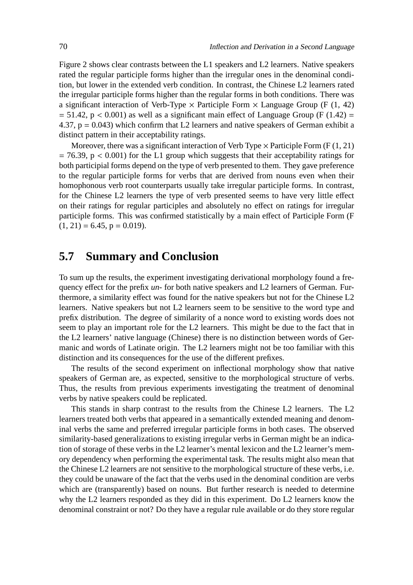Figure 2 shows clear contrasts between the L1 speakers and L2 learners. Native speakers rated the regular participle forms higher than the irregular ones in the denominal condition, but lower in the extended verb condition. In contrast, the Chinese L2 learners rated the irregular participle forms higher than the regular forms in both conditions. There was a significant interaction of Verb-Type  $\times$  Participle Form  $\times$  Language Group (F (1, 42)  $= 51.42$ , p < 0.001) as well as a significant main effect of Language Group (F (1.42) = 4.37,  $p = 0.043$ ) which confirm that L2 learners and native speakers of German exhibit a distinct pattern in their acceptability ratings.

Moreover, there was a significant interaction of Verb Type  $\times$  Participle Form (F (1, 21)  $= 76.39$ ,  $p < 0.001$ ) for the L1 group which suggests that their acceptability ratings for both participial forms depend on the type of verb presented to them. They gave preference to the regular participle forms for verbs that are derived from nouns even when their homophonous verb root counterparts usually take irregular participle forms. In contrast, for the Chinese L2 learners the type of verb presented seems to have very little effect on their ratings for regular participles and absolutely no effect on ratings for irregular participle forms. This was confirmed statistically by a main effect of Participle Form (F  $(1, 21) = 6.45$ ,  $p = 0.019$ ).

## **5.7 Summary and Conclusion**

To sum up the results, the experiment investigating derivational morphology found a frequency effect for the prefix *un-* for both native speakers and L2 learners of German. Furthermore, a similarity effect was found for the native speakers but not for the Chinese L2 learners. Native speakers but not L2 learners seem to be sensitive to the word type and prefix distribution. The degree of similarity of a nonce word to existing words does not seem to play an important role for the L2 learners. This might be due to the fact that in the L2 learners' native language (Chinese) there is no distinction between words of Germanic and words of Latinate origin. The L2 learners might not be too familiar with this distinction and its consequences for the use of the different prefixes.

The results of the second experiment on inflectional morphology show that native speakers of German are, as expected, sensitive to the morphological structure of verbs. Thus, the results from previous experiments investigating the treatment of denominal verbs by native speakers could be replicated.

This stands in sharp contrast to the results from the Chinese L2 learners. The L2 learners treated both verbs that appeared in a semantically extended meaning and denominal verbs the same and preferred irregular participle forms in both cases. The observed similarity-based generalizations to existing irregular verbs in German might be an indication of storage of these verbs in the L2 learner's mental lexicon and the L2 learner's memory dependency when performing the experimental task. The results might also mean that the Chinese L2 learners are not sensitive to the morphological structure of these verbs, i.e. they could be unaware of the fact that the verbs used in the denominal condition are verbs which are (transparently) based on nouns. But further research is needed to determine why the L2 learners responded as they did in this experiment. Do L2 learners know the denominal constraint or not? Do they have a regular rule available or do they store regular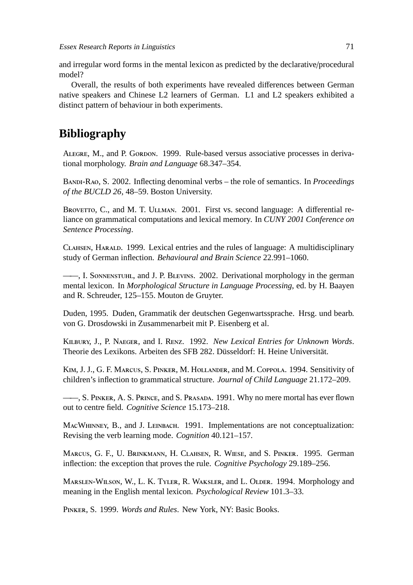and irregular word forms in the mental lexicon as predicted by the declarative/procedural model?

Overall, the results of both experiments have revealed differences between German native speakers and Chinese L2 learners of German. L1 and L2 speakers exhibited a distinct pattern of behaviour in both experiments.

# **Bibliography**

ALEGRE, M., and P. GORDON. 1999. Rule-based versus associative processes in derivational morphology. *Brain and Language* 68.347–354.

BANDI-RAO, S. 2002. Inflecting denominal verbs – the role of semantics. In *Proceedings of the BUCLD 26*, 48–59. Boston University.

BROVETTO, C., and M. T. ULLMAN. 2001. First vs. second language: A differential reliance on grammatical computations and lexical memory. In *CUNY 2001 Conference on Sentence Processing*.

CLAHSEN, HARALD. 1999. Lexical entries and the rules of language: A multidisciplinary study of German inflection. *Behavioural and Brain Science* 22.991–1060.

 $-$ , I. SONNENSTUHL, and J. P. BLEVINS. 2002. Derivational morphology in the german mental lexicon. In *Morphological Structure in Language Processing*, ed. by H. Baayen and R. Schreuder, 125–155. Mouton de Gruyter.

Duden, 1995. Duden, Grammatik der deutschen Gegenwartssprache. Hrsg. und bearb. von G. Drosdowski in Zusammenarbeit mit P. Eisenberg et al.

KILBURY, J., P. NAEGER, and I. RENZ. 1992. *New Lexical Entries for Unknown Words*. Theorie des Lexikons. Arbeiten des SFB 282. Düsseldorf: H. Heine Universität.

KIM, J. J., G. F. MARCUS, S. PINKER, M. HOLLANDER, and M. COPPOLA. 1994. Sensitivity of children's inflection to grammatical structure. *Journal of Child Language* 21.172–209.

—, S. PINKER, A. S. PRINCE, and S. PRASADA. 1991. Why no mere mortal has ever flown out to centre field. *Cognitive Science* 15.173–218.

MACWHINNEY, B., and J. LEINBACH. 1991. Implementations are not conceptualization: Revising the verb learning mode. *Cognition* 40.121–157.

MARCUS, G. F., U. BRINKMANN, H. CLAHSEN, R. WIESE, and S. PINKER. 1995. German inflection: the exception that proves the rule. *Cognitive Psychology* 29.189–256.

MARSLEN-WILSON, W., L. K. TYLER, R. WAKSLER, and L. OLDER. 1994. Morphology and meaning in the English mental lexicon. *Psychological Review* 101.3–33.

PINKER, S. 1999. *Words and Rules*. New York, NY: Basic Books.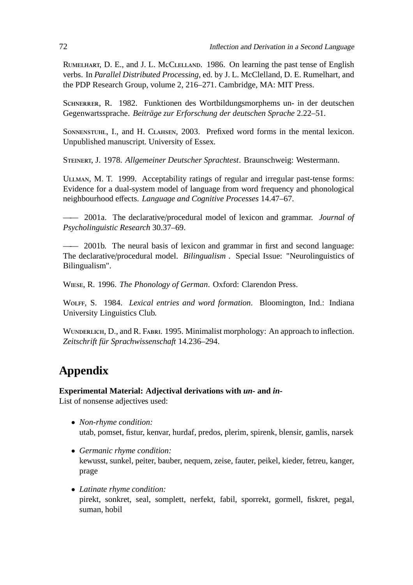RUMELHART, D. E., and J. L. McCLELLAND. 1986. On learning the past tense of English verbs. In *Parallel Distributed Processing*, ed. by J. L. McClelland, D. E. Rumelhart, and the PDP Research Group, volume 2, 216–271. Cambridge, MA: MIT Press.

SCHNERRER, R. 1982. Funktionen des Wortbildungsmorphems un- in der deutschen Gegenwartssprache. *Beiträge zur Erforschung der deutschen Sprache* 2.22–51.

SONNENSTUHL, I., and H. CLAHSEN, 2003. Prefixed word forms in the mental lexicon. Unpublished manuscript. University of Essex.

STEINERT, J. 1978. *Allgemeiner Deutscher Sprachtest*. Braunschweig: Westermann.

ULLMAN, M. T. 1999. Acceptability ratings of regular and irregular past-tense forms: Evidence for a dual-system model of language from word frequency and phonological neighbourhood effects. *Language and Cognitive Processes* 14.47–67.

—— 2001a. The declarative/procedural model of lexicon and grammar. *Journal of Psycholinguistic Research* 30.37–69.

—— 2001b. The neural basis of lexicon and grammar in first and second language: The declarative/procedural model. *Bilingualism* . Special Issue: "Neurolinguistics of Bilingualism".

WIESE, R. 1996. *The Phonology of German*. Oxford: Clarendon Press.

W, S. 1984. *Lexical entries and word formation*. Bloomington, Ind.: Indiana University Linguistics Club.

WUNDERLICH, D., and R. FABRI. 1995. Minimalist morphology: An approach to inflection. *Zeitschrift für Sprachwissenschaft* 14.236–294.

# **Appendix**

**Experimental Material: Adjectival derivations with** *un-* **and** *in-*

List of nonsense adjectives used:

- *Non-rhyme condition:* utab, pomset, fistur, kenvar, hurdaf, predos, plerim, spirenk, blensir, gamlis, narsek
- *Germanic rhyme condition:* kewusst, sunkel, peiter, bauber, nequem, zeise, fauter, peikel, kieder, fetreu, kanger, prage
- *Latinate rhyme condition:* pirekt, sonkret, seal, somplett, nerfekt, fabil, sporrekt, gormell, fiskret, pegal, suman, hobil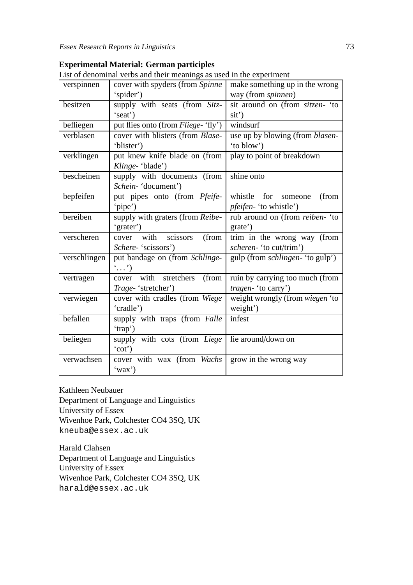#### List of denominal verbs and their meanings as used in the experiment verspinnen cover with spyders (from *Spinne*) 'spider') make something up in the wrong way (from *spinnen*) besitzen supply with seats (from *Sitz-*'seat') sit around on (from *sitzen-* 'to sit') befliegen | put flies onto (from *Fliege-* 'fly') windsurf verblasen cover with blisters (from *Blase-* 'blister') use up by blowing (from *blasen-* 'to blow') verklingen put knew knife blade on (from *Klinge-* 'blade') play to point of breakdown bescheinen supply with documents (from *Schein-* 'document') shine onto bepfeifen put pipes onto (from *Pfeife-* 'pipe') whistle for someone (from *pfeifen-* 'to whistle') bereiben supply with graters (from *Reibe*-'grater') rub around on (from *reiben-* 'to grate') verscheren cover with scissors (from *Schere-* 'scissors') trim in the wrong way (from *scheren-* 'to cut/trim') verschlingen put bandage on (from *Schlinge-*  $\cdot$  ...') gulp (from *schlingen-* 'to gulp') vertragen cover with stretchers (from *Trage-* 'stretcher') ruin by carrying too much (from *tragen-* 'to carry') verwiegen cover with cradles (from *Wiege*) 'cradle') weight wrongly (from *wiegen* 'to weight') befallen supply with traps (from *Falle*) 'trap') infest beliegen supply with cots (from *Liege* 'cot') lie around/down on verwachsen cover with wax (from *Wachs* grow in the wrong way

| <b>Experimental Material: German participles</b>               |  |
|----------------------------------------------------------------|--|
| List of denominal realize and their meanings as used in the se |  |

Kathleen Neubauer

Department of Language and Linguistics University of Essex Wivenhoe Park, Colchester CO4 3SQ, UK kneuba@essex.ac.uk

'wax')

Harald Clahsen Department of Language and Linguistics University of Essex Wivenhoe Park, Colchester CO4 3SQ, UK harald@essex.ac.uk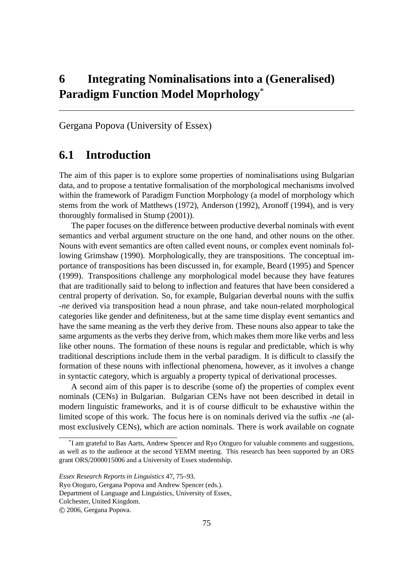# **6 Integrating Nominalisations into a (Generalised) Paradigm Function Model Moprhology**\*

Gergana Popova (University of Essex)

## **6.1 Introduction**

The aim of this paper is to explore some properties of nominalisations using Bulgarian data, and to propose a tentative formalisation of the morphological mechanisms involved within the framework of Paradigm Function Morphology (a model of morphology which stems from the work of Matthews (1972), Anderson (1992), Aronoff (1994), and is very thoroughly formalised in Stump (2001)).

The paper focuses on the difference between productive deverbal nominals with event semantics and verbal argument structure on the one hand, and other nouns on the other. Nouns with event semantics are often called event nouns, or complex event nominals following Grimshaw (1990). Morphologically, they are transpositions. The conceptual importance of transpositions has been discussed in, for example, Beard (1995) and Spencer (1999). Transpositions challenge any morphological model because they have features that are traditionally said to belong to inflection and features that have been considered a central property of derivation. So, for example, Bulgarian deverbal nouns with the suffix *-ne* derived via transposition head a noun phrase, and take noun-related morphological categories like gender and definiteness, but at the same time display event semantics and have the same meaning as the verb they derive from. These nouns also appear to take the same arguments as the verbs they derive from, which makes them more like verbs and less like other nouns. The formation of these nouns is regular and predictable, which is why traditional descriptions include them in the verbal paradigm. It is difficult to classify the formation of these nouns with inflectional phenomena, however, as it involves a change in syntactic category, which is arguably a property typical of derivational processes.

A second aim of this paper is to describe (some of) the properties of complex event nominals (CENs) in Bulgarian. Bulgarian CENs have not been described in detail in modern linguistic frameworks, and it is of course difficult to be exhaustive within the limited scope of this work. The focus here is on nominals derived via the suffix *-ne* (almost exclusively CENs), which are action nominals. There is work available on cognate

<sup>\*</sup> I am grateful to Bas Aarts, Andrew Spencer and Ryo Otoguro for valuable comments and suggestions, as well as to the audience at the second YEMM meeting. This research has been supported by an ORS grant ORS/2000015006 and a University of Essex studentship.

*Essex Research Reports in Linguistics* 47, 75–93.

Ryo Otoguro, Gergana Popova and Andrew Spencer (eds.).

Department of Language and Linguistics, University of Essex,

Colchester, United Kingdom.

c 2006, Gergana Popova.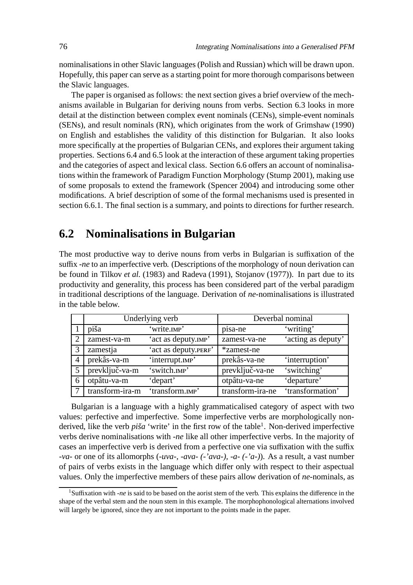nominalisations in other Slavic languages (Polish and Russian) which will be drawn upon. Hopefully, this paper can serve as a starting point for more thorough comparisons between the Slavic languages.

The paper is organised as follows: the next section gives a brief overview of the mechanisms available in Bulgarian for deriving nouns from verbs. Section 6.3 looks in more detail at the distinction between complex event nominals (CENs), simple-event nominals (SENs), and result nominals (RN), which originates from the work of Grimshaw (1990) on English and establishes the validity of this distinction for Bulgarian. It also looks more specifically at the properties of Bulgarian CENs, and explores their argument taking properties. Sections 6.4 and 6.5 look at the interaction of these argument taking properties and the categories of aspect and lexical class. Section 6.6 offers an account of nominalisations within the framework of Paradigm Function Morphology (Stump 2001), making use of some proposals to extend the framework (Spencer 2004) and introducing some other modifications. A brief description of some of the formal mechanisms used is presented in section 6.6.1. The final section is a summary, and points to directions for further research.

## **6.2 Nominalisations in Bulgarian**

The most productive way to derive nouns from verbs in Bulgarian is suffixation of the suffix *-ne* to an imperfective verb. (Descriptions of the morphology of noun derivation can be found in Tilkov *et al.* (1983) and Radeva (1991), Stojanov (1977)). In part due to its productivity and generality, this process has been considered part of the verbal paradigm in traditional descriptions of the language. Derivation of *ne*-nominalisations is illustrated in the table below.

|                |                 | Underlying verb      | Deverbal nominal |                    |
|----------------|-----------------|----------------------|------------------|--------------------|
|                | piša            | 'write.mp'           | pisa-ne          | 'writing'          |
| $\overline{2}$ | zamest-va-m     | 'act as deputy.IMP'  | zamest-va-ne     | 'acting as deputy' |
| $\mathcal{R}$  | zamestja        | 'act as deputy.PERF' | *zamest-ne       |                    |
| 4              | prekâs-va-m     | 'interrupt.mp'       | prekâs-va-ne     | 'interruption'     |
| 5              | prevključ-va-m  | 'switch.mp'          | prevključ-va-ne  | 'switching'        |
| 6              | otpâtu-va-m     | 'depart'             | otpâtu-va-ne     | 'departure'        |
|                | transform-ira-m | 'transform.IMP'      | transform-ira-ne | 'transformation'   |

Bulgarian is a language with a highly grammaticalised category of aspect with two values: perfective and imperfective. Some imperfective verbs are morphologically nonderived, like the verb *piša* 'write' in the first row of the table<sup>1</sup>. Non-derived imperfective verbs derive nominalisations with *-ne* like all other imperfective verbs. In the majority of cases an imperfective verb is derived from a perfective one via suffixation with the suffix *-va-* or one of its allomorphs (*-uva-, -ava- (-'ava-), -a- (-'a-)*). As a result, a vast number of pairs of verbs exists in the language which differ only with respect to their aspectual values. Only the imperfective members of these pairs allow derivation of *ne*-nominals, as

<sup>1</sup>Suffixation with *-ne* is said to be based on the aorist stem of the verb. This explains the difference in the shape of the verbal stem and the noun stem in this example. The morphophonological alternations involved will largely be ignored, since they are not important to the points made in the paper.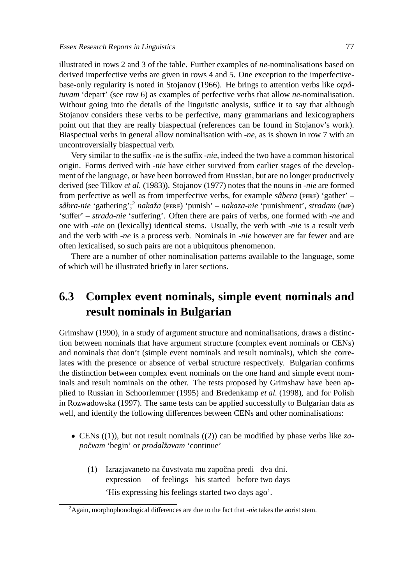illustrated in rows 2 and 3 of the table. Further examples of *ne*-nominalisations based on derived imperfective verbs are given in rows 4 and 5. One exception to the imperfectivebase-only regularity is noted in Stojanov (1966). He brings to attention verbs like *otpâtuvam* 'depart' (see row 6) as examples of perfective verbs that allow *ne*-nominalisation. Without going into the details of the linguistic analysis, suffice it to say that although Stojanov considers these verbs to be perfective, many grammarians and lexicographers point out that they are really biaspectual (references can be found in Stojanov's work). Biaspectual verbs in general allow nominalisation with *-ne*, as is shown in row 7 with an uncontroversially biaspectual verb.

Very similar to the suffix *-ne* is the suffix *-nie*, indeed the two have a common historical origin. Forms derived with *-nie* have either survived from earlier stages of the development of the language, or have been borrowed from Russian, but are no longer productively derived (see Tilkov *et al.* (1983)). Stojanov (1977) notes that the nouns in *-nie* are formed from perfective as well as from imperfective verbs, for example *sâbera* (PERF) 'gather' – *sâbra-nie* 'gathering';<sup>2</sup> *nakaža* (pERF) 'punish' – *nakaza-nie* 'punishment', *stradam* (IMP) 'suffer' – *strada-nie* 'suffering'. Often there are pairs of verbs, one formed with *-ne* and one with *-nie* on (lexically) identical stems. Usually, the verb with *-nie* is a result verb and the verb with *-ne* is a process verb. Nominals in *-nie* however are far fewer and are often lexicalised, so such pairs are not a ubiquitous phenomenon.

There are a number of other nominalisation patterns available to the language, some of which will be illustrated briefly in later sections.

# **6.3 Complex event nominals, simple event nominals and result nominals in Bulgarian**

Grimshaw (1990), in a study of argument structure and nominalisations, draws a distinction between nominals that have argument structure (complex event nominals or CENs) and nominals that don't (simple event nominals and result nominals), which she correlates with the presence or absence of verbal structure respectively. Bulgarian confirms the distinction between complex event nominals on the one hand and simple event nominals and result nominals on the other. The tests proposed by Grimshaw have been applied to Russian in Schoorlemmer (1995) and Bredenkamp *et al.* (1998), and for Polish in Rozwadowska (1997). The same tests can be applied successfully to Bulgarian data as well, and identify the following differences between CENs and other nominalisations:

- CENs ((1)), but not result nominals ((2)) can be modified by phase verbs like *zapoˇcvam* 'begin' or *prodalžavam* 'continue'
	- (1) Izrazjavaneto na čuvstvata mu započna predi dva dni. expression of feelings his started before two days 'His expressing his feelings started two days ago'.

<sup>2</sup>Again, morphophonological differences are due to the fact that *-nie* takes the aorist stem.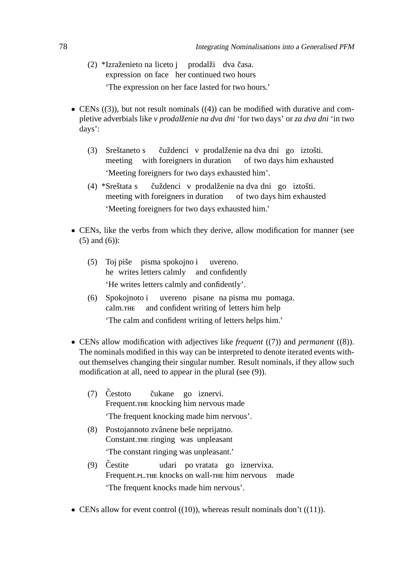- (2) \*Izraženieto na liceto j expression on face her continued two hours prodalži dva časa. 'The expression on her face lasted for two hours.'
- CENs  $((3))$ , but not result nominals  $((4))$  can be modified with durative and completive adverbials like *v prodalženie na dva dni* 'for two days' or *za dva dni* 'in two days':
	- (3) Sreštaneto s meeting with foreigners in duration čuždenci v prodalženie na dva dni go iztošti. of two days him exhausted 'Meeting foreigners for two days exhausted him'.
	- (4) \*Sreštata s meeting with foreigners in duration čuždenci v prodalženie na dva dni go iztošti. of two days him exhausted 'Meeting foreigners for two days exhausted him.'
- CENs, like the verbs from which they derive, allow modification for manner (see (5) and (6)):
	- (5) Toj piše pisma spokojno i he writes letters calmly and confidently uvereno. 'He writes letters calmly and confidently'.
	- (6) Spokojnoto i calm. and confident writing of letters him help uvereno pisane na pisma mu pomaga. 'The calm and confident writing of letters helps him.'
- CENs allow modification with adjectives like *frequent* ((7)) and *permanent* ((8)). The nominals modified in this way can be interpreted to denote iterated events without themselves changing their singular number. Result nominals, if they allow such modification at all, need to appear in the plural (see (9)).
	- $(7)$  Čestoto Frequent. knocking him nervous made čukane go iznervi. 'The frequent knocking made him nervous'.
	- (8) Postojannoto zvânene beše neprijatno. Constant.THE ringing was unpleasant 'The constant ringing was unpleasant.'
	- $(9)$  Čestite Frequent.PL.THE knocks on wall-THE him nervous made udari po vratata go iznervixa. 'The frequent knocks made him nervous'.
- CENs allow for event control  $((10))$ , whereas result nominals don't  $((11))$ .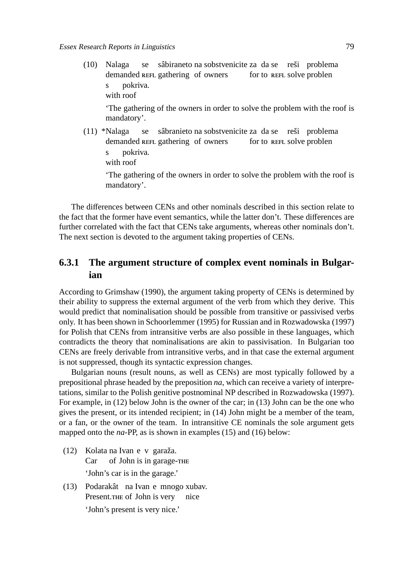(10) Nalaga demanded REFL gathering of owners se sâbiraneto na sobstvenicite za da se reši problema for to REFL solve problen s with roof pokriva.

'The gathering of the owners in order to solve the problem with the roof is mandatory'.

(11) \*Nalaga demanded REFL gathering of owners se sâbranieto na sobstvenicite za da se reši problema for to REFL solve problen s with roof pokriva.

'The gathering of the owners in order to solve the problem with the roof is mandatory'.

The differences between CENs and other nominals described in this section relate to the fact that the former have event semantics, while the latter don't. These differences are further correlated with the fact that CENs take arguments, whereas other nominals don't. The next section is devoted to the argument taking properties of CENs.

#### **6.3.1 The argument structure of complex event nominals in Bulgarian**

According to Grimshaw (1990), the argument taking property of CENs is determined by their ability to suppress the external argument of the verb from which they derive. This would predict that nominalisation should be possible from transitive or passivised verbs only. It has been shown in Schoorlemmer (1995) for Russian and in Rozwadowska (1997) for Polish that CENs from intransitive verbs are also possible in these languages, which contradicts the theory that nominalisations are akin to passivisation. In Bulgarian too CENs are freely derivable from intransitive verbs, and in that case the external argument is not suppressed, though its syntactic expression changes.

Bulgarian nouns (result nouns, as well as CENs) are most typically followed by a prepositional phrase headed by the preposition *na*, which can receive a variety of interpretations, similar to the Polish genitive postnominal NP described in Rozwadowska (1997). For example, in (12) below John is the owner of the car; in (13) John can be the one who gives the present, or its intended recipient; in (14) John might be a member of the team, or a fan, or the owner of the team. In intransitive CE nominals the sole argument gets mapped onto the *na*-PP, as is shown in examples (15) and (16) below:

- (12) Kolata na Ivan e v garaža. Car of John is in garage- 'John's car is in the garage.'
- (13) Podarakât na Ivan e mnogo xubav. Present.THE of John is very nice 'John's present is very nice.'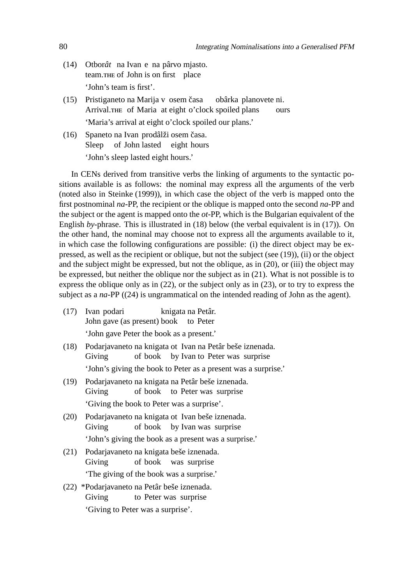- (14) Otbor*ât* na Ivan e na pârvo mjasto. team.THE of John is on first place 'John's team is first'.
- (15) Pristiganeto na Marija v osem časa Arrival.THE of Maria at eight o'clock spoiled plans obârka planovete ni. ours 'Maria's arrival at eight o'clock spoiled our plans.'
- (16) Spaneto na Ivan prodâlži osem časa. Sleep of John lasted eight hours 'John's sleep lasted eight hours.'

In CENs derived from transitive verbs the linking of arguments to the syntactic positions available is as follows: the nominal may express all the arguments of the verb (noted also in Steinke (1999)), in which case the object of the verb is mapped onto the first postnominal *na*-PP, the recipient or the oblique is mapped onto the second *na*-PP and the subject or the agent is mapped onto the *ot*-PP, which is the Bulgarian equivalent of the English *by*-phrase. This is illustrated in (18) below (the verbal equivalent is in (17)). On the other hand, the nominal may choose not to express all the arguments available to it, in which case the following configurations are possible: (i) the direct object may be expressed, as well as the recipient or oblique, but not the subject (see (19)), (ii) or the object and the subject might be expressed, but not the oblique, as in (20), or (iii) the object may be expressed, but neither the oblique nor the subject as in (21). What is not possible is to express the oblique only as in (22), or the subject only as in (23), or to try to express the subject as a *na*-PP ((24) is ungrammatical on the intended reading of John as the agent).

- (17) Ivan podari John gave (as present) book knigata na Petâr. to Peter 'John gave Peter the book as a present.'
- (18) Podarjavaneto na knigata ot Ivan na Petâr beše iznenada. Giving of book by Ivan to Peter was surprise 'John's giving the book to Peter as a present was a surprise.'
- (19) Podarjavaneto na knigata na Petâr beše iznenada. Giving of book to Peter was surprise 'Giving the book to Peter was a surprise'.
- (20) Podarjavaneto na knigata ot Ivan beše iznenada. Giving of book by Ivan was surprise 'John's giving the book as a present was a surprise.'
- (21) Podarjavaneto na knigata beše iznenada. Giving of book was surprise 'The giving of the book was a surprise.'
- (22) \*Podarjavaneto na Petâr beše iznenada. Giving to Peter was surprise 'Giving to Peter was a surprise'.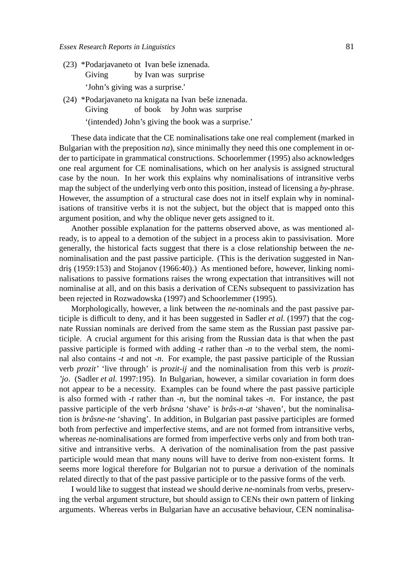- (23) \*Podarjavaneto ot Ivan beše iznenada. Giving by Ivan was surprise 'John's giving was a surprise.'
- (24) \*Podarjavaneto na knigata na Ivan beše iznenada. Giving of book by John was surprise '(intended) John's giving the book was a surprise.'

These data indicate that the CE nominalisations take one real complement (marked in Bulgarian with the preposition *na*), since minimally they need this one complement in order to participate in grammatical constructions. Schoorlemmer (1995) also acknowledges one real argument for CE nominalisations, which on her analysis is assigned structural case by the noun. In her work this explains why nominalisations of intransitive verbs map the subject of the underlying verb onto this position, instead of licensing a *by*-phrase. However, the assumption of a structural case does not in itself explain why in nominalisations of transitive verbs it is not the subject, but the object that is mapped onto this argument position, and why the oblique never gets assigned to it.

Another possible explanation for the patterns observed above, as was mentioned already, is to appeal to a demotion of the subject in a process akin to passivisation. More generally, the historical facts suggest that there is a close relationship between the *ne*nominalisation and the past passive participle. (This is the derivation suggested in Nandriş (1959:153) and Stojanov (1966:40).) As mentioned before, however, linking nominalisations to passive formations raises the wrong expectation that intransitives will not nominalise at all, and on this basis a derivation of CENs subsequent to passivization has been rejected in Rozwadowska (1997) and Schoorlemmer (1995).

Morphologically, however, a link between the *ne*-nominals and the past passive participle is difficult to deny, and it has been suggested in Sadler *et al.* (1997) that the cognate Russian nominals are derived from the same stem as the Russian past passive participle. A crucial argument for this arising from the Russian data is that when the past passive participle is formed with adding *-t* rather than *-n* to the verbal stem, the nominal also contains *-t* and not *-n*. For example, the past passive participle of the Russian verb *prozit'* 'live through' is *prozit-ij* and the nominalisation from this verb is *prozit- 'jo*. (Sadler *et al.* 1997:195). In Bulgarian, however, a similar covariation in form does not appear to be a necessity. Examples can be found where the past passive participle is also formed with *-t* rather than *-n*, but the nominal takes *-n*. For instance, the past passive participle of the verb *brâsna* 'shave' is *brâs-n-at* 'shaven', but the nominalisation is *brâsne-ne* 'shaving'. In addition, in Bulgarian past passive participles are formed both from perfective and imperfective stems, and are not formed from intransitive verbs, whereas *ne*-nominalisations are formed from imperfective verbs only and from both transitive and intransitive verbs. A derivation of the nominalisation from the past passive participle would mean that many nouns will have to derive from non-existent forms. It seems more logical therefore for Bulgarian not to pursue a derivation of the nominals related directly to that of the past passive participle or to the passive forms of the verb.

I would like to suggest that instead we should derive *ne*-nominals from verbs, preserving the verbal argument structure, but should assign to CENs their own pattern of linking arguments. Whereas verbs in Bulgarian have an accusative behaviour, CEN nominalisa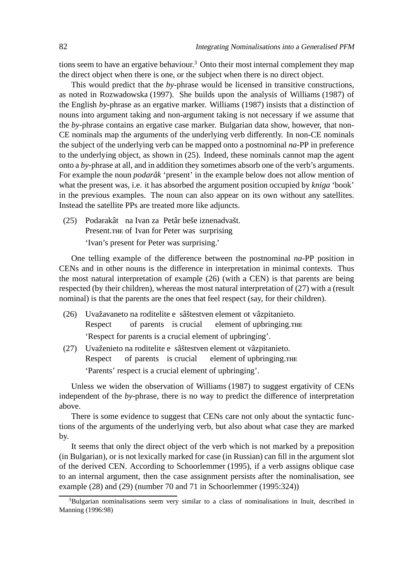tions seem to have an ergative behaviour.<sup>3</sup> Onto their most internal complement they map the direct object when there is one, or the subject when there is no direct object.

This would predict that the *by*-phrase would be licensed in transitive constructions, as noted in Rozwadowska (1997). She builds upon the analysis of Williams (1987) of the English *by*-phrase as an ergative marker. Williams (1987) insists that a distinction of nouns into argument taking and non-argument taking is not necessary if we assume that the *by*-phrase contains an ergative case marker. Bulgarian data show, however, that non-CE nominals map the arguments of the underlying verb differently. In non-CE nominals the subject of the underlying verb can be mapped onto a postnominal *na*-PP in preference to the underlying object, as shown in (25). Indeed, these nominals cannot map the agent onto a *by*-phrase at all, and in addition they sometimes absorb one of the verb's arguments. For example the noun *podarâk* 'present' in the example below does not allow mention of what the present was, i.e. it has absorbed the argument position occupied by *kniga* 'book' in the previous examples. The noun can also appear on its own without any satellites. Instead the satellite PPs are treated more like adjuncts.

(25) Podarakât na Ivan za Petâr beše iznenadvašt. Present. THE of Ivan for Peter was surprising 'Ivan's present for Peter was surprising.'

One telling example of the difference between the postnominal *na*-PP position in CENs and in other nouns is the difference in interpretation in minimal contexts. Thus the most natural interpretation of example (26) (with a CEN) is that parents are being respected (by their children), whereas the most natural interpretation of (27) with a (result nominal) is that the parents are the ones that feel respect (say, for their children).

- (26) Uvažavaneto na roditelite e sâštestven element ot vâzpitanieto. Respect of parents is crucial element of upbringing.THE 'Respect for parents is a crucial element of upbringing'.
- (27) Uvaženieto na roditelite e sâštestven element ot vâzpitanieto. Respect of parents is crucial element of upbringing. 'Parents' respect is a crucial element of upbringing'.

Unless we widen the observation of Williams (1987) to suggest ergativity of CENs independent of the *by*-phrase, there is no way to predict the difference of interpretation above.

There is some evidence to suggest that CENs care not only about the syntactic functions of the arguments of the underlying verb, but also about what case they are marked by.

It seems that only the direct object of the verb which is not marked by a preposition (in Bulgarian), or is not lexically marked for case (in Russian) can fill in the argument slot of the derived CEN. According to Schoorlemmer (1995), if a verb assigns oblique case to an internal argument, then the case assignment persists after the nominalisation, see example (28) and (29) (number 70 and 71 in Schoorlemmer (1995:324))

<sup>&</sup>lt;sup>3</sup>Bulgarian nominalisations seem very similar to a class of nominalisations in Inuit, described in Manning (1996:98)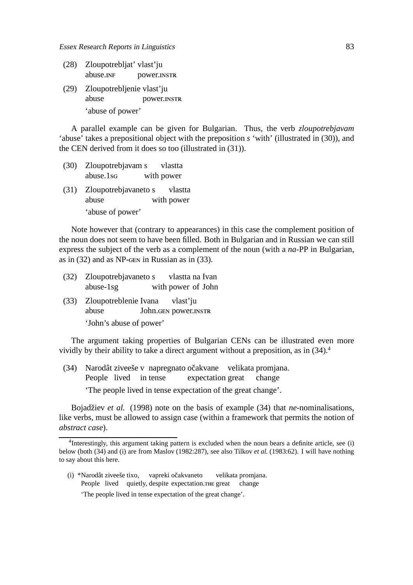- (28) Zloupotrebljat' vlast'ju abuse. power.
- (29) Zloupotrebljenie vlast'ju abuse power. 'abuse of power'

A parallel example can be given for Bulgarian. Thus, the verb *zloupotrebjavam* 'abuse' takes a prepositional object with the preposition *s* 'with' (illustrated in (30)), and the CEN derived from it does so too (illustrated in (31)).

- (30) Zloupotrebjavam s abuse.1 with power vlastta
- (31) Zloupotrebjavaneto s abuse with power vlastta 'abuse of power'

Note however that (contrary to appearances) in this case the complement position of the noun does not seem to have been filled. Both in Bulgarian and in Russian we can still express the subject of the verb as a complement of the noun (with a *na*-PP in Bulgarian, as in  $(32)$  and as NP-GEN in Russian as in  $(33)$ .

- (32) Zloupotrebjavaneto s abuse-1sg with power of John vlastta na Ivan
- (33) Zloupotreblenie Ivana abuse John. GEN power. INSTR vlast'ju 'John's abuse of power'

The argument taking properties of Bulgarian CENs can be illustrated even more vividly by their ability to take a direct argument without a preposition, as in  $(34)$ <sup>4</sup>

(34) Narodât ziveeše v napregnato očakvane velikata promjana. People lived in tense expectation great change 'The people lived in tense expectation of the great change'.

Bojadžiev *et al.* (1998) note on the basis of example (34) that *ne*-nominalisations, like verbs, must be allowed to assign case (within a framework that permits the notion of *abstract case*).

(i) \*Narodât ziveeše tixo, vapreki očakvaneto People lived quietly, despite expectation. The great change velikata promjana. 'The people lived in tense expectation of the great change'.

<sup>&</sup>lt;sup>4</sup>Interestingly, this argument taking pattern is excluded when the noun bears a definite article, see (i) below (both (34) and (i) are from Maslov (1982:287), see also Tilkov *et al.* (1983:62). I will have nothing to say about this here.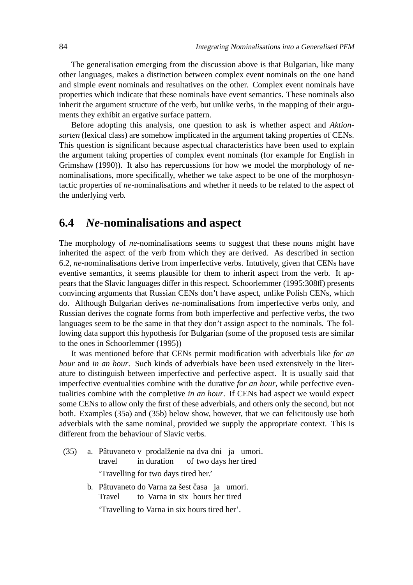The generalisation emerging from the discussion above is that Bulgarian, like many other languages, makes a distinction between complex event nominals on the one hand and simple event nominals and resultatives on the other. Complex event nominals have properties which indicate that these nominals have event semantics. These nominals also inherit the argument structure of the verb, but unlike verbs, in the mapping of their arguments they exhibit an ergative surface pattern.

Before adopting this analysis, one question to ask is whether aspect and *Aktionsarten* (lexical class) are somehow implicated in the argument taking properties of CENs. This question is significant because aspectual characteristics have been used to explain the argument taking properties of complex event nominals (for example for English in Grimshaw (1990)). It also has repercussions for how we model the morphology of *ne*nominalisations, more specifically, whether we take aspect to be one of the morphosyntactic properties of *ne*-nominalisations and whether it needs to be related to the aspect of the underlying verb.

#### **6.4** *Ne***-nominalisations and aspect**

The morphology of *ne*-nominalisations seems to suggest that these nouns might have inherited the aspect of the verb from which they are derived. As described in section 6.2, *ne*-nominalisations derive from imperfective verbs. Intutively, given that CENs have eventive semantics, it seems plausible for them to inherit aspect from the verb. It appears that the Slavic languages differ in this respect. Schoorlemmer (1995:308ff) presents convincing arguments that Russian CENs don't have aspect, unlike Polish CENs, which do. Although Bulgarian derives *ne*-nominalisations from imperfective verbs only, and Russian derives the cognate forms from both imperfective and perfective verbs, the two languages seem to be the same in that they don't assign aspect to the nominals. The following data support this hypothesis for Bulgarian (some of the proposed tests are similar to the ones in Schoorlemmer (1995))

It was mentioned before that CENs permit modification with adverbials like *for an hour* and *in an hour*. Such kinds of adverbials have been used extensively in the literature to distinguish between imperfective and perfective aspect. It is usually said that imperfective eventualities combine with the durative *for an hour*, while perfective eventualities combine with the completive *in an hour*. If CENs had aspect we would expect some CENs to allow only the first of these adverbials, and others only the second, but not both. Examples (35a) and (35b) below show, however, that we can felicitously use both adverbials with the same nominal, provided we supply the appropriate context. This is different from the behaviour of Slavic verbs.

- (35) a. Pâtuvaneto v prodalženie na dva dni ja umori. travel in duration of two days her tired 'Travelling for two days tired her.'
	- b. Pâtuvaneto do Varna za šest časa ja umori. **Travel** to Varna in six hours her tired 'Travelling to Varna in six hours tired her'.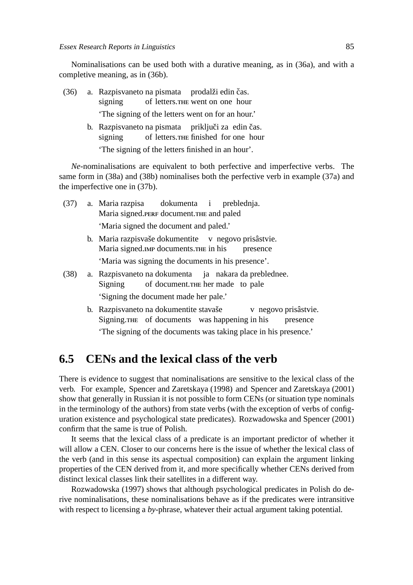Nominalisations can be used both with a durative meaning, as in (36a), and with a completive meaning, as in (36b).

- (36) a. Razpisvaneto na pismata prodalži edin čas. signing of letters. went on one hour 'The signing of the letters went on for an hour.'
	- b. Razpisvaneto na pismata priključi za edin čas. signing of letters. finished for one hour 'The signing of the letters finished in an hour'.

*Ne*-nominalisations are equivalent to both perfective and imperfective verbs. The same form in (38a) and (38b) nominalises both the perfective verb in example (37a) and the imperfective one in (37b).

- (37) a. Maria razpisa Maria signed. PERF document. THE and paled dokumenta i preblednja. 'Maria signed the document and paled.'
	- b. Maria razpisvaše dokumentite v negovo prisâstvie. Maria signed. IMP documents. THE in his presence 'Maria was signing the documents in his presence'.
- (38) a. Razpisvaneto na dokumenta Signing of document. her made to pale ja nakara da preblednee. 'Signing the document made her pale.'
	- b. Razpisvaneto na dokumentite stavaše Signing.THE of documents was happening in his v negovo prisâstvie. presence 'The signing of the documents was taking place in his presence.'

## **6.5 CENs and the lexical class of the verb**

There is evidence to suggest that nominalisations are sensitive to the lexical class of the verb. For example, Spencer and Zaretskaya (1998) and Spencer and Zaretskaya (2001) show that generally in Russian it is not possible to form CENs (or situation type nominals in the terminology of the authors) from state verbs (with the exception of verbs of configuration existence and psychological state predicates). Rozwadowska and Spencer (2001) confirm that the same is true of Polish.

It seems that the lexical class of a predicate is an important predictor of whether it will allow a CEN. Closer to our concerns here is the issue of whether the lexical class of the verb (and in this sense its aspectual composition) can explain the argument linking properties of the CEN derived from it, and more specifically whether CENs derived from distinct lexical classes link their satellites in a different way.

Rozwadowska (1997) shows that although psychological predicates in Polish do derive nominalisations, these nominalisations behave as if the predicates were intransitive with respect to licensing a *by*-phrase, whatever their actual argument taking potential.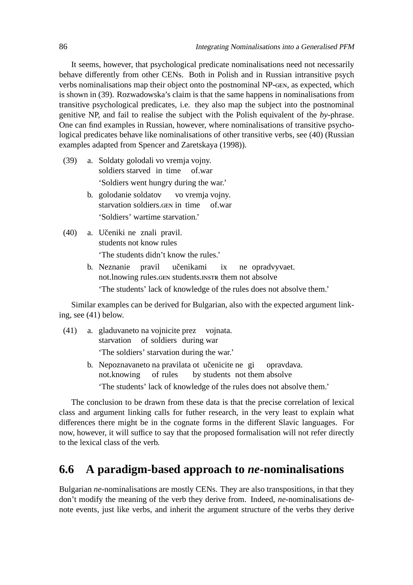It seems, however, that psychological predicate nominalisations need not necessarily behave differently from other CENs. Both in Polish and in Russian intransitive psych verbs nominalisations map their object onto the postnominal NP-GEN, as expected, which is shown in (39). Rozwadowska's claim is that the same happens in nominalisations from transitive psychological predicates, i.e. they also map the subject into the postnominal genitive NP, and fail to realise the subject with the Polish equivalent of the *by*-phrase. One can find examples in Russian, however, where nominalisations of transitive psychological predicates behave like nominalisations of other transitive verbs, see (40) (Russian examples adapted from Spencer and Zaretskaya (1998)).

- (39) a. Soldaty golodali vo vremja vojny. soldiers starved in time of.war 'Soldiers went hungry during the war.'
	- b. golodanie soldatov starvation soldiers. GEN in time vo vremja vojny. of.war 'Soldiers' wartime starvation.'
- (40) a. Učeniki ne znali pravil. students not know rules 'The students didn't know the rules.'
	- b. Neznanie not. Inowing rules. GEN students. INSTR them not absolve pravil učenikami ix ne opradvyvaet. 'The students' lack of knowledge of the rules does not absolve them.'

Similar examples can be derived for Bulgarian, also with the expected argument linking, see (41) below.

- (41) a. gladuvaneto na vojnicite prez vojnata. starvation of soldiers during war 'The soldiers' starvation during the war.'
	- b. Nepoznavaneto na pravilata ot učenicite ne gi not.knowing of rules by students not them absolve opravdava. 'The students' lack of knowledge of the rules does not absolve them.'

The conclusion to be drawn from these data is that the precise correlation of lexical class and argument linking calls for futher research, in the very least to explain what differences there might be in the cognate forms in the different Slavic languages. For now, however, it will suffice to say that the proposed formalisation will not refer directly to the lexical class of the verb.

## **6.6 A paradigm-based approach to** *ne***-nominalisations**

Bulgarian *ne*-nominalisations are mostly CENs. They are also transpositions, in that they don't modify the meaning of the verb they derive from. Indeed, *ne*-nominalisations denote events, just like verbs, and inherit the argument structure of the verbs they derive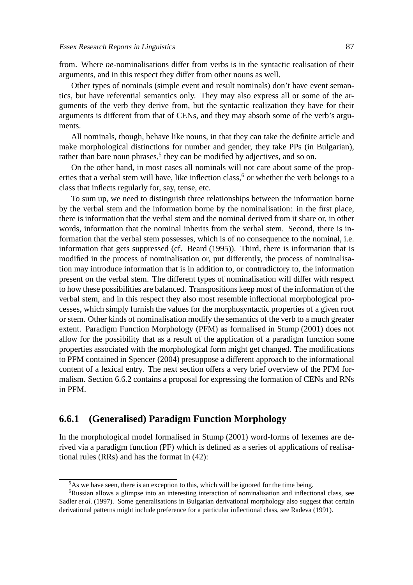from. Where *ne*-nominalisations differ from verbs is in the syntactic realisation of their arguments, and in this respect they differ from other nouns as well.

Other types of nominals (simple event and result nominals) don't have event semantics, but have referential semantics only. They may also express all or some of the arguments of the verb they derive from, but the syntactic realization they have for their arguments is different from that of CENs, and they may absorb some of the verb's arguments.

All nominals, though, behave like nouns, in that they can take the definite article and make morphological distinctions for number and gender, they take PPs (in Bulgarian), rather than bare noun phrases,<sup>5</sup> they can be modified by adjectives, and so on.

On the other hand, in most cases all nominals will not care about some of the properties that a verbal stem will have, like inflection class,<sup>6</sup> or whether the verb belongs to a class that inflects regularly for, say, tense, etc.

To sum up, we need to distinguish three relationships between the information borne by the verbal stem and the information borne by the nominalisation: in the first place, there is information that the verbal stem and the nominal derived from it share or, in other words, information that the nominal inherits from the verbal stem. Second, there is information that the verbal stem possesses, which is of no consequence to the nominal, i.e. information that gets suppressed (cf. Beard (1995)). Third, there is information that is modified in the process of nominalisation or, put differently, the process of nominalisation may introduce information that is in addition to, or contradictory to, the information present on the verbal stem. The different types of nominalisation will differ with respect to how these possibilities are balanced. Transpositions keep most of the information of the verbal stem, and in this respect they also most resemble inflectional morphological processes, which simply furnish the values for the morphosyntactic properties of a given root or stem. Other kinds of nominalisation modify the semantics of the verb to a much greater extent. Paradigm Function Morphology (PFM) as formalised in Stump (2001) does not allow for the possibility that as a result of the application of a paradigm function some properties associated with the morphological form might get changed. The modifications to PFM contained in Spencer (2004) presuppose a different approach to the informational content of a lexical entry. The next section offers a very brief overview of the PFM formalism. Section 6.6.2 contains a proposal for expressing the formation of CENs and RNs in PFM.

#### **6.6.1 (Generalised) Paradigm Function Morphology**

In the morphological model formalised in Stump (2001) word-forms of lexemes are derived via a paradigm function (PF) which is defined as a series of applications of realisational rules (RRs) and has the format in (42):

<sup>&</sup>lt;sup>5</sup>As we have seen, there is an exception to this, which will be ignored for the time being.

<sup>6</sup>Russian allows a glimpse into an interesting interaction of nominalisation and inflectional class, see Sadler *et al.* (1997). Some generalisations in Bulgarian derivational morphology also suggest that certain derivational patterns might include preference for a particular inflectional class, see Radeva (1991).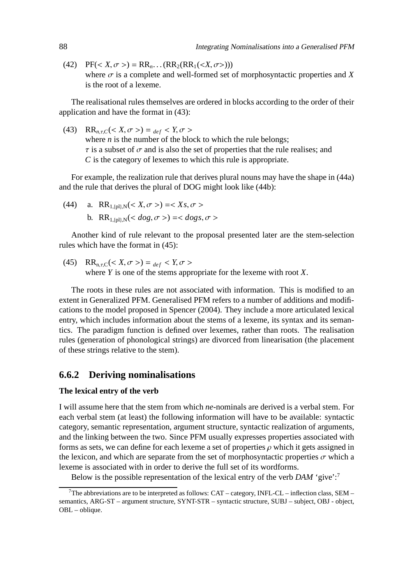(42)  $PF(*X*, \sigma>) = RR_n$ ...( $RR_2(RR_1(*X*, \sigma)))$ where  $\sigma$  is a complete and well-formed set of morphosyntactic properties and *X* is the root of a lexeme.

The realisational rules themselves are ordered in blocks according to the order of their application and have the format in (43):

(43)  $RR_{n,\tau,C}(*X*, \sigma>) =_{def} *Y*, \sigma>$ where *n* is the number of the block to which the rule belongs;  $\tau$  is a subset of  $\sigma$  and is also the set of properties that the rule realises; and *C* is the category of lexemes to which this rule is appropriate.

For example, the realization rule that derives plural nouns may have the shape in (44a) and the rule that derives the plural of DOG might look like (44b):

(44) a.  $RR_{1,0} \gtrsim (X, \sigma >) = < X_s, \sigma >$ b. RR<sub>1,{pl}</sub>  $N \leq dog, \sigma >$ } = <  $dog, \sigma >$ 

Another kind of rule relevant to the proposal presented later are the stem-selection rules which have the format in (45):

(45)  $RR_{n,\tau,C}(*X*, \sigma>) =_{def} *Y*, \sigma>$ where *Y* is one of the stems appropriate for the lexeme with root *X*.

The roots in these rules are not associated with information. This is modified to an extent in Generalized PFM. Generalised PFM refers to a number of additions and modifications to the model proposed in Spencer (2004). They include a more articulated lexical entry, which includes information about the stems of a lexeme, its syntax and its semantics. The paradigm function is defined over lexemes, rather than roots. The realisation rules (generation of phonological strings) are divorced from linearisation (the placement of these strings relative to the stem).

#### **6.6.2 Deriving nominalisations**

#### **The lexical entry of the verb**

I will assume here that the stem from which *ne*-nominals are derived is a verbal stem. For each verbal stem (at least) the following information will have to be available: syntactic category, semantic representation, argument structure, syntactic realization of arguments, and the linking between the two. Since PFM usually expresses properties associated with forms as sets, we can define for each lexeme a set of properties  $\rho$  which it gets assigned in the lexicon, and which are separate from the set of morphosyntactic properties  $\sigma$  which a lexeme is associated with in order to derive the full set of its wordforms.

Below is the possible representation of the lexical entry of the verb *DAM* 'give':<sup>7</sup>

<sup>&</sup>lt;sup>7</sup>The abbreviations are to be interpreted as follows: CAT – category, INFL-CL – inflection class, SEM – semantics, ARG-ST – argument structure, SYNT-STR – syntactic structure, SUBJ – subject, OBJ - object, OBL – oblique.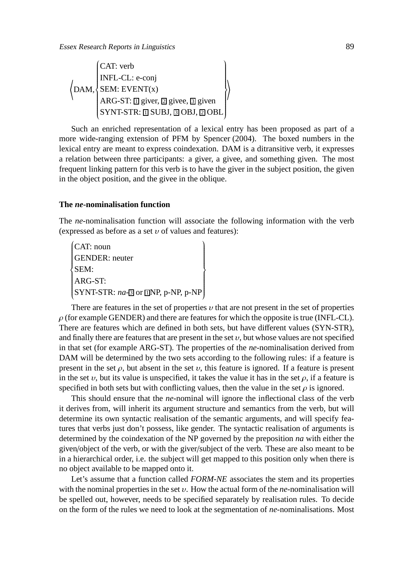$$
\left\langle \text{DAM}, \left\{\begin{matrix} \text{CAT: verb} \\ \text{INFL-CL: e-conj} \\ \text{SEM: EVENT(x)} \\ \text{ARG-ST: } \text{[] given, } \text{[] gives, } \text{[] give, } \text{[] give} \\ \text{SYNT-STR: } \text{[] SUBJ, } \text{[] OBI, } \text{[] OBL} \end{matrix} \right\rangle
$$

Such an enriched representation of a lexical entry has been proposed as part of a more wide-ranging extension of PFM by Spencer (2004). The boxed numbers in the lexical entry are meant to express coindexation. DAM is a ditransitive verb, it expresses a relation between three participants: a giver, a givee, and something given. The most frequent linking pattern for this verb is to have the giver in the subject position, the given in the object position, and the givee in the oblique.

#### **The** *ne***-nominalisation function**

The *ne*-nominalisation function will associate the following information with the verb (expressed as before as a set  $v$  of values and features):

 CAT: noun  $\left\{\rule{0cm}{0.15mm}\right\}$  $\begin{array}{c} \hline \end{array}$ GENDER: neuter SEM: ARG-ST:  $SYNT-STR: na-3 or  $\Box NP$ , p-NP, p-NP$  $\overline{ }$  $\left\{\begin{array}{c} \end{array}\right\}$  $\begin{cases} \n\end{cases}$ 

There are features in the set of properties  $\nu$  that are not present in the set of properties  $\rho$  (for example GENDER) and there are features for which the opposite is true (INFL-CL). There are features which are defined in both sets, but have different values (SYN-STR), and finally there are features that are present in the set  $v$ , but whose values are not specified in that set (for example ARG-ST). The properties of the *ne*-nominalisation derived from DAM will be determined by the two sets according to the following rules: if a feature is present in the set  $\rho$ , but absent in the set  $\nu$ , this feature is ignored. If a feature is present in the set  $v$ , but its value is unspecified, it takes the value it has in the set  $\rho$ , if a feature is specified in both sets but with conflicting values, then the value in the set  $\rho$  is ignored.

This should ensure that the *ne*-nominal will ignore the inflectional class of the verb it derives from, will inherit its argument structure and semantics from the verb, but will determine its own syntactic realisation of the semantic arguments, and will specify features that verbs just don't possess, like gender. The syntactic realisation of arguments is determined by the coindexation of the NP governed by the preposition *na* with either the given/object of the verb, or with the giver/subject of the verb. These are also meant to be in a hierarchical order, i.e. the subject will get mapped to this position only when there is no object available to be mapped onto it.

Let's assume that a function called *FORM-NE* associates the stem and its properties with the nominal properties in the set  $v$ . How the actual form of the *ne*-nominalisation will be spelled out, however, needs to be specified separately by realisation rules. To decide on the form of the rules we need to look at the segmentation of *ne*-nominalisations. Most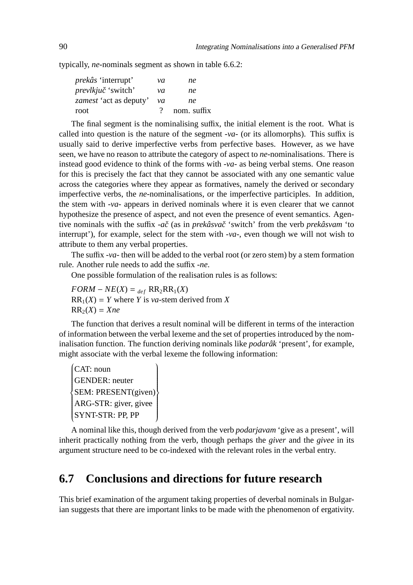typically, *ne*-nominals segment as shown in table 6.6.2:

| νa       | ne          |
|----------|-------------|
| νa       | ne          |
| νa       | ne          |
| $\gamma$ | nom. suffix |
|          |             |

The final segment is the nominalising suffix, the initial element is the root. What is called into question is the nature of the segment *-va-* (or its allomorphs). This suffix is usually said to derive imperfective verbs from perfective bases. However, as we have seen, we have no reason to attribute the category of aspect to *ne*-nominalisations. There is instead good evidence to think of the forms with *-va-* as being verbal stems. One reason for this is precisely the fact that they cannot be associated with any one semantic value across the categories where they appear as formatives, namely the derived or secondary imperfective verbs, the *ne*-nominalisations, or the imperfective participles. In addition, the stem with *-va-* appears in derived nominals where it is even clearer that we cannot hypothesize the presence of aspect, and not even the presence of event semantics. Agentive nominals with the suffix *-aˇc* (as in *prekâsvaˇc* 'switch' from the verb *prekâsvam* 'to interrupt'), for example, select for the stem with *-va-*, even though we will not wish to attribute to them any verbal properties.

The suffix *-va-* then will be added to the verbal root (or zero stem) by a stem formation rule. Another rule needs to add the suffix *-ne*.

One possible formulation of the realisation rules is as follows:

 $FORM - NE(X) =$   $_{def} RR_2RR_1(X)$  $RR_1(X) = Y$  where *Y* is *va*-stem derived from *X*  $RR_2(X) = Xne$ 

The function that derives a result nominal will be different in terms of the interaction of information between the verbal lexeme and the set of properties introduced by the nominalisation function. The function deriving nominals like *podarâk* 'present', for example, might associate with the verbal lexeme the following information:

 CAT: noun  $\sqrt{\frac{1}{2}}$  $\begin{array}{c} \hline \end{array}$ GENDER: neuter SEM: PRESENT(given) ARG-STR: giver, givee SYNT-STR: PP, PP  $\overline{1}$  $\overline{\phantom{a}}$  $\begin{cases} \n\end{cases}$ 

A nominal like this, though derived from the verb *podarjavam* 'give as a present', will inherit practically nothing from the verb, though perhaps the *giver* and the *givee* in its argument structure need to be co-indexed with the relevant roles in the verbal entry.

### **6.7 Conclusions and directions for future research**

This brief examination of the argument taking properties of deverbal nominals in Bulgarian suggests that there are important links to be made with the phenomenon of ergativity.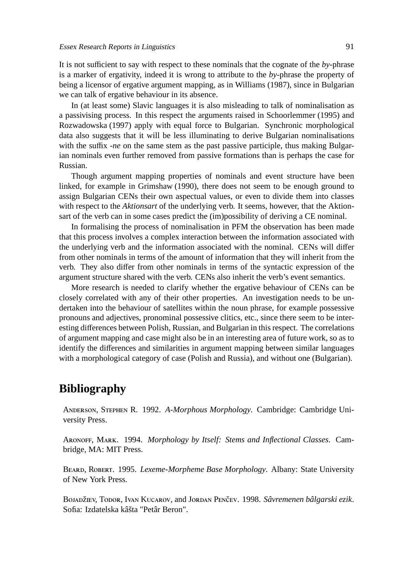It is not sufficient to say with respect to these nominals that the cognate of the *by*-phrase is a marker of ergativity, indeed it is wrong to attribute to the *by*-phrase the property of being a licensor of ergative argument mapping, as in Williams (1987), since in Bulgarian we can talk of ergative behaviour in its absence.

In (at least some) Slavic languages it is also misleading to talk of nominalisation as a passivising process. In this respect the arguments raised in Schoorlemmer (1995) and Rozwadowska (1997) apply with equal force to Bulgarian. Synchronic morphological data also suggests that it will be less illuminating to derive Bulgarian nominalisations with the suffix *-ne* on the same stem as the past passive participle, thus making Bulgarian nominals even further removed from passive formations than is perhaps the case for Russian.

Though argument mapping properties of nominals and event structure have been linked, for example in Grimshaw (1990), there does not seem to be enough ground to assign Bulgarian CENs their own aspectual values, or even to divide them into classes with respect to the *Aktionsart* of the underlying verb. It seems, however, that the Aktionsart of the verb can in some cases predict the (im)possibility of deriving a CE nominal.

In formalising the process of nominalisation in PFM the observation has been made that this process involves a complex interaction between the information associated with the underlying verb and the information associated with the nominal. CENs will differ from other nominals in terms of the amount of information that they will inherit from the verb. They also differ from other nominals in terms of the syntactic expression of the argument structure shared with the verb. CENs also inherit the verb's event semantics.

More research is needed to clarify whether the ergative behaviour of CENs can be closely correlated with any of their other properties. An investigation needs to be undertaken into the behaviour of satellites within the noun phrase, for example possessive pronouns and adjectives, pronominal possessive clitics, etc., since there seem to be interesting differences between Polish, Russian, and Bulgarian in this respect. The correlations of argument mapping and case might also be in an interesting area of future work, so as to identify the differences and similarities in argument mapping between similar languages with a morphological category of case (Polish and Russia), and without one (Bulgarian).

#### **Bibliography**

ANDERSON, STEPHEN R. 1992. *A-Morphous Morphology*. Cambridge: Cambridge University Press.

ARONOFF, MARK. 1994. *Morphology by Itself: Stems and Inflectional Classes*. Cambridge, MA: MIT Press.

BEARD, ROBERT. 1995. *Lexeme-Morpheme Base Morphology*. Albany: State University of New York Press.

BOJADŽIEV, TODOR, IVAN KUCAROV, and JORDAN PENČEV. 1998. Sâvremenen bâlgarski ezik. Sofia: Izdatelska kâšta "Petâr Beron".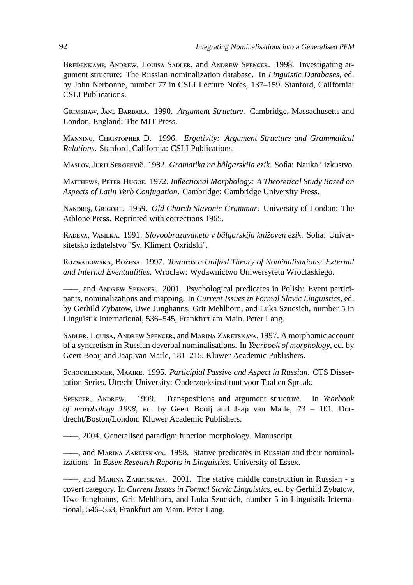BREDENKAMP, ANDREW, LOUISA SADLER, and ANDREW SPENCER. 1998. Investigating argument structure: The Russian nominalization database. In *Linguistic Databases*, ed. by John Nerbonne, number 77 in CSLI Lecture Notes, 137–159. Stanford, California: CSLI Publications.

GRIMSHAW, JANE BARBARA. 1990. *Argument Structure*. Cambridge, Massachusetts and London, England: The MIT Press.

MANNING, CHRISTOPHER D. 1996. *Ergativity: Argument Structure and Grammatical Relations*. Stanford, California: CSLI Publications.

MASLOV, JURIJ SERGEEVIČ. 1982. *Gramatika na bâlgarskiia ezik*. Sofia: Nauka i izkustvo.

MATTHEWS, PETER HUGOE. 1972. *Inflectional Morphology: A Theoretical Study Based on Aspects of Latin Verb Conjugation*. Cambridge: Cambridge University Press.

NANDRIS, GRIGORE. 1959. *Old Church Slavonic Grammar*. University of London: The Athlone Press. Reprinted with corrections 1965.

R, V. 1991. *Slovoobrazuvaneto v bâlgarskija knižoven ezik*. Sofia: Universitetsko izdatelstvo "Sv. Kliment Oxridski".

ROZWADOWSKA, BOŻENA. 1997. *Towards a Unified Theory of Nominalisations: External and Internal Eventualities*. Wroclaw: Wydawnictwo Uniwersytetu Wroclaskiego.

—, and ANDREW SPENCER. 2001. Psychological predicates in Polish: Event participants, nominalizations and mapping. In *Current Issues in Formal Slavic Linguistics*, ed. by Gerhild Zybatow, Uwe Junghanns, Grit Mehlhorn, and Luka Szucsich, number 5 in Linguistik International, 536–545, Frankfurt am Main. Peter Lang.

SADLER, LOUISA, ANDREW SPENCER, and MARINA ZARETSKAYA. 1997. A morphomic account of a syncretism in Russian deverbal nominalisations. In *Yearbook of morphology*, ed. by Geert Booij and Jaap van Marle, 181–215. Kluwer Academic Publishers.

SCHOORLEMMER, MAAIKE. 1995. Participial Passive and Aspect in Russian. OTS Dissertation Series. Utrecht University: Onderzoeksinstituut voor Taal en Spraak.

SPENCER, ANDREW. 1999. Transpositions and argument structure. In *Yearbook of morphology 1998*, ed. by Geert Booij and Jaap van Marle, 73 – 101. Dordrecht/Boston/London: Kluwer Academic Publishers.

——, 2004. Generalised paradigm function morphology. Manuscript.

 $-$ , and MARINA ZARETSKAYA. 1998. Stative predicates in Russian and their nominalizations. In *Essex Research Reports in Linguistics*. University of Essex.

 $-$ , and MARINA ZARETSKAYA. 2001. The stative middle construction in Russian - a covert category. In *Current Issues in Formal Slavic Linguistics*, ed. by Gerhild Zybatow, Uwe Junghanns, Grit Mehlhorn, and Luka Szucsich, number 5 in Linguistik International, 546–553, Frankfurt am Main. Peter Lang.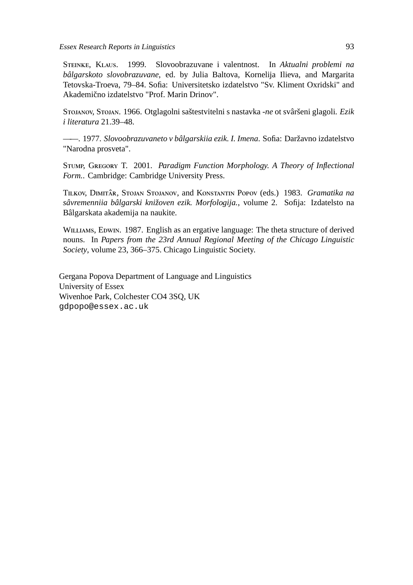#### Essex Research Reports in Linguistics 93

STEINKE, KLAUS. 1999. Slovoobrazuvane i valentnost. In *Aktualni problemi na bâlgarskoto slovobrazuvane*, ed. by Julia Baltova, Kornelija Ilieva, and Margarita Tetovska-Troeva, 79–84. Sofia: Universitetsko izdatelstvo "Sv. Kliment Oxridski" and Akademično izdatelstvo "Prof. Marin Drinov".

Srojanov, Srojan. 1966. Otglagolni saštestvitelni s nastavka -ne ot svâršeni glagoli. Ezik *i literatura* 21.39–48.

——. 1977. *Slovoobrazuvaneto v bâlgarskiia ezik. I. Imena*. Sofia: Daržavno izdatelstvo "Narodna prosveta".

STUMP, GREGORY T. 2001. *Paradigm Function Morphology. A Theory of Inflectional Form.*. Cambridge: Cambridge University Press.

TILKOV, DIMITÂR, STOJAN STOJANOV, and KONSTANTIN POPOV (eds.) 1983. *Gramatika na sâvremenniia bâlgarski knižoven ezik. Morfologija.*, volume 2. Sofija: Izdatelsto na Bâlgarskata akademija na naukite.

WILLIAMS, EDWIN. 1987. English as an ergative language: The theta structure of derived nouns. In *Papers from the 23rd Annual Regional Meeting of the Chicago Linguistic Society*, volume 23, 366–375. Chicago Linguistic Society.

Gergana Popova Department of Language and Linguistics University of Essex Wivenhoe Park, Colchester CO4 3SQ, UK gdpopo@essex.ac.uk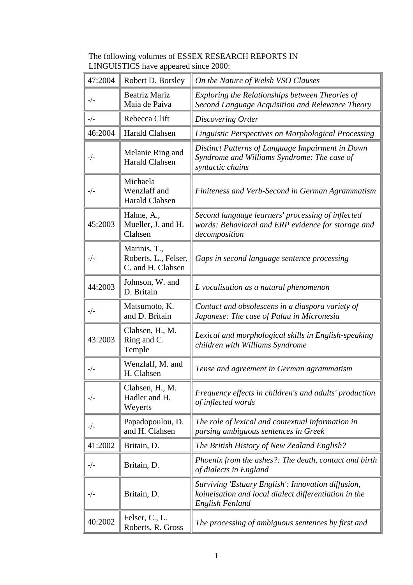| The following volumes of ESSEX RESEARCH REPORTS IN |
|----------------------------------------------------|
| LINGUISTICS have appeared since 2000:              |

| 47:2004 | Robert D. Borsley                                         | On the Nature of Welsh VSO Clauses                                                                                                    |
|---------|-----------------------------------------------------------|---------------------------------------------------------------------------------------------------------------------------------------|
| $-/-$   | <b>Beatriz Mariz</b><br>Maia de Paiva                     | Exploring the Relationships between Theories of<br>Second Language Acquisition and Relevance Theory                                   |
| $-/-$   | Rebecca Clift                                             | Discovering Order                                                                                                                     |
| 46:2004 | <b>Harald Clahsen</b>                                     | Linguistic Perspectives on Morphological Processing                                                                                   |
| $-/-$   | Melanie Ring and<br><b>Harald Clahsen</b>                 | Distinct Patterns of Language Impairment in Down<br>Syndrome and Williams Syndrome: The case of<br>syntactic chains                   |
| $-/-$   | Michaela<br>Wenzlaff and<br><b>Harald Clahsen</b>         | Finiteness and Verb-Second in German Agrammatism                                                                                      |
| 45:2003 | Hahne, A.,<br>Mueller, J. and H.<br>Clahsen               | Second language learners' processing of inflected<br>words: Behavioral and ERP evidence for storage and<br>decomposition              |
| $-/-$   | Marinis, T.,<br>Roberts, L., Felser,<br>C. and H. Clahsen | Gaps in second language sentence processing                                                                                           |
| 44:2003 | Johnson, W. and<br>D. Britain                             | L vocalisation as a natural phenomenon                                                                                                |
| $-/-$   | Matsumoto, K.<br>and D. Britain                           | Contact and obsolescens in a diaspora variety of<br>Japanese: The case of Palau in Micronesia                                         |
| 43:2003 | Clahsen, H., M.<br>Ring and C.<br>Temple                  | Lexical and morphological skills in English-speaking<br>children with Williams Syndrome                                               |
| $-/-$   | Wenzlaff, M. and<br>H. Clahsen                            | Tense and agreement in German agrammatism                                                                                             |
| $-/-$   | Clahsen, H., M.<br>Hadler and H.<br>Weyerts               | Frequency effects in children's and adults' production<br>of inflected words                                                          |
| $-/-$   | Papadopoulou, D.<br>and H. Clahsen                        | The role of lexical and contextual information in<br>parsing ambiguous sentences in Greek                                             |
| 41:2002 | Britain, D.                                               | The British History of New Zealand English?                                                                                           |
| $-/-$   | Britain, D.                                               | Phoenix from the ashes?: The death, contact and birth<br>of dialects in England                                                       |
| $-/-$   | Britain, D.                                               | Surviving 'Estuary English': Innovation diffusion,<br>koineisation and local dialect differentiation in the<br><b>English Fenland</b> |
| 40:2002 | Felser, C., L.<br>Roberts, R. Gross                       | The processing of ambiguous sentences by first and                                                                                    |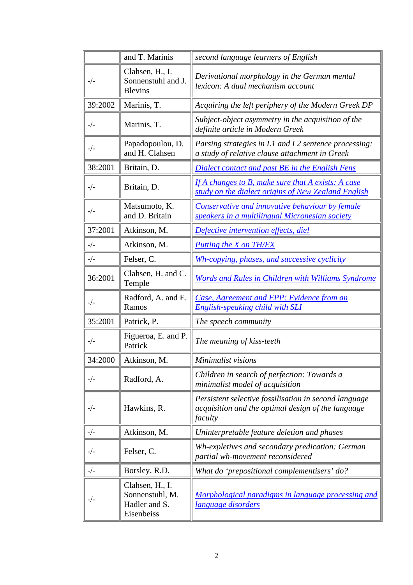|         | and T. Marinis                                                    | second language learners of English                                                                                    |
|---------|-------------------------------------------------------------------|------------------------------------------------------------------------------------------------------------------------|
| $-/-$   | Clahsen, H., I.<br>Sonnenstuhl and J.<br><b>Blevins</b>           | Derivational morphology in the German mental<br>lexicon: A dual mechanism account                                      |
| 39:2002 | Marinis, T.                                                       | Acquiring the left periphery of the Modern Greek DP                                                                    |
| $-/-$   | Marinis, T.                                                       | Subject-object asymmetry in the acquisition of the<br>definite article in Modern Greek                                 |
| $-/-$   | Papadopoulou, D.<br>and H. Clahsen                                | Parsing strategies in L1 and L2 sentence processing:<br>a study of relative clause attachment in Greek                 |
| 38:2001 | Britain, D.                                                       | Dialect contact and past BE in the English Fens                                                                        |
| $-/-$   | Britain, D.                                                       | If A changes to B, make sure that A exists: A case<br>study on the dialect origins of New Zealand English              |
| $-/-$   | Matsumoto, K.<br>and D. Britain                                   | Conservative and innovative behaviour by female<br>speakers in a multilingual Micronesian society                      |
| 37:2001 | Atkinson, M.                                                      | Defective intervention effects, die!                                                                                   |
| $-/-$   | Atkinson, M.                                                      | Putting the X on TH/EX                                                                                                 |
| $-/-$   | Felser, C.                                                        | Wh-copying, phases, and successive cyclicity                                                                           |
| 36:2001 | Clahsen, H. and C.<br>Temple                                      | Words and Rules in Children with Williams Syndrome                                                                     |
| $_-/-$  | Radford, A. and E.<br>Ramos                                       | Case, Agreement and EPP: Evidence from an<br><b>English-speaking child with SLI</b>                                    |
| 35:2001 | Patrick, P.                                                       | The speech community                                                                                                   |
| $-/-$   | Figueroa, E. and P.<br>Patrick                                    | The meaning of kiss-teeth                                                                                              |
| 34:2000 | Atkinson, M.                                                      | Minimalist visions                                                                                                     |
| $-/-$   | Radford, A.                                                       | Children in search of perfection: Towards a<br>minimalist model of acquisition                                         |
| $-/-$   | Hawkins, R.                                                       | Persistent selective fossilisation in second language<br>acquisition and the optimal design of the language<br>faculty |
| $-/-$   | Atkinson, M.                                                      | Uninterpretable feature deletion and phases                                                                            |
| $-/-$   | Felser, C.                                                        | Wh-expletives and secondary predication: German<br>partial wh-movement reconsidered                                    |
| $-/-$   | Borsley, R.D.                                                     | What do 'prepositional complementisers' do?                                                                            |
| $-/-$   | Clahsen, H., I.<br>Sonnenstuhl, M.<br>Hadler and S.<br>Eisenbeiss | Morphological paradigms in language processing and<br><i>language disorders</i>                                        |